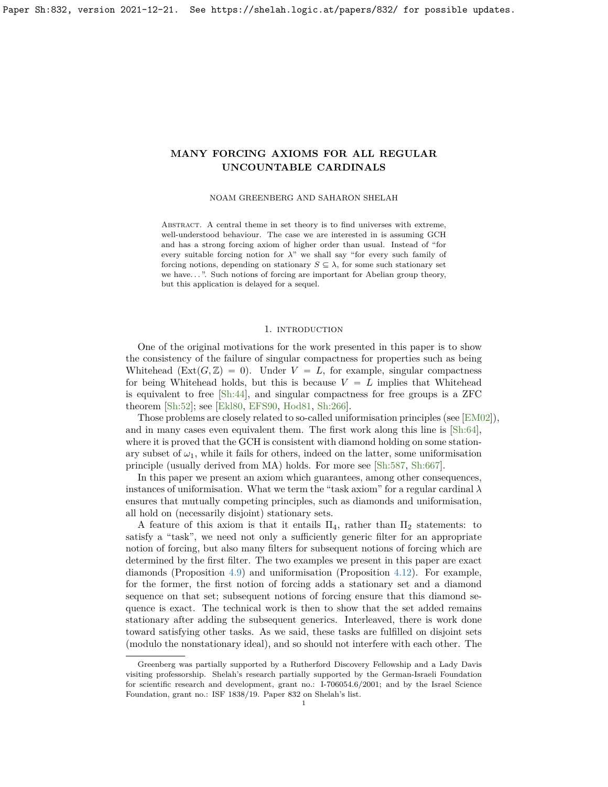NOAM GREENBERG AND SAHARON SHELAH

ABSTRACT. A central theme in set theory is to find universes with extreme, well-understood behaviour. The case we are interested in is assuming GCH and has a strong forcing axiom of higher order than usual. Instead of "for every suitable forcing notion for  $\lambda$ " we shall say "for every such family of forcing notions, depending on stationary  $S \subseteq \lambda$ , for some such stationary set we have...". Such notions of forcing are important for Abelian group theory, but this application is delayed for a sequel.

### 1. introduction

One of the original motivations for the work presented in this paper is to show the consistency of the failure of singular compactness for properties such as being Whitehead  $(Ext(G, \mathbb{Z}) = 0)$ . Under  $V = L$ , for example, singular compactness for being Whitehead holds, but this is because  $V = L$  implies that Whitehead is equivalent to free [\[Sh:44\]](#page-29-0), and singular compactness for free groups is a ZFC theorem [\[Sh:52\]](#page-29-1); see [\[Ekl80,](#page-29-2) [EFS90,](#page-29-3) [Hod81,](#page-29-4) [Sh:266\]](#page-29-5).

Those problems are closely related to so-called uniformisation principles (see [\[EM02\]](#page-29-6)), and in many cases even equivalent them. The first work along this line is [\[Sh:64\]](#page-29-7), where it is proved that the GCH is consistent with diamond holding on some stationary subset of  $\omega_1$ , while it fails for others, indeed on the latter, some uniformisation principle (usually derived from MA) holds. For more see [\[Sh:587,](#page-29-8) [Sh:667\]](#page-29-9).

In this paper we present an axiom which guarantees, among other consequences, instances of uniformisation. What we term the "task axiom" for a regular cardinal *λ* ensures that mutually competing principles, such as diamonds and uniformisation, all hold on (necessarily disjoint) stationary sets.

A feature of this axiom is that it entails  $\Pi_4$ , rather than  $\Pi_2$  statements: to satisfy a "task", we need not only a sufficiently generic filter for an appropriate notion of forcing, but also many filters for subsequent notions of forcing which are determined by the first filter. The two examples we present in this paper are exact diamonds (Proposition [4.9\)](#page-22-0) and uniformisation (Proposition [4.12\)](#page-23-0). For example, for the former, the first notion of forcing adds a stationary set and a diamond sequence on that set; subsequent notions of forcing ensure that this diamond sequence is exact. The technical work is then to show that the set added remains stationary after adding the subsequent generics. Interleaved, there is work done toward satisfying other tasks. As we said, these tasks are fulfilled on disjoint sets (modulo the nonstationary ideal), and so should not interfere with each other. The

Greenberg was partially supported by a Rutherford Discovery Fellowship and a Lady Davis visiting professorship. Shelah's research partially supported by the German-Israeli Foundation for scientific research and development, grant no.: I-706054.6/2001; and by the Israel Science Foundation, grant no.: ISF 1838/19. Paper 832 on Shelah's list.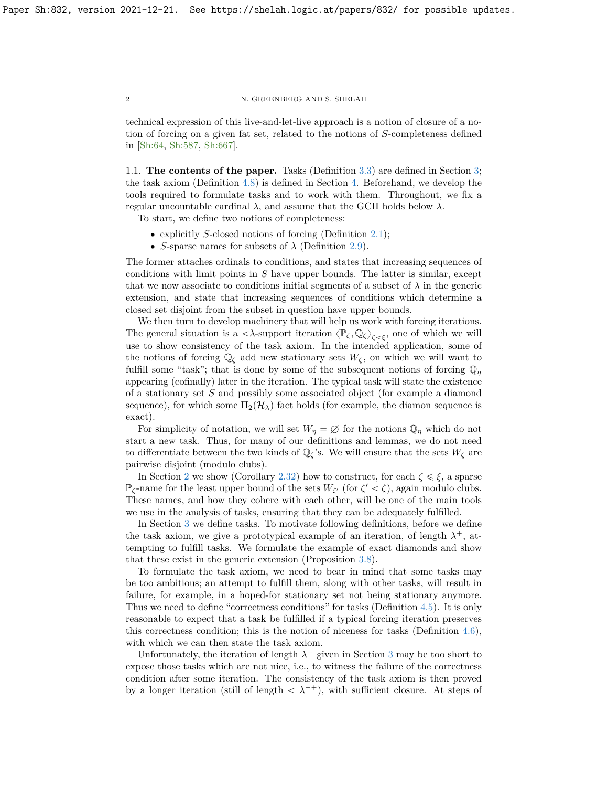technical expression of this live-and-let-live approach is a notion of closure of a notion of forcing on a given fat set, related to the notions of *S*-completeness defined in [\[Sh:64,](#page-29-7) [Sh:587,](#page-29-8) [Sh:667\]](#page-29-9).

1.1. **The contents of the paper.** Tasks (Definition [3.3\)](#page-15-0) are defined in Section [3;](#page-14-0) the task axiom (Definition [4.8\)](#page-22-1) is defined in Section [4.](#page-19-0) Beforehand, we develop the tools required to formulate tasks and to work with them. Throughout, we fix a regular uncountable cardinal *λ*, and assume that the GCH holds below *λ*.

To start, we define two notions of completeness:

- ' explicitly *S*-closed notions of forcing (Definition [2.1\)](#page-3-0);
- *S*-sparse names for subsets of  $\lambda$  (Definition [2.9\)](#page-5-0).

The former attaches ordinals to conditions, and states that increasing sequences of conditions with limit points in *S* have upper bounds. The latter is similar, except that we now associate to conditions initial segments of a subset of  $\lambda$  in the generic extension, and state that increasing sequences of conditions which determine a closed set disjoint from the subset in question have upper bounds.

We then turn to develop machinery that will help us work with forcing iterations. The general situation is a  $\langle \mathbb{P}_{\zeta}, \mathbb{Q}_{\zeta} \rangle_{\zeta \leq \xi}$ , one of which we will use to show consistency of the task axiom. In the intended application, some of the notions of forcing  $\mathbb{Q}_\zeta$  add new stationary sets  $W_\zeta$ , on which we will want to fulfill some "task"; that is done by some of the subsequent notions of forcing  $\mathbb{Q}_n$ appearing (cofinally) later in the iteration. The typical task will state the existence of a stationary set *S* and possibly some associated object (for example a diamond sequence), for which some  $\Pi_2(\mathcal{H}_\lambda)$  fact holds (for example, the diamon sequence is exact).

For simplicity of notation, we will set  $W_\eta = \varnothing$  for the notions  $\mathbb{Q}_\eta$  which do not start a new task. Thus, for many of our definitions and lemmas, we do not need to differentiate between the two kinds of  $\mathbb{Q}_\zeta$ 's. We will ensure that the sets  $W_\zeta$  are pairwise disjoint (modulo clubs).

In Section [2](#page-3-1) we show (Corollary [2.32\)](#page-12-0) how to construct, for each  $\zeta \leq \xi$ , a sparse  $\mathbb{P}_{\zeta}$ -name for the least upper bound of the sets  $W_{\zeta}$ <sup>*(for*  $\zeta' < \zeta$ *)*, again modulo clubs.</sup> These names, and how they cohere with each other, will be one of the main tools we use in the analysis of tasks, ensuring that they can be adequately fulfilled.

In Section [3](#page-14-0) we define tasks. To motivate following definitions, before we define the task axiom, we give a prototypical example of an iteration, of length  $\lambda^+$ , attempting to fulfill tasks. We formulate the example of exact diamonds and show that these exist in the generic extension (Proposition [3.8\)](#page-17-0).

To formulate the task axiom, we need to bear in mind that some tasks may be too ambitious; an attempt to fulfill them, along with other tasks, will result in failure, for example, in a hoped-for stationary set not being stationary anymore. Thus we need to define "correctness conditions" for tasks (Definition [4.5\)](#page-22-2). It is only reasonable to expect that a task be fulfilled if a typical forcing iteration preserves this correctness condition; this is the notion of niceness for tasks (Definition  $4.6$ ), with which we can then state the task axiom.

Unfortunately, the iteration of length  $\lambda^+$  given in Section [3](#page-14-0) may be too short to expose those tasks which are not nice, i.e., to witness the failure of the correctness condition after some iteration. The consistency of the task axiom is then proved by a longer iteration (still of length  $\langle \lambda^{++} \rangle$ , with sufficient closure. At steps of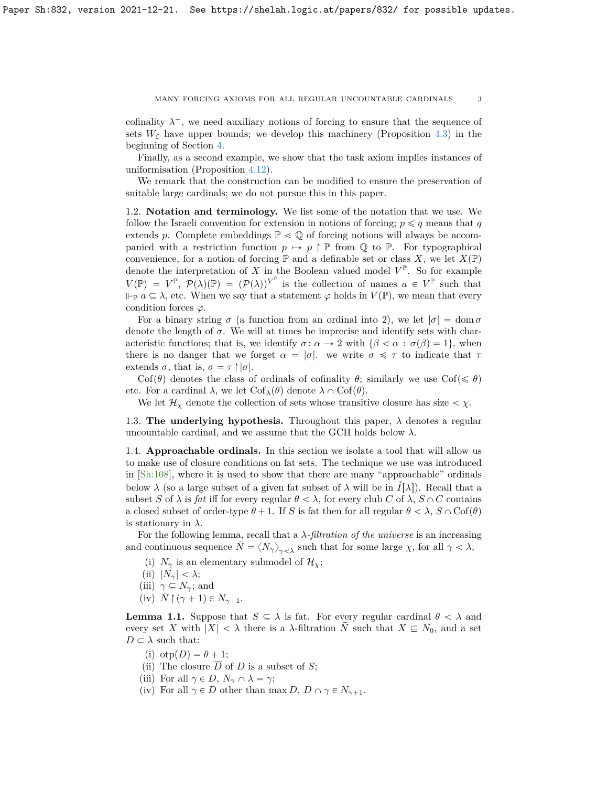#### MANY FORCING AXIOMS FOR ALL REGULAR UNCOUNTABLE CARDINALS  $\qquad \quad \ \ \, 3$

cofinality  $\lambda^+$ , we need auxiliary notions of forcing to ensure that the sequence of sets  $W_{\zeta}$  have upper bounds; we develop this machinery (Proposition [4.3\)](#page-20-0) in the beginning of Section [4.](#page-19-0)

Finally, as a second example, we show that the task axiom implies instances of uniformisation (Proposition [4.12\)](#page-23-0).

We remark that the construction can be modified to ensure the preservation of suitable large cardinals; we do not pursue this in this paper.

1.2. **Notation and terminology.** We list some of the notation that we use. We follow the Israeli convention for extension in notions of forcing;  $p \leq q$  means that *q* extends p. Complete embeddings  $\mathbb{P} \leq \mathbb{Q}$  of forcing notions will always be accompanied with a restriction function  $p \mapsto p \upharpoonright \mathbb{P}$  from  $\mathbb{Q}$  to  $\mathbb{P}$ . For typographical convenience, for a notion of forcing  $\mathbb P$  and a definable set or class X, we let  $X(\mathbb P)$ denote the interpretation of *X* in the Boolean valued model  $V^{\mathbb{P}}$ . So for example  $V(\mathbb{P}) = V^{\mathbb{P}}, P(\lambda)(\mathbb{P}) = (P(\lambda))^{V^{\mathbb{P}}}$  is the collection of names  $a \in V^{\mathbb{P}}$  such that  $\Vdash_{\mathbb{P}} a \subseteq \lambda$ , etc. When we say that a statement  $\varphi$  holds in  $V(\mathbb{P})$ , we mean that every condition forces *ϕ*.

For a binary string  $\sigma$  (a function from an ordinal into 2), we let  $|\sigma| = \text{dom }\sigma$ denote the length of  $\sigma$ . We will at times be imprecise and identify sets with characteristic functions; that is, we identify  $\sigma: \alpha \to 2$  with  $\{\beta < \alpha : \sigma(\beta) = 1\}$ , when there is no danger that we forget  $\alpha = |\sigma|$ . we write  $\sigma \leq \tau$  to indicate that  $\tau$ extends  $\sigma$ , that is,  $\sigma = \tau \restriction |\sigma|$ .

 $\text{Cof}(\theta)$  denotes the class of ordinals of cofinality  $\theta$ ; similarly we use  $\text{Cof}(\leq \theta)$ etc. For a cardinal  $\lambda$ , we let  $Cof_{\lambda}(\theta)$  denote  $\lambda \cap Cof(\theta)$ .

We let  $\mathcal{H}_{\chi}$  denote the collection of sets whose transitive closure has size  $\langle \chi \rangle$ .

1.3. **The underlying hypothesis.** Throughout this paper,  $\lambda$  denotes a regular uncountable cardinal, and we assume that the GCH holds below  $\lambda$ .

1.4. **Approachable ordinals.** In this section we isolate a tool that will allow us to make use of closure conditions on fat sets. The technique we use was introduced in [\[Sh:108\]](#page-29-10), where it is used to show that there are many "approachable" ordinals below  $\lambda$  (so a large subset of a given fat subset of  $\lambda$  will be in  $\tilde{I}[\lambda]$ ). Recall that a subset *S* of  $\lambda$  is *fat* iff for every regular  $\theta < \lambda$ , for every club *C* of  $\lambda$ ,  $S \cap C$  contains a closed subset of order-type  $\theta + 1$ . If *S* is fat then for all regular  $\theta < \lambda$ ,  $S \cap \text{Cof}(\theta)$ is stationary in *λ*.

For the following lemma, recall that a  $\lambda$ -*filtration of the universe* is an increasing and continuous sequence  $\overline{N} = \langle N_{\gamma} \rangle_{\gamma < \lambda}$  such that for some large *χ*, for all  $\gamma < \lambda$ ,

- (i)  $N_{\gamma}$  is an elementary submodel of  $\mathcal{H}_{\chi}$ ;
- (ii)  $|N_{\gamma}| < \lambda$ ;
- (iii)  $\gamma \subseteq N_{\gamma}$ ; and
- $(iv) N \upharpoonright (\gamma + 1) \in N_{\gamma+1}.$

<span id="page-2-0"></span>**Lemma 1.1.** Suppose that  $S \subseteq \lambda$  is fat. For every regular cardinal  $\theta < \lambda$  and every set X with  $|X| < \lambda$  there is a  $\lambda$ -filtration  $\overline{N}$  such that  $X \subseteq N_0$ , and a set  $D \subset \lambda$  such that:

- (i)  $otp(D) = \theta + 1;$
- (ii) The closure  $\overline{D}$  of  $D$  is a subset of  $S$ ;
- (iii) For all  $\gamma \in D$ ,  $N_{\gamma} \cap \lambda = \gamma$ ;
- (iv) For all  $\gamma \in D$  other than max  $D, D \cap \gamma \in N_{\gamma+1}$ .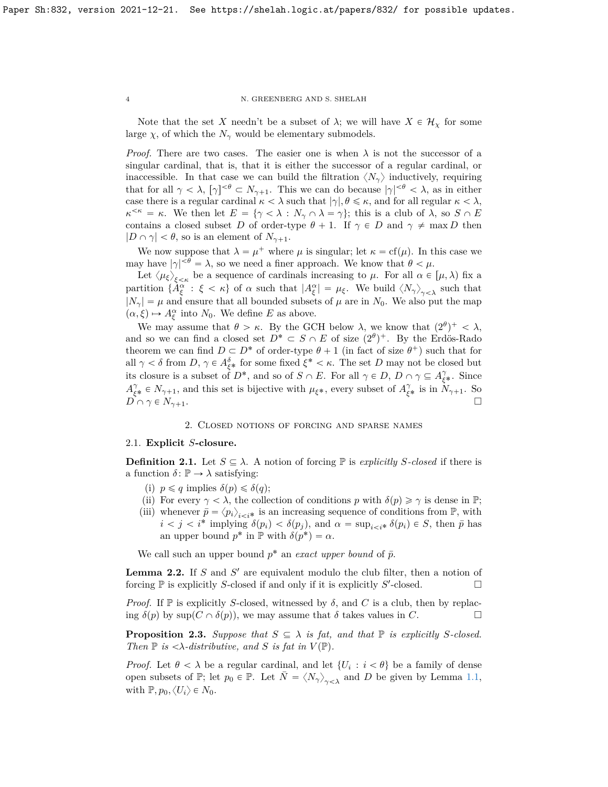Note that the set X needn't be a subset of  $\lambda$ ; we will have  $X \in \mathcal{H}_{\chi}$  for some large  $\chi$ , of which the  $N_{\gamma}$  would be elementary submodels.

*Proof.* There are two cases. The easier one is when  $\lambda$  is not the successor of a singular cardinal, that is, that it is either the successor of a regular cardinal, or inaccessible. In that case we can build the filtration  $\langle N_{\gamma} \rangle$  inductively, requiring that for all  $\gamma < \lambda$ ,  $[\gamma]^{< \theta} \subset N_{\gamma+1}$ . This we can do because  $|\gamma|^{< \theta} < \lambda$ , as in either case there is a regular cardinal  $\kappa < \lambda$  such that  $|\gamma|, \theta \leq \kappa$ , and for all regular  $\kappa < \lambda$ ,  $\kappa^{< \kappa} = \kappa$ . We then let  $E = \{ \gamma < \lambda : N_\gamma \cap \lambda = \gamma \};$  this is a club of  $\lambda$ , so  $S \cap E$ contains a closed subset *D* of order-type  $\theta + 1$ . If  $\gamma \in D$  and  $\gamma \neq \max D$  then  $|D \cap \gamma| < \theta$ , so is an element of  $N_{\gamma+1}$ .

We now suppose that  $\lambda = \mu^+$  where  $\mu$  is singular; let  $\kappa = cf(\mu)$ . In this case we may have  $|\gamma|^{< \theta} = \lambda$ , so we need a finer approach. We know that  $\theta < \mu$ .

Let  $\langle \mu_{\xi} \rangle_{\xi \leq \kappa}$  be a sequence of cardinals increasing to  $\mu$ . For all  $\alpha \in [\mu, \lambda)$  fix a partition  $\{A_{\xi}^{\alpha} : \xi < \kappa\}$  of  $\alpha$  such that  $|A_{\xi}^{\alpha}| = \mu_{\xi}$ . We build  $\langle N_{\gamma} \rangle_{\gamma < \lambda}$  such that  $|N_{\gamma}| = \mu$  and ensure that all bounded subsets of  $\mu$  are in  $N_0$ . We also put the map  $(\alpha, \xi) \mapsto A_{\xi}^{\alpha}$  into  $N_0$ . We define *E* as above.

We may assume that  $\theta > \kappa$ . By the GCH below  $\lambda$ , we know that  $(2^{\theta})^+ < \lambda$ , and so we can find a closed set  $D^* \subset S \cap E$  of size  $(2^{\theta})^+$ . By the Erdös-Rado theorem we can find  $D \subset D^*$  of order-type  $\theta + 1$  (in fact of size  $\theta^+$ ) such that for all  $\gamma < \delta$  from *D*,  $\gamma \in A_{\xi^*}^{\delta}$  for some fixed  $\xi^* < \kappa$ . The set *D* may not be closed but its closure is a subset of  $D^*$ , and so of  $S \cap E$ . For all  $\gamma \in D$ ,  $D \cap \gamma \subseteq A_{\xi^*}^{\gamma}$ . Since  $A_{\xi^*}^{\gamma} \in N_{\gamma+1}$ , and this set is bijective with  $\mu_{\xi^*}$ , every subset of  $A_{\xi^*}^{\gamma}$  is in  $N_{\gamma+1}$ . So  $D \cap \gamma \in N_{\gamma+1}.$ 

## 2. Closed notions of forcing and sparse names

# <span id="page-3-1"></span><span id="page-3-0"></span>2.1. **Explicit** *S***-closure.**

**Definition 2.1.** Let  $S \subseteq \lambda$ . A notion of forcing  $\mathbb{P}$  is *explicitly S*-closed if there is a function  $\delta: \mathbb{P} \to \lambda$  satisfying:

- (i)  $p \leq q$  implies  $\delta(p) \leq \delta(q)$ ;
- (ii) For every  $\gamma < \lambda$ , the collection of conditions p with  $\delta(p) \geq \gamma$  is dense in P;
- (iii) whenever  $\bar{p} = \langle p_i \rangle_{i \leq i^*}$  is an increasing sequence of conditions from P, with  $i < j < i^*$  implying  $\delta(p_i) < \delta(p_j)$ , and  $\alpha = \sup_{i < i^*} \delta(p_i) \in S$ , then  $\bar{p}$  has an upper bound  $p^*$  in  $\mathbb P$  with  $\delta(p^*) = \alpha$ .

We call such an upper bound  $p^*$  an *exact upper bound* of  $\bar{p}$ .

<span id="page-3-3"></span>**Lemma 2.2.** If  $S$  and  $S'$  are equivalent modulo the club filter, then a notion of forcing  $\mathbb P$  is explicitly *S*-closed if and only if it is explicitly *S'*-closed.

*Proof.* If  $\mathbb P$  is explicitly *S*-closed, witnessed by  $\delta$ , and *C* is a club, then by replacing  $\delta(p)$  by sup $(C \cap \delta(p))$ , we may assume that  $\delta$  takes values in  $C$ .

<span id="page-3-2"></span>**Proposition 2.3.** Suppose that  $S \subseteq \lambda$  is fat, and that  $\mathbb{P}$  is explicitly *S*-closed. *Then*  $\mathbb P$  *is*  $\langle \lambda \cdot \text{distributive}, \text{ and } S$  *is fat in*  $V(\mathbb P)$ *.* 

*Proof.* Let  $\theta < \lambda$  be a regular cardinal, and let  $\{U_i : i < \theta\}$  be a family of dense open subsets of  $\mathbb{P}$ ; let  $p_0 \in \mathbb{P}$ . Let  $\overline{N} = \langle N_{\gamma} \rangle_{\gamma < \lambda}$  and *D* be given by Lemma [1.1,](#page-2-0) with  $\mathbb{P}, p_0, \langle U_i \rangle \in N_0$ .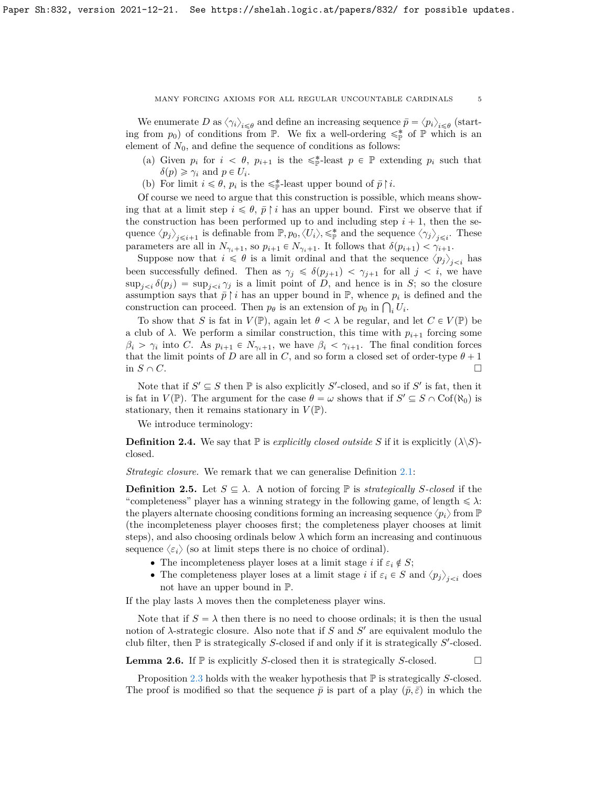We enumerate D as  $\langle \gamma_i \rangle_{i \le \theta}$  and define an increasing sequence  $\bar{p} = \langle p_i \rangle_{i \le \theta}$  (starting from  $p_0$ ) of conditions from  $\mathbb{P}$ . We fix a well-ordering  $\leq^*_{\mathbb{P}}$  of  $\mathbb{P}$  which is an element of  $N_0$ , and define the sequence of conditions as follows:

- (a) Given  $p_i$  for  $i < \theta$ ,  $p_{i+1}$  is the  $\leq \mathbb{P}$ -least  $p \in \mathbb{P}$  extending  $p_i$  such that  $\delta(p) \geq \gamma_i$  and  $p \in U_i$ .
- (b) For limit  $i \le \theta$ ,  $p_i$  is the  $\le^*_{\mathbb{P}}$ -least upper bound of  $\bar{p} \nmid i$ .

Of course we need to argue that this construction is possible, which means showing that at a limit step  $i \leq \theta$ ,  $\bar{p} \restriction i$  has an upper bound. First we observe that if the construction has been performed up to and including step  $i + 1$ , then the sequence  $\langle p_j \rangle_{j \leq i+1}$  is definable from  $\mathbb{P}, p_0, \langle U_i \rangle, \leq \mathbb{P}$  and the sequence  $\langle \gamma_j \rangle_{j \leq i}$ . These parameters are all in  $N_{\gamma_i+1}$ , so  $p_{i+1} \in N_{\gamma_i+1}$ . It follows that  $\delta(p_{i+1}) < \gamma_{i+1}$ .

Suppose now that  $i \leq \theta$  is a limit ordinal and that the sequence  $\langle p_j \rangle_{j \leq i}$  has been successfully defined. Then as  $\gamma_j \leq \delta(p_{j+1}) < \gamma_{j+1}$  for all  $j < i$ , we have  $\sup_{j \leq i} \delta(p_j) = \sup_{j \leq i} \gamma_j$  is a limit point of *D*, and hence is in *S*; so the closure assumption says that  $\bar{p} \restriction i$  has an upper bound in  $\mathbb{P}$ , whence  $p_i$  is defined and the assumption says that  $p \restriction i$  has an upper bound in  $\mathbb{P}$ , whence  $p_i$  is construction can proceed. Then  $p_\theta$  is an extension of  $p_0$  in  $\bigcap_i U_i$ .

To show that *S* is fat in  $V(\mathbb{P})$ , again let  $\theta < \lambda$  be regular, and let  $C \in V(\mathbb{P})$  be a club of  $\lambda$ . We perform a similar construction, this time with  $p_{i+1}$  forcing some  $\beta_i > \gamma_i$  into *C*. As  $p_{i+1} \in N_{\gamma_i+1}$ , we have  $\beta_i < \gamma_{i+1}$ . The final condition forces that the limit points of *D* are all in *C*, and so form a closed set of order-type  $\theta + 1$ in  $S \cap C$ .

Note that if  $S' \subseteq S$  then  $\mathbb P$  is also explicitly  $S'$ -closed, and so if  $S'$  is fat, then it is fat in  $V(\mathbb{P})$ . The argument for the case  $\theta = \omega$  shows that if  $S' \subseteq S \cap \text{Cof}(\aleph_0)$  is stationary, then it remains stationary in  $V(\mathbb{P})$ .

We introduce terminology:

**Definition 2.4.** We say that  $\mathbb{P}$  is *explicitly closed outside S* if it is explicitly  $(\lambda \setminus S)$ closed.

*Strategic closure.* We remark that we can generalise Definition [2.1:](#page-3-0)

**Definition 2.5.** Let  $S \subseteq \lambda$ . A notion of forcing  $\mathbb{P}$  is *strategically S-closed* if the "completeness" player has a winning strategy in the following game, of length  $\leq \lambda$ : the players alternate choosing conditions forming an increasing sequence  $\langle p_i \rangle$  from  $\mathbb P$ (the incompleteness player chooses first; the completeness player chooses at limit steps), and also choosing ordinals below  $\lambda$  which form an increasing and continuous sequence  $\langle \varepsilon_i \rangle$  (so at limit steps there is no choice of ordinal).

- The incompleteness player loses at a limit stage *i* if  $\varepsilon_i \notin S$ ;
- The completeness player loses at a limit stage *i* if  $\varepsilon_i \in S$  and  $\langle p_j \rangle_{j \leq i}$  does not have an upper bound in P.

If the play lasts  $\lambda$  moves then the completeness player wins.

Note that if  $S = \lambda$  then there is no need to choose ordinals; it is then the usual notion of  $\lambda$ -strategic closure. Also note that if *S* and *S'* are equivalent modulo the club filter, then  $\mathbb P$  is strategically *S*-closed if and only if it is strategically *S'*-closed.

**Lemma 2.6.** If  $\mathbb{P}$  is explicitly *S*-closed then it is strategically *S*-closed.  $\Box$ 

Proposition [2.3](#page-3-2) holds with the weaker hypothesis that P is strategically *S*-closed. The proof is modified so that the sequence  $\bar{p}$  is part of a play  $(\bar{p}, \bar{\varepsilon})$  in which the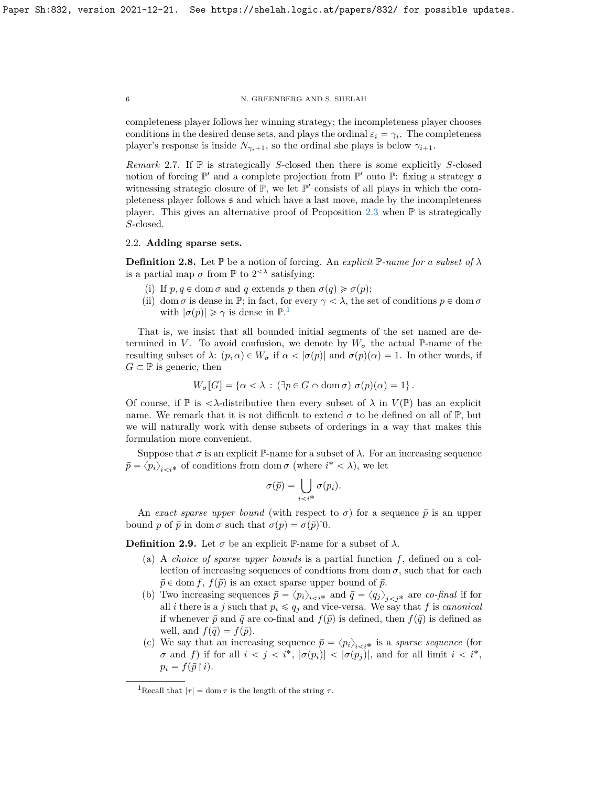completeness player follows her winning strategy; the incompleteness player chooses conditions in the desired dense sets, and plays the ordinal  $\varepsilon_i = \gamma_i$ . The completeness player's response is inside  $N_{\gamma_i+1}$ , so the ordinal she plays is below  $\gamma_{i+1}$ .

*Remark* 2.7*.* If P is strategically *S*-closed then there is some explicitly *S*-closed notion of forcing  $\mathbb{P}'$  and a complete projection from  $\mathbb{P}'$  onto  $\mathbb{P}$ : fixing a strategy  $\mathfrak s$ witnessing strategic closure of  $\mathbb{P}$ , we let  $\mathbb{P}'$  consists of all plays in which the completeness player follows s and which have a last move, made by the incompleteness player. This gives an alternative proof of Proposition [2.3](#page-3-2) when  $\mathbb P$  is strategically *S*-closed.

## 2.2. **Adding sparse sets.**

**Definition 2.8.** Let  $\mathbb{P}$  be a notion of forcing. An *explicit*  $\mathbb{P}$ *-name for a subset of*  $\lambda$ is a partial map  $\sigma$  from  $\mathbb P$  to  $2^{<\lambda}$  satisfying:

- (i) If  $p, q \in \text{dom } \sigma$  and  $q$  extends  $p$  then  $\sigma(q) \geq \sigma(p)$ ;
- (ii) dom  $\sigma$  is dense in P; in fact, for every  $\gamma < \lambda$ , the set of conditions  $p \in \text{dom } \sigma$ with  $|\sigma(p)| \ge \gamma$  is dense in  $\mathbb{P}^1$  $\mathbb{P}^1$ .

That is, we insist that all bounded initial segments of the set named are determined in *V*. To avoid confusion, we denote by  $W_{\sigma}$  the actual P-name of the resulting subset of  $\lambda$ :  $(p, \alpha) \in W_{\sigma}$  if  $\alpha < |\sigma(p)|$  and  $\sigma(p)(\alpha) = 1$ . In other words, if  $G \subset \mathbb{P}$  is generic, then

$$
W_{\sigma}[G] = \{ \alpha < \lambda : (\exists p \in G \cap \text{dom } \sigma) \ \sigma(p)(\alpha) = 1 \}.
$$

Of course, if  $\mathbb P$  is  $\langle \lambda \lambda A$ -distributive then every subset of  $\lambda$  in  $V(\mathbb P)$  has an explicit name. We remark that it is not difficult to extend  $\sigma$  to be defined on all of  $\mathbb{P}$ , but we will naturally work with dense subsets of orderings in a way that makes this formulation more convenient.

Suppose that  $\sigma$  is an explicit P-name for a subset of  $\lambda$ . For an increasing sequence  $\bar{p} = \langle p_i \rangle_{i \leq i^*}$  of conditions from dom *σ* (where  $i^* \leq \lambda$ ), we let

$$
\sigma(\bar{p}) = \bigcup_{i < i^*} \sigma(p_i).
$$

An *exact sparse upper bound* (with respect to  $\sigma$ ) for a sequence  $\bar{p}$  is an upper bound *p* of  $\bar{p}$  in dom *σ* such that  $\sigma(p) = \sigma(\bar{p})^0$ .

<span id="page-5-0"></span>**Definition 2.9.** Let  $\sigma$  be an explicit P-name for a subset of  $\lambda$ .

- (a) A *choice of sparse upper bounds* is a partial function *f*, defined on a collection of increasing sequences of condtions from dom  $\sigma$ , such that for each  $\bar{p} \in \text{dom } f, f(\bar{p})$  is an exact sparse upper bound of  $\bar{p}$ .
- (b) Two increasing sequences  $\bar{p} = \langle p_i \rangle_{i \leq i^*}$  and  $\bar{q} = \langle q_j \rangle_{j \leq j^*}$  are *co-final* if for all *i* there is a *j* such that  $p_i \leq q_i$  and vice-versa. We say that *f* is *canonical* if whenever  $\bar{p}$  and  $\bar{q}$  are co-final and  $f(\bar{p})$  is defined, then  $f(\bar{q})$  is defined as well, and  $f(\bar{q}) = f(\bar{p})$ .
- (c) We say that an increasing sequence  $\bar{p} = \langle p_i \rangle_{i \leq i^*}$  is a *sparse sequence* (for *σ* and *f*) if for all  $i < j < i^*$ ,  $|\sigma(p_i)| < |\sigma(p_j)|$ , and for all limit  $i < i^*$ ,  $p_i = f(\bar{p} \restriction i).$

<span id="page-5-1"></span><sup>&</sup>lt;sup>1</sup>Recall that  $|\tau| = \text{dom } \tau$  is the length of the string  $\tau$ .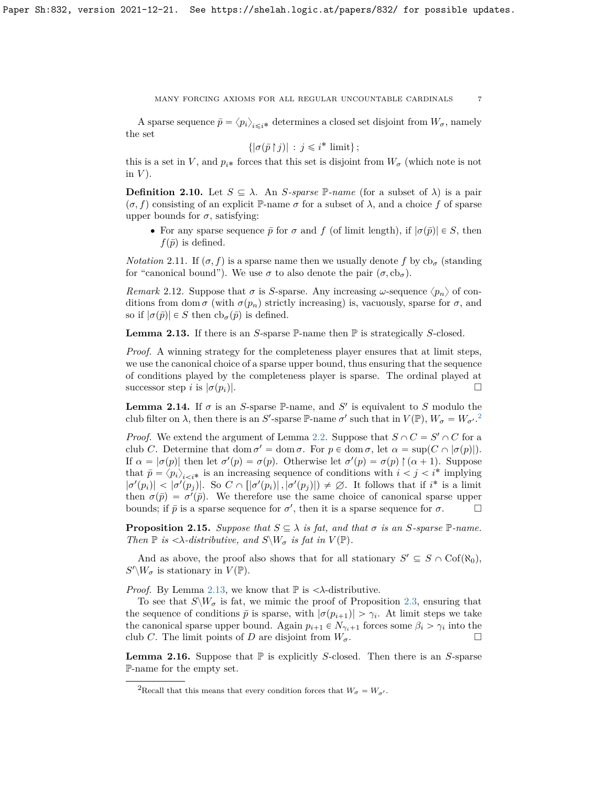A sparse sequence  $\bar{p} = \langle p_i \rangle_{i \leq i*}$  determines a closed set disjoint from  $W_{\sigma}$ , namely the set

$$
\{|\sigma(\bar{p}\upharpoonright j)|\,:\,j\leqslant i^*\,\,{\rm limit}\}\,;
$$

this is a set in *V*, and  $p_{i*}$  forces that this set is disjoint from  $W_{\sigma}$  (which note is not in  $V$ ).

**Definition 2.10.** Let  $S \subseteq \lambda$ . An *S*-sparse P-name (for a subset of  $\lambda$ ) is a pair  $(\sigma, f)$  consisting of an explicit P-name  $\sigma$  for a subset of  $\lambda$ , and a choice f of sparse upper bounds for  $\sigma$ , satisfying:

• For any sparse sequence  $\bar{p}$  for  $\sigma$  and  $f$  (of limit length), if  $|\sigma(\bar{p})| \in S$ , then  $f(\bar{p})$  is defined.

*Notation* 2.11. If  $(\sigma, f)$  is a sparse name then we usually denote f by  $cb_\sigma$  (standing for "canonical bound"). We use  $\sigma$  to also denote the pair  $(\sigma, cb_{\sigma})$ .

*Remark* 2.12*.* Suppose that  $\sigma$  is *S*-sparse. Any increasing  $\omega$ -sequence  $\langle p_n \rangle$  of conditions from dom  $\sigma$  (with  $\sigma(p_n)$  strictly increasing) is, vacuously, sparse for  $\sigma$ , and so if  $|\sigma(\bar{p})| \in S$  then  $cb_{\sigma}(\bar{p})$  is defined.

<span id="page-6-1"></span>**Lemma 2.13.** If there is an *S*-sparse P-name then P is strategically *S*-closed.

*Proof.* A winning strategy for the completeness player ensures that at limit steps, we use the canonical choice of a sparse upper bound, thus ensuring that the sequence of conditions played by the completeness player is sparse. The ordinal played at successor step *i* is  $|\sigma(p_i)|$ .

<span id="page-6-3"></span>**Lemma 2.14.** If  $\sigma$  is an *S*-sparse P-name, and *S'* is equivalent to *S* modulo the club filter on  $\lambda$ , then there is an *S*'-sparse P-name *σ*' such that in  $V(\mathbb{P})$ ,  $W_{\sigma} = W_{\sigma'}$ .<sup>[2](#page-6-0)</sup>

*Proof.* We extend the argument of Lemma [2.2.](#page-3-3) Suppose that  $S \cap C = S' \cap C$  for a club *C*. Determine that dom  $\sigma' = \text{dom } \sigma$ . For  $p \in \text{dom } \sigma$ , let  $\alpha = \text{sup}(C \cap |\sigma(p)|)$ . If  $\alpha = |\sigma(p)|$  then let  $\sigma'(p) = \sigma(p)$ . Otherwise let  $\sigma'(p) = \sigma(p) \upharpoonright (\alpha + 1)$ . Suppose that  $\bar{p} = \langle p_i \rangle_{i \leq i^*}$  is an increasing sequence of conditions with  $i \leq j \leq i^*$  implying  $|\sigma'(p_i)| < |\sigma'(p_j)|$ . So  $C \cap [|\sigma'(p_i)|, |\sigma'(p_j)|) \neq \emptyset$ . It follows that if *i*<sup>\*</sup> is a limit then  $\sigma(\bar{p}) = \sigma'(\bar{p})$ . We therefore use the same choice of canonical sparse upper bounds; if  $\bar{p}$  is a sparse sequence for  $\sigma'$ , then it is a sparse sequence for  $\sigma$ .

**Proposition 2.15.** *Suppose that*  $S \subseteq \lambda$  *is fat, and that*  $\sigma$  *is an S*-*sparse*  $\mathbb{P}$ *-name. Then*  $\mathbb{P}$  *is*  $\langle \lambda \cdot \text{distributive, and } S \setminus W_{\sigma}$  *is fat in*  $V(\mathbb{P})$ *.* 

And as above, the proof also shows that for all stationary  $S' \subseteq S \cap \text{Cof}(\aleph_0)$ ,  $S' \backslash W_{\sigma}$  is stationary in  $V(\mathbb{P})$ .

*Proof.* By Lemma [2.13,](#page-6-1) we know that  $\mathbb P$  is  $\langle \lambda$ -distributive.

To see that  $S\backslash W_{\sigma}$  is fat, we mimic the proof of Proposition [2.3,](#page-3-2) ensuring that the sequence of conditions  $\bar{p}$  is sparse, with  $|\sigma(p_{i+1})| > \gamma_i$ . At limit steps we take the canonical sparse upper bound. Again  $p_{i+1} \in N_{\gamma_i+1}$  forces some  $\beta_i > \gamma_i$  into the club *C*. The limit points of *D* are disjoint from  $W_{\sigma}$ .

<span id="page-6-2"></span>**Lemma 2.16.** Suppose that  $\mathbb{P}$  is explicitly *S*-closed. Then there is an *S*-sparse P-name for the empty set.

<span id="page-6-0"></span><sup>&</sup>lt;sup>2</sup>Recall that this means that every condition forces that  $W_{\sigma} = W_{\sigma'}$ .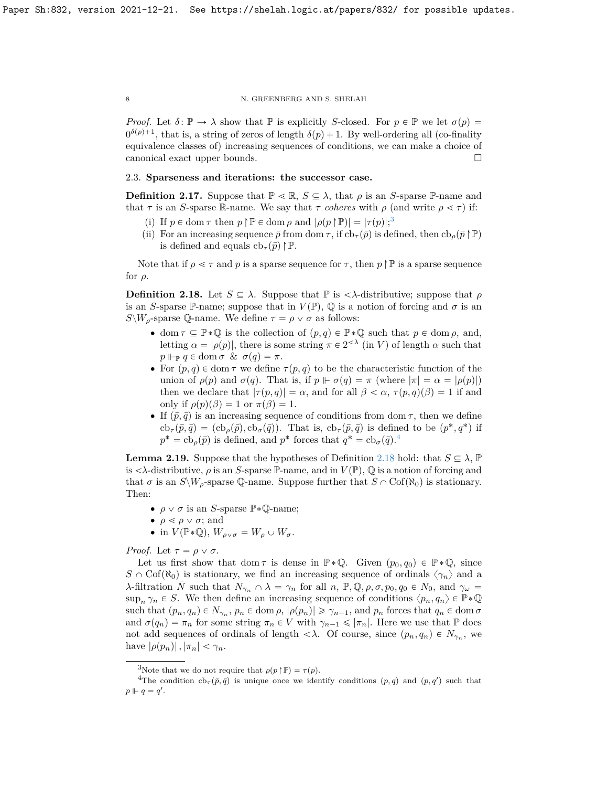*Proof.* Let  $\delta: \mathbb{P} \to \lambda$  show that  $\mathbb{P}$  is explicitly *S*-closed. For  $p \in \mathbb{P}$  we let  $\sigma(p) =$  $0^{\delta(p)+1}$ , that is, a string of zeros of length  $\delta(p)+1$ . By well-ordering all (co-finality equivalence classes of) increasing sequences of conditions, we can make a choice of canonical exact upper bounds.

### 2.3. **Sparseness and iterations: the successor case.**

**Definition 2.17.** Suppose that  $\mathbb{P} \leq \mathbb{R}$ ,  $S \subseteq \lambda$ , that  $\rho$  is an *S*-sparse P-name and that  $\tau$  is an *S*-sparse R-name. We say that  $\tau$  *coheres* with  $\rho$  (and write  $\rho \leq \tau$ ) if:

- (i) If  $p \in \text{dom } \tau$  then  $p \upharpoonright \mathbb{P} \in \text{dom } \rho$  and  $|\rho(p \upharpoonright \mathbb{P})| = |\tau(p)|$ ;<sup>[3](#page-7-0)</sup>
- (ii) For an increasing sequence  $\bar{p}$  from dom  $\tau$ , if  $cb_{\tau}(\bar{p})$  is defined, then  $cb_{\rho}(\bar{p} \restriction \mathbb{P})$ is defined and equals  $cb_{\tau}(\bar{p})\upharpoonright\mathbb{P}$ .

Note that if  $\rho \leq \tau$  and  $\bar{p}$  is a sparse sequence for  $\tau$ , then  $\bar{p} \upharpoonright \mathbb{P}$  is a sparse sequence for *ρ*.

<span id="page-7-2"></span>**Definition 2.18.** Let  $S \subseteq \lambda$ . Suppose that  $\mathbb{P}$  is  $\langle \lambda \rangle$ -distributive; suppose that  $\rho$ is an *S*-sparse P-name; suppose that in  $V(\mathbb{P})$ ,  $\mathbb{Q}$  is a notion of forcing and  $\sigma$  is an *S*\*W*<sub>*ρ*</sub>-sparse Q-name. We define  $\tau = \rho \vee \sigma$  as follows:

- $\bullet$  dom  $\tau \subseteq \mathbb{P} * \mathbb{Q}$  is the collection of  $(p, q) \in \mathbb{P} * \mathbb{Q}$  such that  $p \in \text{dom } \rho$ , and, letting  $\alpha = |\rho(p)|$ , there is some string  $\pi \in 2^{<\lambda}$  (in *V*) of length  $\alpha$  such that  $p \Vdash_{\mathbb{P}} q \in \text{dom } \sigma \ \& \ \sigma(q) = \pi.$
- For  $(p, q) \in \text{dom } \tau$  we define  $\tau(p, q)$  to be the characteristic function of the union of  $\rho(p)$  and  $\sigma(q)$ . That is, if  $p \Vdash \sigma(q) = \pi$  (where  $|\pi| = \alpha = |\rho(p)|$ ) then we declare that  $|\tau(p,q)| = \alpha$ , and for all  $\beta < \alpha$ ,  $\tau(p,q)(\beta) = 1$  if and only if  $\rho(p)(\beta) = 1$  or  $\pi(\beta) = 1$ .
- If  $(\bar{p}, \bar{q})$  is an increasing sequence of conditions from dom  $\tau$ , then we define  $\cosh(\bar{p}, \bar{q}) = (\cosh(\bar{p}), \cosh(\bar{q}))$ . That is,  $\cosh(\bar{p}, \bar{q})$  is defined to be  $(p^*, q^*)$  if  $p^* = cb_\rho(\bar{p})$  is defined, and  $p^*$  forces that  $q^* = cb_\sigma(\bar{q})$ .<sup>[4](#page-7-1)</sup>

<span id="page-7-3"></span>**Lemma 2.19.** Suppose that the hypotheses of Definition [2.18](#page-7-2) hold: that  $S \subseteq \lambda$ , P is  $\langle \lambda \cdot \text{distributive}, \rho \text{ is an } S\text{-sparse } \mathbb{P}\text{-name, and in } V(\mathbb{P}), \mathbb{Q} \text{ is a notion of forcing and }$ that  $\sigma$  is an  $S\backslash W_o$ -sparse  $\mathbb{Q}$ -name. Suppose further that  $S \cap \mathrm{Cof}(\aleph_0)$  is stationary. Then:

- $\rho \vee \sigma$  is an *S*-sparse  $\mathbb{P} \ast \mathbb{Q}$ -name;
- $\rho \ll \rho \lor \sigma$ ; and
- $\bullet$  in  $V(\mathbb{P} * \mathbb{Q}), W_{\rho \vee \sigma} = W_{\rho} \cup W_{\sigma}.$

*Proof.* Let  $\tau = \rho \vee \sigma$ .

Let us first show that dom  $\tau$  is dense in  $\mathbb{P} \ast \mathbb{Q}$ . Given  $(p_0, q_0) \in \mathbb{P} \ast \mathbb{Q}$ , since  $S \cap \mathrm{Cof}(\aleph_0)$  is stationary, we find an increasing sequence of ordinals  $\langle \gamma_n \rangle$  and a *λ*-filtration  $\overline{N}$  such that  $N_{\gamma_n} \cap \lambda = \gamma_n$  for all *n*,  $\mathbb{P}, \mathbb{Q}, \rho, \sigma, p_0, q_0 \in N_0$ , and  $\gamma_\omega =$  $\sup_n \gamma_n \in S$ . We then define an increasing sequence of conditions  $\langle p_n, q_n \rangle \in \mathbb{P} * \mathbb{Q}$ such that  $(p_n, q_n) \in N_{\gamma_n}$ ,  $p_n \in \text{dom } \rho$ ,  $|\rho(p_n)| \geq \gamma_{n-1}$ , and  $p_n$  forces that  $q_n \in \text{dom } \sigma$ and  $\sigma(q_n) = \pi_n$  for some string  $\pi_n \in V$  with  $\gamma_{n-1} \leqslant |\pi_n|$ . Here we use that P does not add sequences of ordinals of length  $\langle \lambda, \lambda \rangle$  Of course, since  $(p_n, q_n) \in N_{\gamma_n}$ , we have  $|\rho(p_n)|, |\pi_n| < \gamma_n$ .

<span id="page-7-1"></span><span id="page-7-0"></span><sup>&</sup>lt;sup>3</sup>Note that we do not require that  $\rho(p \nmid \mathbb{P}) = \tau(p)$ .

<sup>&</sup>lt;sup>4</sup>The condition  $cb_{\tau}(\bar{p}, \bar{q})$  is unique once we identify conditions  $(p, q)$  and  $(p, q')$  such that  $p \Vdash q = q'.$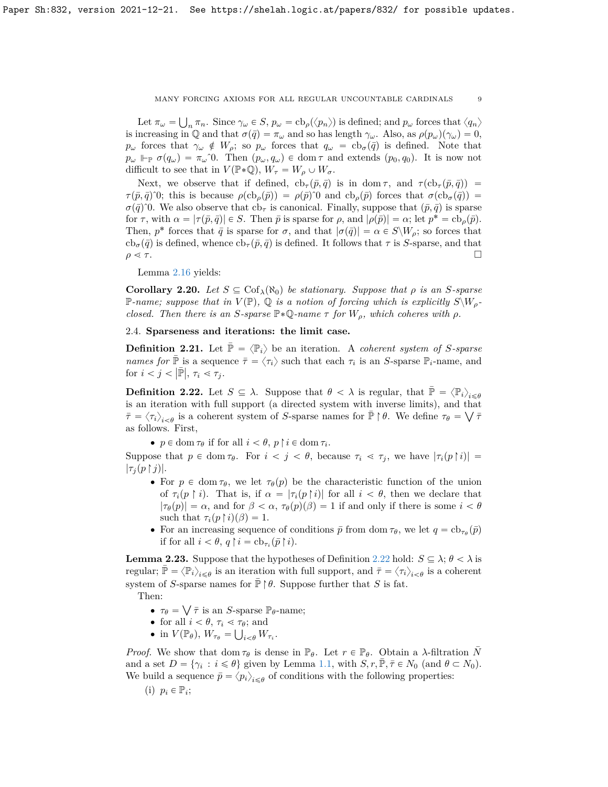## MANY FORCING AXIOMS FOR ALL REGULAR UNCOUNTABLE CARDINALS  $\hskip 1.5cm 9$

Let  $\pi_{\omega} = \bigcup_{n} \pi_{n}$ . Since  $\gamma_{\omega} \in S$ ,  $p_{\omega} = \text{cb}_{\rho}(\langle p_{n} \rangle)$  is defined; and  $p_{\omega}$  forces that  $\langle q_{n} \rangle$ is increasing in Q and that  $\sigma(\bar{q}) = \pi_\omega$  and so has length  $\gamma_\omega$ . Also, as  $\rho(p_\omega)(\gamma_\omega) = 0$ , *p*<sup>*w*</sup> forces that  $\gamma$ <sup>*ω*</sup>  $\notin W$ *ρ*; so *p*<sup>*ω*</sup> forces that  $q$ <sup>*ω*</sup> = cb<sub>*σ*</sub>( $\bar{q}$ ) is defined. Note that  $p_\omega \Vdash_{\mathbb{P}} \sigma(q_\omega) = \pi_\omega \hat{\mathcal{O}}$ . Then  $(p_\omega, q_\omega) \in \text{dom } \tau$  and extends  $(p_0, q_0)$ . It is now not difficult to see that in  $V(\mathbb{P} * \mathbb{Q}), W_\tau = W_\rho \cup W_\sigma$ .

Next, we observe that if defined,  $cb_{\tau}(\bar{p}, \bar{q})$  is in dom  $\tau$ , and  $\tau (cb_{\tau}(\bar{p}, \bar{q}))$  = *τ*( $\bar{p}, \bar{q}$ )<sup> $\hat{\theta}$ </sup>; this is because  $\rho$ ( $\text{cb}_\rho(\bar{p}) = \rho(\bar{p})^\gamma 0$  and  $\text{cb}_\rho(\bar{p})$  forces that  $\sigma$ ( $\text{cb}_\sigma(\bar{q})$ ) = *σ*( $\bar{q}$ )<sup> $\gamma$ </sup>0. We also observe that cb<sub>*τ*</sub> is canonical. Finally, suppose that  $(\bar{p}, \bar{q})$  is sparse for  $\tau$ , with  $\alpha = |\tau(\bar{p}, \bar{q})| \in S$ . Then  $\bar{p}$  is sparse for  $\rho$ , and  $|\rho(\bar{p})| = \alpha$ ; let  $p^* = \text{cb}_\rho(\bar{p})$ . Then,  $p^*$  forces that  $\bar{q}$  is sparse for  $\sigma$ , and that  $|\sigma(\bar{q})| = \alpha \in S \backslash W_\rho$ ; so forces that  $cb_{\sigma}(\bar{q})$  is defined, whence  $cb_{\tau}(\bar{p}, \bar{q})$  is defined. It follows that  $\tau$  is *S*-sparse, and that  $\rho \leq \tau$ .

Lemma [2.16](#page-6-2) yields:

**Corollary 2.20.** *Let*  $S \subseteq \text{Cof}_{\lambda}(\aleph_0)$  *be stationary. Suppose that*  $\rho$  *is an S*-sparse  $\mathbb{P}\text{-}name; suppose that in } V(\mathbb{P}), \mathbb{Q}$  *is a notion of forcing which is explicitly*  $S\backslash W_o$ *closed. Then there is an S-sparse*  $\mathbb{P} \ast \mathbb{Q}$ -name  $\tau$  *for*  $W_o$ *, which coheres with*  $\rho$ *.* 

## 2.4. **Sparseness and iterations: the limit case.**

**Definition 2.21.** Let  $\bar{\mathbb{P}} = \langle \mathbb{P}_i \rangle$  be an iteration. A *coherent system of S*-sparse *names for*  $\bar{\mathbb{P}}$  is a sequence  $\bar{\tau} = \langle \tau_i \rangle$  such that each  $\tau_i$  is an *S*-sparse  $\mathbb{P}_i$ -name, and for  $i < j < |\bar{P}|, \tau_i < \tau_j$ .

<span id="page-8-0"></span>**Definition 2.22.** Let  $S \subseteq \lambda$ . Suppose that  $\theta < \lambda$  is regular, that  $\overline{P} = \langle \mathbb{P}_i \rangle_{i \leq \theta}$ is an iteration with full support (a directed system with inverse limits), and that *τ*<sup> $\bar{\tau} = \langle \tau_i \rangle_{i \leq \theta}$  is a coherent system of *S*-sparse names for  $\bar{\mathbb{P}} \upharpoonright \theta$ . We define  $\tau_{\theta} = \sqrt{\bar{\tau}}$ </sup> as follows. First,

•  $p \in \text{dom } \tau_{\theta}$  if for all  $i < \theta, p \upharpoonright i \in \text{dom } \tau_i$ .

Suppose that  $p \in \text{dom } \tau_{\theta}$ . For  $i < j < \theta$ , because  $\tau_i < \tau_j$ , we have  $|\tau_i(p \nmid i)| =$  $|\tau_i(p \upharpoonright j)|$ .

- For  $p \in \text{dom } \tau_{\theta}$ , we let  $\tau_{\theta}(p)$  be the characteristic function of the union of  $\tau_i(p \restriction i)$ . That is, if  $\alpha = |\tau_i(p \restriction i)|$  for all  $i < \theta$ , then we declare that  $|\tau_{\theta}(p)| = \alpha$ , and for  $\beta < \alpha$ ,  $\tau_{\theta}(p)(\beta) = 1$  if and only if there is some  $i < \theta$ such that  $\tau_i(p \restriction i)(\beta) = 1$ .
- For an increasing sequence of conditions  $\bar{p}$  from dom  $\tau_{\theta}$ , we let  $q = \text{cb}_{\tau_{\theta}}(\bar{p})$ if for all  $i < \theta$ ,  $q \restriction i = \text{cb}_{\tau_i}(\bar{p} \restriction i)$ .

<span id="page-8-1"></span>**Lemma 2.23.** Suppose that the hypotheses of Definition [2.22](#page-8-0) hold:  $S \subseteq \lambda$ ;  $\theta < \lambda$  is regular;  $\bar{\mathbb{P}} = \langle \mathbb{P}_i \rangle_{i \leq \theta}$  is an iteration with full support, and  $\bar{\tau} = \langle \tau_i \rangle_{i \leq \theta}$  is a coherent system of *S*-sparse names for  $\bar{P} \upharpoonright \theta$ . Suppose further that *S* is fat.

Then:

- $\tau_{\theta} = \sqrt{\bar{\tau}}$  is an *S*-sparse  $\mathbb{P}_{\theta}$ -name;
- for all  $i < \theta$ ,  $\tau_i < \tau_{\theta}$ ; and
- in  $V(\mathbb{P}_{\theta}), W_{\tau_{\theta}} = \bigcup_{i < \theta} W_{\tau_i}.$

*Proof.* We show that dom  $\tau_{\theta}$  is dense in  $\mathbb{P}_{\theta}$ . Let  $r \in \mathbb{P}_{\theta}$ . Obtain a  $\lambda$ -filtration N and a set  $D = \{ \gamma_i : i \leq \theta \}$  given by Lemma [1.1,](#page-2-0) with  $S, r, \overline{\mathbb{P}}, \overline{\tau} \in N_0 \text{ (and } \theta \subset N_0).$ We build a sequence  $\bar{p} = \langle p_i \rangle_{i \le \theta}$  of conditions with the following properties:

 $(i)$   $p_i \in \mathbb{P}_i$ ;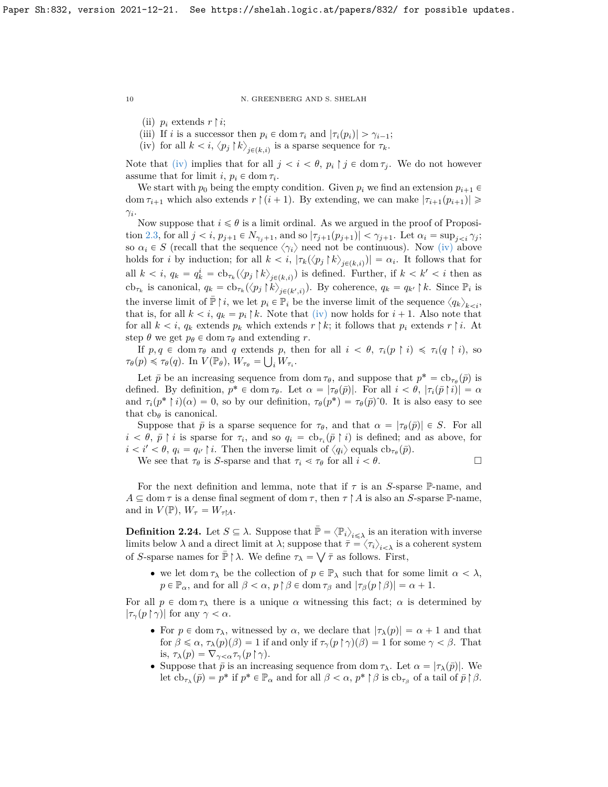- (ii)  $p_i$  extends  $r \restriction i$ ;
- (iii) If *i* is a successor then  $p_i \in \text{dom } \tau_i$  and  $|\tau_i(p_i)| > \gamma_{i-1}$ ;
- <span id="page-9-0"></span>(iv) for all  $k < i$ ,  $\langle p_j | k \rangle_{j \in (k,i)}$  is a sparse sequence for  $\tau_k$ .

Note that [\(iv\)](#page-9-0) implies that for all  $j < i < \theta$ ,  $p_i \upharpoonright j \in \text{dom } \tau_j$ . We do not however assume that for limit  $i, p_i \in \text{dom } \tau_i$ .

We start with  $p_0$  being the empty condition. Given  $p_i$  we find an extension  $p_{i+1} \in$ dom  $\tau_{i+1}$  which also extends  $r \restriction (i+1)$ . By extending, we can make  $|\tau_{i+1}(p_{i+1})| \geq$ *γi* .

Now suppose that  $i \leq \theta$  is a limit ordinal. As we argued in the proof of Proposi- $\text{tion } 2.3, \text{ for all } j \leq i, p_{j+1} \in N_{\gamma_j+1}, \text{ and so } |\tau_{j+1}(p_{j+1})| \leq \gamma_{j+1}. \text{ Let } \alpha_i = \sup_{j \leq i} \gamma_j;$  $\text{tion } 2.3, \text{ for all } j \leq i, p_{j+1} \in N_{\gamma_j+1}, \text{ and so } |\tau_{j+1}(p_{j+1})| \leq \gamma_{j+1}. \text{ Let } \alpha_i = \sup_{j \leq i} \gamma_j;$  $\text{tion } 2.3, \text{ for all } j \leq i, p_{j+1} \in N_{\gamma_j+1}, \text{ and so } |\tau_{j+1}(p_{j+1})| \leq \gamma_{j+1}. \text{ Let } \alpha_i = \sup_{j \leq i} \gamma_j;$ so  $\alpha_i \in S$  (recall that the sequence  $\langle \gamma_i \rangle$  need not be continuous). Now [\(iv\)](#page-9-0) above holds for *i* by induction; for all  $k < i$ ,  $|\tau_k(\langle p_j | k \rangle_{j \in (k,i)})| = \alpha_i$ . It follows that for all  $k < i$ ,  $q_k = q_k^i = \text{cb}_{\tau_k}(\langle p_j | k \rangle_{j \in (k,i)})$  is defined. Further, if  $k < k' < i$  then as cb<sub>*τk*</sub> is canonical,  $q_k = \text{cb}_{\tau_k}(\langle p_j | k \rangle_{j \in (k', i)})$ . By coherence,  $q_k = q_{k'} | k$ . Since  $\mathbb{P}_i$  is the inverse limit of  $\bar{\mathbb{P}} \restriction i$ , we let  $p_i \in \mathbb{P}_i$  be the inverse limit of the sequence  $\langle q_k \rangle_{k \leq i}$ , that is, for all  $k < i$ ,  $q_k = p_i \nvert k$ . Note that [\(iv\)](#page-9-0) now holds for  $i + 1$ . Also note that for all  $k < i$ ,  $q_k$  extends  $p_k$  which extends  $r \restriction k$ ; it follows that  $p_i$  extends  $r \restriction i$ . At step  $\theta$  we get  $p_{\theta} \in \text{dom } \tau_{\theta}$  and extending *r*.

If  $p, q \in \text{dom } \tau_{\theta}$  and  $q$  extends  $p$ , then for all  $i < \theta, \tau_i(p \restriction i) \leq \tau_i(q \restriction i)$ , so  $\tau_{\theta}(p) \leq \tau_{\theta}(q)$ . In  $V(\mathbb{P}_{\theta}), W_{\tau_{\theta}} = \bigcup_{i} W_{\tau_{i}}$ .

Let  $\bar{p}$  be an increasing sequence from dom  $\tau_{\theta}$ , and suppose that  $p^* = \text{cb}_{\tau_{\theta}}(\bar{p})$  is defined. By definition,  $p^* \in \text{dom } \tau_{\theta}$ . Let  $\alpha = |\tau_{\theta}(\bar{p})|$ . For all  $i < \theta$ ,  $|\tau_i(\bar{p} \restriction i)| = \alpha$ and  $\tau_i(p^* \restriction i)(\alpha) = 0$ , so by our definition,  $\tau_\theta(p^*) = \tau_\theta(\bar{p})$ <sup>to</sup>. It is also easy to see that  $\text{cb}_\theta$  is canonical.

Suppose that  $\bar{p}$  is a sparse sequence for  $\tau_{\theta}$ , and that  $\alpha = |\tau_{\theta}(\bar{p})| \in S$ . For all  $i < \theta, \bar{p} \restriction i$  is sparse for  $\tau_i$ , and so  $q_i = \text{cb}_{\tau_i}(\bar{p} \restriction i)$  is defined; and as above, for  $i < i' < \theta$ ,  $q_i = q_{i'} \nmid i$ . Then the inverse limit of  $\langle q_i \rangle$  equals  $cb_{\tau_{\theta}}(\bar{p})$ .

We see that  $\tau_{\theta}$  is *S*-sparse and that  $\tau_i \leq \tau_{\theta}$  for all  $i \leq \theta$ .

For the next definition and lemma, note that if *τ* is an *S*-sparse P-name, and  $A \subseteq \text{dom } \tau$  is a dense final segment of dom  $\tau$ , then  $\tau \restriction A$  is also an *S*-sparse P-name, and in  $V(\mathbb{P}), W_{\tau} = W_{\tau}A$ .

<span id="page-9-1"></span>**Definition 2.24.** Let  $S \subseteq \lambda$ . Suppose that  $\bar{P} = \langle \mathbb{P}_i \rangle_{i \leq \lambda}$  is an iteration with inverse limits below  $\lambda$  and a direct limit at  $\lambda$ ; suppose that  $\bar{\tau} = \langle \tau_i \rangle_{i \leq \lambda}$  is a coherent system of *S*-sparse names for  $\bar{\mathbb{P}} \upharpoonright \lambda$ . We define  $\tau_{\lambda} = \bigvee \bar{\tau}$  as follows. First,

• we let dom  $\tau_{\lambda}$  be the collection of  $p \in \mathbb{P}_{\lambda}$  such that for some limit  $\alpha < \lambda$ ,  $p \in \mathbb{P}_{\alpha}$ , and for all  $\beta < \alpha$ ,  $p \upharpoonright \beta \in \text{dom } \tau_{\beta}$  and  $|\tau_{\beta}(p \upharpoonright \beta)| = \alpha + 1$ .

For all  $p \in \text{dom } \tau_\lambda$  there is a unique  $\alpha$  witnessing this fact;  $\alpha$  is determined by  $|\tau_{\gamma}(p \restriction \gamma)|$  for any  $\gamma < \alpha$ .

- For  $p \in \text{dom } \tau_\lambda$ , witnessed by  $\alpha$ , we declare that  $|\tau_\lambda(p)| = \alpha + 1$  and that for  $\beta \le \alpha$ ,  $\tau_\lambda(p)(\beta) = 1$  if and only if  $\tau_\gamma(p \restriction \gamma)(\beta) = 1$  for some  $\gamma < \beta$ . That is,  $\tau_{\lambda}(p) = \nabla_{\gamma \leq \alpha} \tau_{\gamma}(p \restriction \gamma).$
- <span id="page-9-2"></span>• Suppose that  $\bar{p}$  is an increasing sequence from dom  $\tau_{\lambda}$ . Let  $\alpha = |\tau_{\lambda}(\bar{p})|$ . We let  $\text{cb}_{\tau_{\lambda}}(\bar{p}) = p^*$  if  $p^* \in \mathbb{P}_{\alpha}$  and for all  $\beta < \alpha, p^* \upharpoonright \beta$  is  $\text{cb}_{\tau_{\beta}}$  of a tail of  $\bar{p} \upharpoonright \beta$ .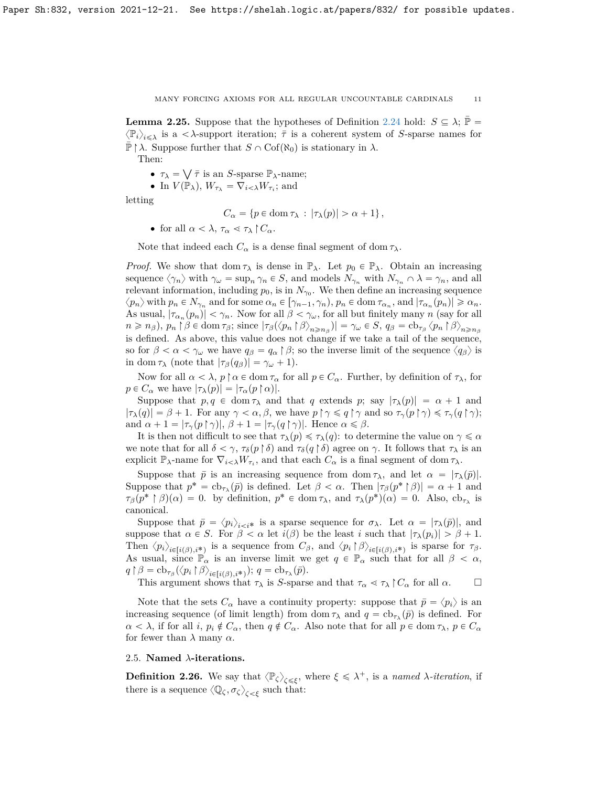**Lemma 2.25.** Suppose that the hypotheses of Definition [2.24](#page-9-1) hold:  $S \subseteq \lambda$ ;  $\mathbb{P} =$  $\langle \mathbb{P}_i \rangle_{i \leq \lambda}$  is a  $\langle \lambda$ -support iteration;  $\bar{\tau}$  is a coherent system of *S*-sparse names for  $\mathbb{P}\upharpoonright\lambda$ . Suppose further that  $S \cap \mathrm{Cof}(\aleph_0)$  is stationary in  $\lambda$ .

Then:

•  $\tau_{\lambda} = \sqrt{\bar{\tau}}$  is an *S*-sparse  $\mathbb{P}_{\lambda}$ -name;

• In  $V(\mathbb{P}_{\lambda}), W_{\tau_{\lambda}} = \nabla_{i \leq \lambda} W_{\tau_{i}}$ ; and

letting

$$
C_{\alpha} = \{ p \in \text{dom } \tau_{\lambda} : |\tau_{\lambda}(p)| > \alpha + 1 \},\
$$

• for all  $\alpha < \lambda$ ,  $\tau_{\alpha} < \tau_{\lambda} \restriction C_{\alpha}$ .

Note that indeed each  $C_{\alpha}$  is a dense final segment of dom  $\tau_{\lambda}$ .

*Proof.* We show that dom  $\tau_{\lambda}$  is dense in  $\mathbb{P}_{\lambda}$ . Let  $p_0 \in \mathbb{P}_{\lambda}$ . Obtain an increasing sequence  $\langle \gamma_n \rangle$  with  $\gamma_\omega = \sup_n \gamma_n \in S$ , and models  $N_{\gamma_n}$  with  $N_{\gamma_n} \cap \lambda = \gamma_n$ , and all relevant information, including  $p_0$ , is in  $N_{\gamma_0}$ . We then define an increasing sequence  $\langle p_n \rangle$  with  $p_n \in N_{\gamma_n}$  and for some  $\alpha_n \in [\gamma_{n-1}, \gamma_n)$ ,  $p_n \in \text{dom } \tau_{\alpha_n}$ , and  $|\tau_{\alpha_n}(p_n)| \geq \alpha_n$ . As usual,  $|\tau_{\alpha_n}(p_n)| < \gamma_n$ . Now for all  $\beta < \gamma_\omega$ , for all but finitely many *n* (say for all  $n \geq n_{\beta}$ ),  $p_n \upharpoonright \beta \in \text{dom } \tau_{\beta}$ ; since  $|\tau_{\beta}(\langle p_n \upharpoonright \beta \rangle_{n \geq n_{\beta}})| = \gamma_{\omega} \in S$ ,  $q_{\beta} = \text{cb}_{\tau_{\beta}} \langle p_n \upharpoonright \beta \rangle_{n \geq n_{\beta}}$ is defined. As above, this value does not change if we take a tail of the sequence, so for  $\beta < \alpha < \gamma_\omega$ , we have  $q_\beta = q_\alpha \upharpoonright \beta$ ; so the inverse limit of the sequence  $\langle q_\beta \rangle$  is in dom  $\tau_{\lambda}$  (note that  $|\tau_{\beta}(q_{\beta})| = \gamma_{\omega} + 1$ ).

Now for all  $\alpha < \lambda$ ,  $p \nmid \alpha \in \text{dom } \tau_\alpha$  for all  $p \in C_\alpha$ . Further, by definition of  $\tau_\lambda$ , for  $p \in C_\alpha$  we have  $|\tau_\lambda(p)| = |\tau_\alpha(p \nvert \alpha)|$ .

Suppose that  $p, q \in \text{dom } \tau_\lambda$  and that *q* extends *p*; say  $|\tau_\lambda(p)| = \alpha + 1$  and  $|\tau_{\lambda}(q)| = \beta + 1$ . For any  $\gamma < \alpha, \beta$ , we have  $p \restriction \gamma \leqslant q \restriction \gamma$  and so  $\tau_{\gamma}(p \restriction \gamma) \leqslant \tau_{\gamma}(q \restriction \gamma)$ ; and  $\alpha + 1 = |\tau_{\gamma}(p \restriction \gamma)|, \ \beta + 1 = |\tau_{\gamma}(q \restriction \gamma)|.$  Hence  $\alpha \leq \beta$ .

It is then not difficult to see that  $\tau_{\lambda}(p) \leq \tau_{\lambda}(q)$ : to determine the value on  $\gamma \leq \alpha$ we note that for all  $\delta < \gamma$ ,  $\tau_{\delta}(p \restriction \delta)$  and  $\tau_{\delta}(q \restriction \delta)$  agree on  $\gamma$ . It follows that  $\tau_{\lambda}$  is an explicit  $\mathbb{P}_{\lambda}$ -name for  $\nabla_{i\leq \lambda} W_{\tau_i}$ , and that each  $C_{\alpha}$  is a final segment of dom  $\tau_{\lambda}$ .

Suppose that  $\bar{p}$  is an increasing sequence from dom  $\tau_{\lambda}$ , and let  $\alpha = |\tau_{\lambda}(\bar{p})|$ . Suppose that  $p^* = cb_{\tau_\lambda}(\bar{p})$  is defined. Let  $\beta < \alpha$ . Then  $|\tau_\beta(p^* \upharpoonright \beta)| = \alpha + 1$  and  $\tau_{\beta}(p^* \restriction \beta)(\alpha) = 0$ . by definition,  $p^* \in \text{dom } \tau_{\lambda}$ , and  $\tau_{\lambda}(p^*)(\alpha) = 0$ . Also,  $\text{cb}_{\tau_{\lambda}}$  is canonical.

Suppose that  $\bar{p} = \langle p_i \rangle_{i \leq i*}$  is a sparse sequence for  $\sigma_{\lambda}$ . Let  $\alpha = |\tau_{\lambda}(\bar{p})|$ , and suppose that  $\alpha \in S$ . For  $\beta < \alpha$  let  $i(\beta)$  be the least *i* such that  $|\tau_{\lambda}(p_i)| > \beta + 1$ . Then  $\langle p_i \rangle_{i \in [i(\beta), i^*)}$  is a sequence from  $C_\beta$ , and  $\langle p_i | \beta \rangle_{i \in [i(\beta), i^*)}$  is sparse for  $\tau_\beta$ . As usual, since  $\mathbb{P}_{\alpha}$  is an inverse limit we get  $q \in \mathbb{P}_{\alpha}$  such that for all  $\beta < \alpha$ ,  $q \restriction \beta = \mathrm{cb}_{\tau_{\beta}}(\langle p_i \restriction \beta \rangle_{i \in [i(\beta),i^*)});$   $q = \mathrm{cb}_{\tau_{\lambda}}(\bar{p}).$ 

This argument shows that  $\tau_{\lambda}$  is *S*-sparse and that  $\tau_{\alpha} \leq \tau_{\lambda} \upharpoonright C_{\alpha}$  for all  $\alpha$ .

Note that the sets  $C_{\alpha}$  have a continuity property: suppose that  $\bar{p} = \langle p_i \rangle$  is an increasing sequence (of limit length) from dom  $\tau_{\lambda}$  and  $q = \text{cb}_{\tau_{\lambda}}(\bar{p})$  is defined. For  $\alpha < \lambda$ , if for all *i*,  $p_i \notin C_\alpha$ , then  $q \notin C_\alpha$ . Also note that for all  $p \in \text{dom } \tau_\lambda$ ,  $p \in C_\alpha$ for fewer than  $\lambda$  many  $\alpha$ .

## <span id="page-10-0"></span>2.5. **Named** *λ***-iterations.**

**Definition 2.26.** We say that  $\langle \mathbb{P}_{\zeta} \rangle_{\zeta \leq \xi}$ , where  $\xi \leq \lambda^+$ , is a *named*  $\lambda$ *-iteration*, if there is a sequence  $\langle \mathbb{Q}_\zeta, \sigma_\zeta \rangle_{\zeta < \xi}$  such that: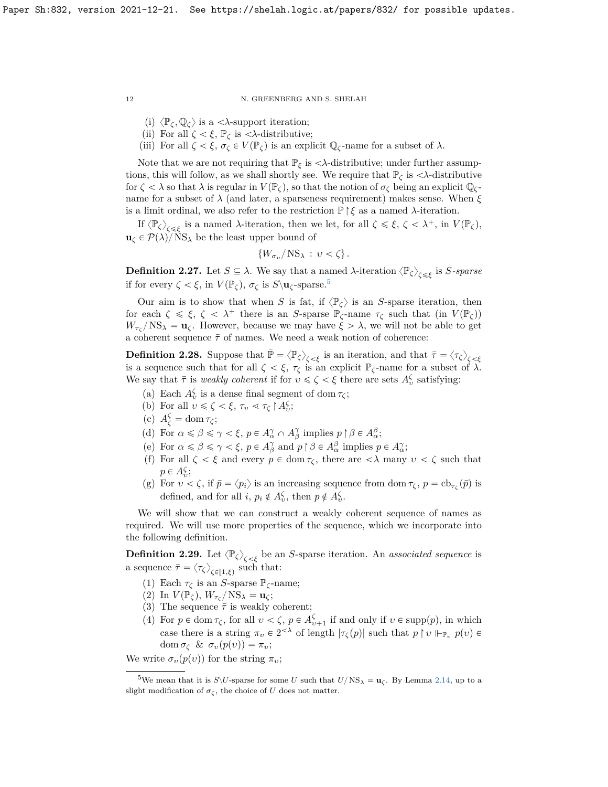- (i)  $\langle \mathbb{P}_{\zeta}, \mathbb{Q}_{\zeta} \rangle$  is a  $\langle \lambda$ -support iteration;
- (ii) For all  $\zeta < \xi$ ,  $\mathbb{P}_{\zeta}$  is  $\langle \lambda$ -distributive;
- (iii) For all  $\zeta < \xi$ ,  $\sigma_{\zeta} \in V(\mathbb{P}_{\zeta})$  is an explicit  $\mathbb{Q}_{\zeta}$ -name for a subset of  $\lambda$ .

Note that we are not requiring that  $\mathbb{P}_{\xi}$  is  $\langle \lambda$ -distributive; under further assumptions, this will follow, as we shall shortly see. We require that  $\mathbb{P}_{\zeta}$  is  $\langle \lambda \cdot \hat{\zeta} \rangle$ -distributive for  $\zeta < \lambda$  so that  $\lambda$  is regular in  $V(\mathbb{P}_{\zeta})$ , so that the notion of  $\sigma_{\zeta}$  being an explicit  $\mathbb{Q}_{\zeta}$ name for a subset of  $\lambda$  (and later, a sparseness requirement) makes sense. When  $\xi$ is a limit ordinal, we also refer to the restriction  $\mathbb{P}\upharpoonright \xi$  as a named  $\lambda$ -iteration.

If  $\langle \mathbb{P}_{\zeta} \rangle_{\zeta \leq \xi}$  is a named  $\lambda$ -iteration, then we let, for all  $\zeta \leq \xi$ ,  $\zeta \leq \lambda^+$ , in  $V(\mathbb{P}_{\zeta})$ ,  $\mathbf{u}_{\zeta} \in \mathcal{P}(\lambda)/\text{NS}_{\lambda}$  be the least upper bound of

$$
\{W_{\sigma_v}/\operatorname{NS}_{\lambda} : v < \zeta\}.
$$

<span id="page-11-10"></span>**Definition 2.27.** Let  $S \subseteq \lambda$ . We say that a named  $\lambda$ -iteration  $\langle \mathbb{P}_{\zeta} \rangle_{\zeta \leq \xi}$  is *S*-sparse if for every  $\zeta < \xi$ , in  $V(\mathbb{P}_{\zeta})$ ,  $\sigma_{\zeta}$  is  $S\setminus \mathbf{u}_{\zeta}$ -sparse.<sup>[5](#page-11-0)</sup>

Our aim is to show that when *S* is fat, if  $\langle \mathbb{P}_{\zeta} \rangle$  is an *S*-sparse iteration, then for each  $\zeta \leq \xi$ ,  $\zeta \leq \lambda^+$  there is an *S*-sparse  $\mathbb{P}_{\zeta}$ -name  $\tau_{\zeta}$  such that (in  $V(\mathbb{P}_{\zeta})$ )  $W_{\tau_{\zeta}}/NS_{\lambda} = \mathbf{u}_{\zeta}$ . However, because we may have  $\xi > \lambda$ , we will not be able to get a coherent sequence  $\bar{\tau}$  of names. We need a weak notion of coherence:

<span id="page-11-6"></span>**Definition 2.28.** Suppose that  $\bar{\mathbb{P}} = \langle \mathbb{P}_{\zeta} \rangle_{\zeta < \xi}$  is an iteration, and that  $\bar{\tau} = \langle \tau_{\zeta} \rangle_{\zeta < \xi}$ is a sequence such that for all  $\zeta < \xi$ ,  $\tau_{\zeta}$  is an explicit  $\mathbb{P}_{\zeta}$ -name for a subset of  $\lambda$ . We say that  $\bar{\tau}$  is *weakly coherent* if for  $v \leq \zeta < \xi$  there are sets  $A_v^{\zeta}$  satisfying:

- (a) Each  $A_v^{\zeta}$  is a dense final segment of dom  $\tau_{\zeta}$ ;
- (b) For all  $v \le \zeta < \xi$ ,  $\tau_v < \tau_{\zeta} \restriction A_v^{\zeta}$ ;
- (c)  $A^{\zeta}_{\zeta} = \text{dom } \tau_{\zeta};$
- <span id="page-11-5"></span>(d) For  $\alpha \le \beta \le \gamma < \xi$ ,  $p \in A^{\gamma}_{\alpha} \cap A^{\gamma}_{\beta}$  implies  $p \upharpoonright \beta \in A^{\beta}_{\alpha}$ ;
- <span id="page-11-7"></span>(e) For  $\alpha \le \beta \le \gamma < \xi$ ,  $p \in A_\beta^\gamma$  and  $p \upharpoonright \beta \in A_\alpha^\beta$  implies  $p \in A_\alpha^\gamma$ ;
- <span id="page-11-8"></span>(f) For all  $\zeta < \xi$  and every  $p \in \text{dom } \tau_{\zeta}$ , there are  $\langle \lambda \rangle$  many  $v < \zeta$  such that  $p \in A_v^{\zeta}$ ;
- <span id="page-11-9"></span>(g) For  $v < \zeta$ , if  $\bar{p} = \langle p_i \rangle$  is an increasing sequence from dom  $\tau_{\zeta}$ ,  $p = \text{cb}_{\tau_{\zeta}}(\bar{p})$  is defined, and for all  $i, p_i \notin A_v^{\zeta}$ , then  $p \notin A_v^{\zeta}$ .

We will show that we can construct a weakly coherent sequence of names as required. We will use more properties of the sequence, which we incorporate into the following definition.

<span id="page-11-2"></span>**Definition 2.29.** Let  $\langle \mathbb{P}_{\zeta} \rangle_{\zeta \leq \xi}$  be an *S*-sparse iteration. An *associated sequence* is a sequence  $\bar{\tau} = \langle \tau_{\zeta} \rangle_{\zeta \in [1,\xi)}$  such that:

- (1) Each  $\tau_{\zeta}$  is an *S*-sparse  $\mathbb{P}_{\zeta}$ -name;
- <span id="page-11-1"></span> $(2)$  In  $V(\mathbb{P}_{\zeta}), W_{\tau_{\zeta}}/NS_{\lambda} = \mathbf{u}_{\zeta};$
- <span id="page-11-3"></span>(3) The sequence  $\bar{\tau}$  is weakly coherent;
- <span id="page-11-4"></span>(4) For  $p \in \text{dom } \tau_{\zeta}$ , for all  $v < \zeta$ ,  $p \in A_{\nu+1}^{\zeta}$  if and only if  $v \in \text{supp}(p)$ , in which case there is a string  $\pi_v \in 2^{< \lambda}$  of length  $|\tau_{\zeta}(p)|$  such that  $p \upharpoonright v \Vdash_{\mathbb{P}_v} p(v) \in$ dom  $\sigma_{\zeta}$  &  $\sigma_{\upsilon}(p(\upsilon)) = \pi_{\upsilon};$

We write  $\sigma_v(p(v))$  for the string  $\pi_v$ ;

<span id="page-11-0"></span><sup>&</sup>lt;sup>5</sup>We mean that it is *S*\*U*-sparse for some *U* such that  $U/NS_\lambda = \mathbf{u}_\zeta$ . By Lemma [2.14,](#page-6-3) up to a slight modification of  $\sigma_{\zeta}$ , the choice of *U* does not matter.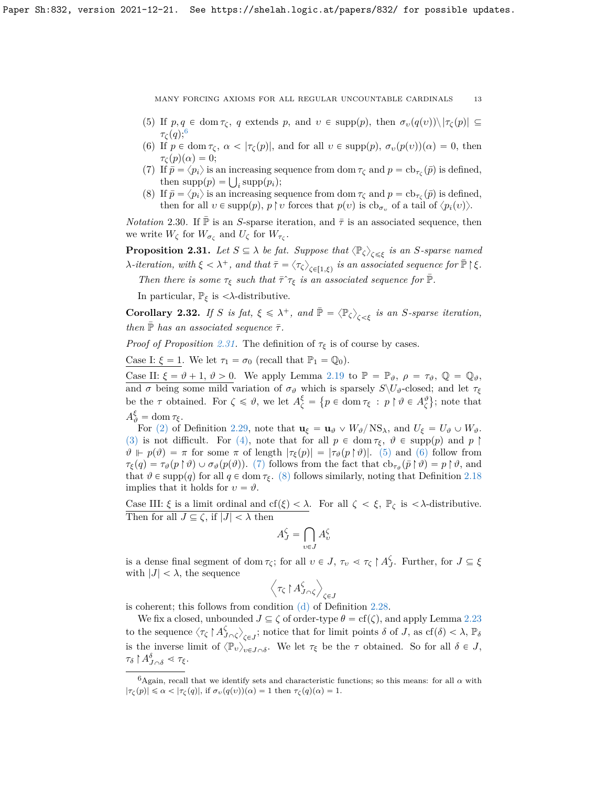- <span id="page-12-3"></span>(5) If  $p, q \in \text{dom } \tau_{\zeta}, q$  extends  $p$ , and  $v \in \text{supp}(p)$ , then  $\sigma_v(q(v))\setminus |\tau_{\zeta}(p)| \subseteq$  $\tau$ *ζ* $(q)$ ;<sup>[6](#page-12-1)</sup>
- <span id="page-12-4"></span>(6) If  $p \in \text{dom } \tau_{\zeta}$ ,  $\alpha < |\tau_{\zeta}(p)|$ , and for all  $v \in \text{supp}(p)$ ,  $\sigma_v(p(v))(\alpha) = 0$ , then  $\tau_\zeta(p)(\alpha) = 0;$
- <span id="page-12-5"></span>(7) If  $\bar{p} = \langle p_i \rangle$  is an increasing sequence from dom  $\tau_{\zeta}$  and  $p = \text{cb}_{\tau_{\zeta}}(\bar{p})$  is defined, If  $p = \langle p_i \rangle$  is an increasing set<br>then  $\text{supp}(p) = \bigcup_i \text{supp}(p_i);$
- <span id="page-12-6"></span>(8) If  $\bar{p} = \langle p_i \rangle$  is an increasing sequence from dom  $\tau_{\zeta}$  and  $p = \text{cb}_{\tau_{\zeta}}(\bar{p})$  is defined, then for all  $v \in \text{supp}(p)$ ,  $p \upharpoonright v$  forces that  $p(v)$  is  $\text{cb}_{\sigma_v}$  of a tail of  $\langle p_i(v) \rangle$ .

*Notation* 2.30. If  $\mathbb{P}$  is an *S*-sparse iteration, and  $\bar{\tau}$  is an associated sequence, then we write  $W_{\zeta}$  for  $W_{\sigma_{\zeta}}$  and  $U_{\zeta}$  for  $W_{\tau_{\zeta}}$ .

<span id="page-12-2"></span>**Proposition 2.31.** *Let*  $S \subseteq \lambda$  *be fat. Suppose that*  $\langle \mathbb{P}_{\zeta} \rangle_{\zeta \leq \xi}$  *is an S-sparse named*  $\lambda$ *-iteration, with*  $\xi < \lambda^+$ *, and that*  $\bar{\tau} = \langle \tau_{\zeta} \rangle_{\zeta \in [1,\xi)}$  *is an associated sequence for*  $\bar{\mathbb{P}} \upharpoonright \xi$ *. Then there is some*  $\tau_{\xi}$  *such that*  $\bar{\tau} \tau_{\xi}$  *is an associated sequence for*  $\mathbb{P}$ *.* 

In particular,  $\mathbb{P}_{\xi}$  is  $\langle \lambda$ -distributive.

<span id="page-12-0"></span>**Corollary 2.32.** *If S is fat,*  $\xi \le \lambda^+$ *, and*  $\bar{\mathbb{P}} = \langle \mathbb{P}_{\zeta} \rangle_{\zeta < \xi}$  *is an S-sparse iteration, then*  $\mathbb P$  *has an associated sequence*  $\bar{\tau}$ *.* 

*Proof of Proposition [2.31.](#page-12-2)* The definition of  $\tau_{\xi}$  is of course by cases.

Case I:  $\xi = 1$ . We let  $\tau_1 = \sigma_0$  (recall that  $\mathbb{P}_1 = \mathbb{Q}_0$ ).

Case II:  $\xi = \vartheta + 1$ ,  $\vartheta > 0$ . We apply Lemma [2.19](#page-7-3) to  $\mathbb{P} = \mathbb{P}_{\vartheta}$ ,  $\rho = \tau_{\vartheta}$ ,  $\mathbb{Q} = \mathbb{Q}_{\vartheta}$ , and  $\sigma$  being some mild variation of  $\sigma_{\vartheta}$  which is sparsely  $S\setminus U_{\vartheta}$ -closed; and let  $\tau_{\xi}$ be the *τ* obtained. For  $\zeta \leq \vartheta$ , we let  $A_{\zeta}^{\xi} = \{p \in \text{dom } \tau_{\xi} : p \upharpoonright \vartheta \in A_{\zeta}^{\vartheta}\};$  note that  $A_{\vartheta}^{\xi} = \text{dom } \tau_{\xi}.$ 

For [\(2\)](#page-11-1) of Definition [2.29,](#page-11-2) note that  $\mathbf{u}_{\xi} = \mathbf{u}_{\vartheta} \vee W_{\vartheta} / \text{NS}_{\lambda}$ , and  $U_{\xi} = U_{\vartheta} \cup W_{\vartheta}$ . [\(3\)](#page-11-3) is not difficult. For [\(4\),](#page-11-4) note that for all  $p \in \text{dom } \tau_{\xi}$ ,  $\vartheta \in \text{supp}(p)$  and  $p \upharpoonright$  $\vartheta \Vdash p(\vartheta) = \pi$  for some  $\pi$  of length  $|\tau_{\xi}(p)| = |\tau_{\vartheta}(p \nmid \vartheta)|$ . [\(5\)](#page-12-3) and [\(6\)](#page-12-4) follow from  $\tau_{\xi}(q) = \tau_{\vartheta}(p \restriction \vartheta) \cup \sigma_{\vartheta}(p(\vartheta))$ . [\(7\)](#page-12-5) follows from the fact that  $\text{cb}_{\tau_{\vartheta}}(\bar{p} \restriction \vartheta) = p \restriction \vartheta$ , and that  $\vartheta \in \text{supp}(q)$  for all  $q \in \text{dom } \tau_{\xi}$ . [\(8\)](#page-12-6) follows similarly, noting that Definition [2.18](#page-7-2) implies that it holds for  $v = \vartheta$ .

Case III: *ξ* is a limit ordinal and cf $(\xi) < \lambda$ . For all  $\zeta < \xi$ ,  $\mathbb{P}_{\zeta}$  is  $< \lambda$ -distributive. Then for all  $J \subseteq \zeta$ , if  $|J| < \lambda$  then č

$$
A_J^\zeta = \bigcap_{v \in J} A_v^\zeta
$$

is a dense final segment of dom  $\tau_{\zeta}$ ; for all  $v \in J$ ,  $\tau_v \prec \tau_{\zeta} \upharpoonright A_J^{\zeta}$ . Further, for  $J \subseteq \xi$ with  $|J| < \lambda$ , the sequence

$$
\left\langle \tau_{\zeta}\!\upharpoonright\! A_{J\cap\zeta}^{\zeta}\right\rangle _{\zeta\in J}
$$

is coherent; this follows from condition [\(d\)](#page-11-5) of Definition [2.28.](#page-11-6)

We fix a closed, unbounded  $J \subseteq \zeta$  of order-type  $\theta = \text{cf}(\zeta)$ , and apply Lemma [2.23](#page-8-1) to the sequence  $\langle \tau_{\zeta} \upharpoonright A_{J \cap \zeta}^{\zeta} \rangle_{\zeta \in J}$ ; notice that for limit points  $\delta$  of  $J$ , as  $cf(\delta) < \lambda$ ,  $\mathbb{P}_{\delta}$ is the inverse limit of  $\langle \mathbb{P}_{v} \rangle_{v \in J \cap \delta}$ . We let  $\tau_{\xi}$  be the  $\tau$  obtained. So for all  $\delta \in J$ ,  $\tau_{\delta} \upharpoonright A_{J \cap \delta}^{\delta} \lessdot \tau_{\xi}$ .

<span id="page-12-1"></span><sup>&</sup>lt;sup>6</sup>Again, recall that we identify sets and characteristic functions; so this means: for all  $\alpha$  with  $|\tau_{\zeta}(p)| \le \alpha < |\tau_{\zeta}(q)|$ , if  $\sigma_{\nu}(q(v))(\alpha) = 1$  then  $\tau_{\zeta}(q)(\alpha) = 1$ .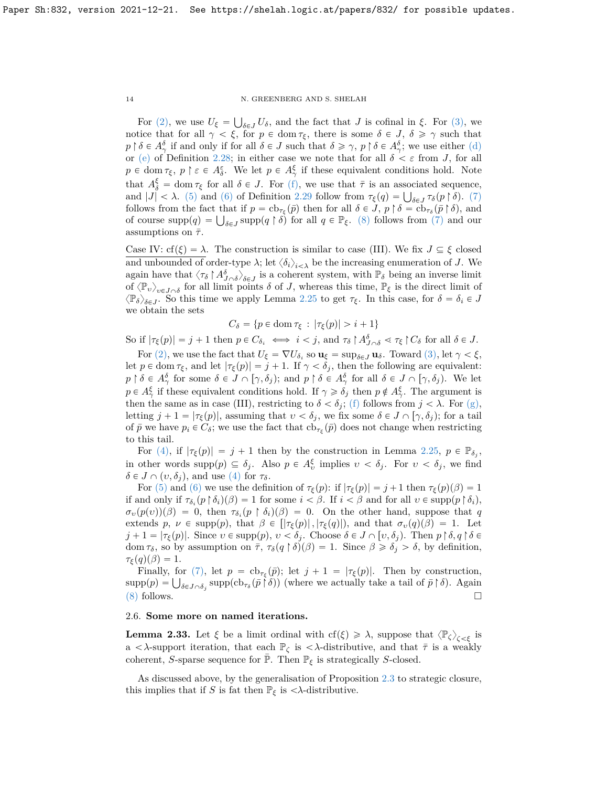For [\(2\),](#page-11-1) we use  $U_{\xi} = \bigcup_{\delta \in J} U_{\delta}$ , and the fact that *J* is cofinal in  $\xi$ . For [\(3\),](#page-11-3) we notice that for all  $\gamma < \xi$ , for  $p \in \text{dom } \tau_{\xi}$ , there is some  $\delta \in J$ ,  $\delta \geq \gamma$  such that  $p \restriction \delta \in A_{\gamma}^{\delta}$  if and only if for all  $\delta \in J$  such that  $\delta \geq \gamma$ ,  $p \restriction \delta \in A_{\gamma}^{\delta}$ ; we use either [\(d\)](#page-11-5) or [\(e\)](#page-11-7) of Definition [2.28;](#page-11-6) in either case we note that for all  $\delta < \varepsilon$  from *J*, for all  $p \in \text{dom } \tau_{\xi}, p \restriction \varepsilon \in A_{\delta}^{\varepsilon}$ . We let  $p \in A_{\gamma}^{\xi}$  if these equivalent conditions hold. Note that  $A_{\delta}^{\xi} = \text{dom } \tau_{\xi}$  for all  $\delta \in J$ . For [\(f\),](#page-11-8) we use that  $\bar{\tau}$  is an associated sequence, that  $A_{\delta}^* = \text{dom } \tau_{\xi}$  for all  $\delta \in J$ . For (1), we use that  $\tau$  is an associated sequence, and  $|J| < \lambda$ . [\(5\)](#page-12-3) and [\(6\)](#page-12-4) of Definition [2.29](#page-11-2) follow from  $\tau_{\xi}(q) = \bigcup_{\delta \in J} \tau_{\delta}(p \upharpoonright \delta)$ . [\(7\)](#page-12-5) follows from the fact that if  $p = cb_{\tau_{\xi}}(\bar{p})$  then for all  $\delta \in J$ ,  $p \upharpoonright \delta = cb_{\tau_{\delta}}(\bar{p} \upharpoonright \delta)$ , and follows from the fact that if  $p = \text{cb}_{\tau_{\xi}}(p)$  then for all  $\delta \in J$ ,  $p \upharpoonright \delta = \text{cb}_{\tau_{\delta}}(p \upharpoonright \delta)$ , and of course  $\text{supp}(q) = \bigcup_{\delta \in J} \text{supp}(q \upharpoonright \delta)$  for all  $q \in \mathbb{P}_{\xi}$ . [\(8\)](#page-12-6) follows from [\(7\)](#page-12-5) and our assumptions on  $\bar{\tau}$ .

Case IV:  $cf(\xi) = \lambda$ . The construction is similar to case (III). We fix  $J \subseteq \xi$  closed and unbounded of order-type  $\lambda$ ; let  $\langle \delta_i \rangle_{i \leq \lambda}$  be the increasing enumeration of *J*. We again have that  $\langle \tau_{\delta} \upharpoonright A_{J \cap \delta}^{\delta} \rangle_{\delta \in J}$  is a coherent system, with  $\mathbb{P}_{\delta}$  being an inverse limit of  $\langle \mathbb{P}_{v} \rangle_{v \in J \cap \delta}$  for all limit points  $\delta$  of *J*, whereas this time,  $\mathbb{P}_{\xi}$  is the direct limit of  $\langle \mathbb{P}_{\delta} \rangle_{\delta \in J}$ . So this time we apply Lemma [2.25](#page-9-2) to get  $\tau_{\xi}$ . In this case, for  $\delta = \delta_i \in J$ we obtain the sets

$$
C_{\delta} = \{ p \in \text{dom } \tau_{\xi} : |\tau_{\xi}(p)| > i + 1 \}
$$

So if  $|\tau_{\xi}(p)| = j + 1$  then  $p \in C_{\delta_i} \iff i < j$ , and  $\tau_{\delta} \upharpoonright A_{J \cap \delta}^{\delta} \lessdot \tau_{\xi} \upharpoonright C_{\delta}$  for all  $\delta \in J$ .

For [\(2\),](#page-11-1) we use the fact that  $U_{\xi} = \nabla U_{\delta_i}$  so  $\mathbf{u}_{\xi} = \sup_{\delta \in J} \mathbf{u}_{\delta}$ . Toward [\(3\),](#page-11-3) let  $\gamma < \xi$ , let  $p \in \text{dom } \tau_{\xi}$ , and let  $|\tau_{\xi}(p)| = j + 1$ . If  $\gamma < \delta_j$ , then the following are equivalent:  $p \restriction \delta \in A_{\gamma}^{\delta}$  for some  $\delta \in J \cap [\gamma, \delta_j)$ ; and  $p \restriction \delta \in A_{\gamma}^{\delta}$  for all  $\delta \in J \cap [\gamma, \delta_j)$ . We let  $p \in A_{\gamma}^{\xi}$  if these equivalent conditions hold. If  $\gamma \geq \delta_j$  then  $p \notin A_{\gamma}^{\xi}$ . The argument is then the same as in case (III), restricting to  $\delta < \delta_j$ ; [\(f\)](#page-11-8) follows from  $j < \lambda$ . For [\(g\),](#page-11-9) letting  $j + 1 = |\tau_{\xi}(p)|$ , assuming that  $v < \delta_j$ , we fix some  $\delta \in J \cap [\gamma, \delta_j)$ ; for a tail of  $\bar{p}$  we have  $p_i \in C_\delta$ ; we use the fact that  $\text{cb}_{\tau_{\xi}}(\bar{p})$  does not change when restricting to this tail.

For [\(4\),](#page-11-4) if  $|\tau_{\xi}(p)| = j + 1$  then by the construction in Lemma [2.25,](#page-9-2)  $p \in \mathbb{P}_{\delta_j}$ , in other words  $\text{supp}(p) \subseteq \delta_j$ . Also  $p \in A_v^{\xi}$  implies  $v < \delta_j$ . For  $v < \delta_j$ , we find  $\delta \in J \cap (v, \delta_i)$ , and use [\(4\)](#page-11-4) for  $\tau_{\delta}$ .

For [\(5\)](#page-12-3) and [\(6\)](#page-12-4) we use the definition of  $\tau_{\xi}(p)$ : if  $|\tau_{\xi}(p)| = j + 1$  then  $\tau_{\xi}(p)(\beta) = 1$ if and only if  $\tau_{\delta_i}(p \restriction \delta_i)(\beta) = 1$  for some  $i < \beta$ . If  $i < \beta$  and for all  $v \in \text{supp}(p \restriction \delta_i)$ ,  $\sigma_v(p(v))(\beta) = 0$ , then  $\tau_{\delta_i}(p \restriction \delta_i)(\beta) = 0$ . On the other hand, suppose that *q* extends *p*,  $\nu \in \text{supp}(p)$ , that  $\beta \in [|\tau_{\xi}(p)|, |\tau_{\xi}(q)|)$ , and that  $\sigma_{\nu}(q)(\beta) = 1$ . Let  $j + 1 = |\tau_{\xi}(p)|$ . Since  $v \in \text{supp}(p)$ ,  $v < \delta_j$ . Choose  $\delta \in J \cap [v, \delta_j)$ . Then  $p \upharpoonright \delta, q \upharpoonright \delta \in J$ dom  $\tau_{\delta}$ , so by assumption on  $\bar{\tau}$ ,  $\tau_{\delta}(q \restriction \delta)(\beta) = 1$ . Since  $\beta \geq \delta_i > \delta$ , by definition,  $\tau_{\xi}(q)(\beta) = 1.$ 

Finally, for [\(7\),](#page-12-5) let  $p = cb_{\tau_{\xi}}(\bar{p})$ ; let  $j + 1 = |\tau_{\xi}(p)|$ . Then by construction, Finally, for  $(\gamma)$ , let  $p = \text{cb}_{\tau_{\xi}}(p)$ ; let  $j + 1 = |\tau_{\xi}(p)|$ . Then by construction,<br>supp $(p) = \bigcup_{\delta \in J \cap \delta_j} \text{supp}(\text{cb}_{\tau_{\delta}}(\bar{p} \restriction \delta))$  (where we actually take a tail of  $\bar{p} \restriction \delta$ ). Again [\(8\)](#page-12-6) follows.

# <span id="page-13-0"></span>2.6. **Some more on named iterations.**

**Lemma 2.33.** Let  $\xi$  be a limit ordinal with  $cf(\xi) \geq \lambda$ , suppose that  $\langle \mathbb{P}_{\zeta} \rangle_{\zeta < \xi}$  is a  $\langle \lambda$ -support iteration, that each  $\mathbb{P}_{\zeta}$  is  $\langle \lambda$ -distributive, and that  $\bar{\tau}$  is a weakly coherent, *S*-sparse sequence for  $\mathbb{P}$ . Then  $\mathbb{P}_{\xi}$  is strategically *S*-closed.

As discussed above, by the generalisation of Proposition [2.3](#page-3-2) to strategic closure, this implies that if *S* is fat then  $\mathbb{P}_{\xi}$  is  $\langle \lambda$ -distributive.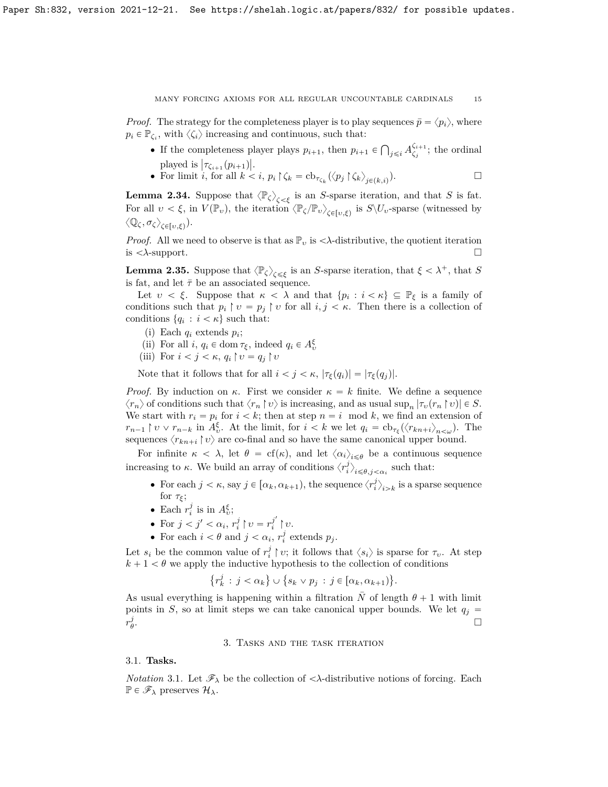*Proof.* The strategy for the completeness player is to play sequences  $\bar{p} = \langle p_i \rangle$ , where  $p_i \in \mathbb{P}_{\zeta_i}$ , with  $\langle \zeta_i \rangle$  increasing and continuous, such that: ş

- If the completeness player plays  $p_{i+1}$ , then  $p_{i+1} \in$  $j \leqslant i$   $A_{\zeta_j}^{\zeta_{i+1}}$ npleteness player plays  $p_{i+1}$ , then  $p_{i+1} \in \bigcap_{j \leq i} A_{\zeta_j}^{\zeta_{i+1}}$ ; the ordinal played is  $|\tau_{\zeta_{i+1}}(p_{i+1})|$ .
- For limit *i*, for all  $k < i$ ,  $p_i \upharpoonright \zeta_k = \mathrm{cb}_{\tau_{\zeta_k}} (\langle p_j \upharpoonright \zeta_k)_{j \in (k,i)}$  $\Box$

<span id="page-14-1"></span>**Lemma 2.34.** Suppose that  $\langle \mathbb{P}_{\zeta} \rangle_{\zeta < \xi}$  is an *S*-sparse iteration, and that *S* is fat. For all  $v < \xi$ , in  $V(\mathbb{P}_v)$ , the iteration  $\langle \mathbb{P}_\zeta / \mathbb{P}_v \rangle_{\zeta \in [v,\xi)}$  is  $S \setminus U_v$ -sparse (witnessed by  $\langle \mathbb{Q}_\zeta, \sigma_\zeta \rangle_{\zeta \in [\nu,\xi)}$ ).

*Proof.* All we need to observe is that as  $\mathbb{P}_v$  is  $\langle \lambda$ -distributive, the quotient iteration is  $\langle \lambda$ -support.

<span id="page-14-2"></span>**Lemma 2.35.** Suppose that  $\langle \mathbb{P}_{\zeta} \rangle_{\zeta \leq \xi}$  is an *S*-sparse iteration, that  $\xi < \lambda^+$ , that *S* is fat, and let  $\bar{\tau}$  be an associated sequence.

Let  $v < \xi$ . Suppose that  $\kappa < \lambda$  and that  $\{p_i : i < \kappa\} \subseteq \mathbb{P}_{\xi}$  is a family of conditions such that  $p_i \upharpoonright v = p_j \upharpoonright v$  for all  $i, j < \kappa$ . Then there is a collection of conditions  $\{q_i : i < \kappa\}$  such that:

- (i) Each  $q_i$  extends  $p_i$ ;
- (ii) For all *i*,  $q_i \in \text{dom } \tau_{\xi}$ , indeed  $q_i \in A_v^{\xi}$
- (iii) For  $i < j < \kappa, q_i \upharpoonright v = q_i \upharpoonright v$

Note that it follows that for all  $i < j < \kappa$ ,  $|\tau_{\xi}(q_i)| = |\tau_{\xi}(q_i)|$ .

*Proof.* By induction on  $\kappa$ . First we consider  $\kappa = k$  finite. We define a sequence  $\langle r_n \rangle$  of conditions such that  $\langle r_n \nvert v \rangle$  is increasing, and as usual sup<sub>*n*</sub>  $|\tau_v(r_n \nvert v)| \in S$ . We start with  $r_i = p_i$  for  $i < k$ ; then at step  $n = i \mod k$ , we find an extension of  $r_{n-1} \upharpoonright v \vee r_{n-k}$  in  $A_v^{\xi}$ . At the limit, for  $i < k$  we let  $q_i = \text{cb}_{\tau_{\xi}}(\langle r_{kn+i} \rangle_{n<\omega})$ . The sequences  $\langle r_{kn+i} | \psi \rangle$  are co-final and so have the same canonical upper bound.

For infinite  $\kappa < \lambda$ , let  $\theta = \text{cf}(\kappa)$ , and let  $\langle \alpha_i \rangle_{i \leq \theta}$  be a continuous sequence increasing to  $\kappa$ . We build an array of conditions  $\langle r_i^j \rangle_{i \leq \theta, j < \alpha_i}$  such that:

- For each *j* < *κ*, say *j* ∈  $[\alpha_k, \alpha_{k+1})$ , the sequence  $\langle r_i^j \rangle_{i > k}$  is a sparse sequence for  $\tau_{\mathcal{E}}$ ;
- Each  $r_i^j$  is in  $A_v^{\xi}$ ;
- For  $j < j' < \alpha_i$ ,  $r_i^j \upharpoonright v = r_i^{j'}$ *i* æ*υ*.
- For each  $i < \theta$  and  $j < \alpha_i$ ,  $r_i^j$  extends  $p_j$ .

Let  $s_i$  be the common value of  $r_i^j \upharpoonright v$ ; it follows that  $\langle s_i \rangle$  is sparse for  $\tau_v$ . At step  $k + 1 < \theta$  we apply the inductive hypothesis to the collection of conditions

$$
\{r_k^j : j < \alpha_k\} \cup \{s_k \vee p_j : j \in [\alpha_k, \alpha_{k+1})\}.
$$

As usual everything is happening within a filtration  $\overline{N}$  of length  $\theta + 1$  with limit points in *S*, so at limit steps we can take canonical upper bounds. We let  $q_i$ *r j θ* .

## 3. Tasks and the task iteration

## <span id="page-14-0"></span>3.1. **Tasks.**

*Notation* 3.1. Let  $\mathscr{F}_{\lambda}$  be the collection of  $\langle \lambda \rangle$ -distributive notions of forcing. Each  $\mathbb{P} \in \mathscr{F}_{\lambda}$  preserves  $\mathcal{H}_{\lambda}$ .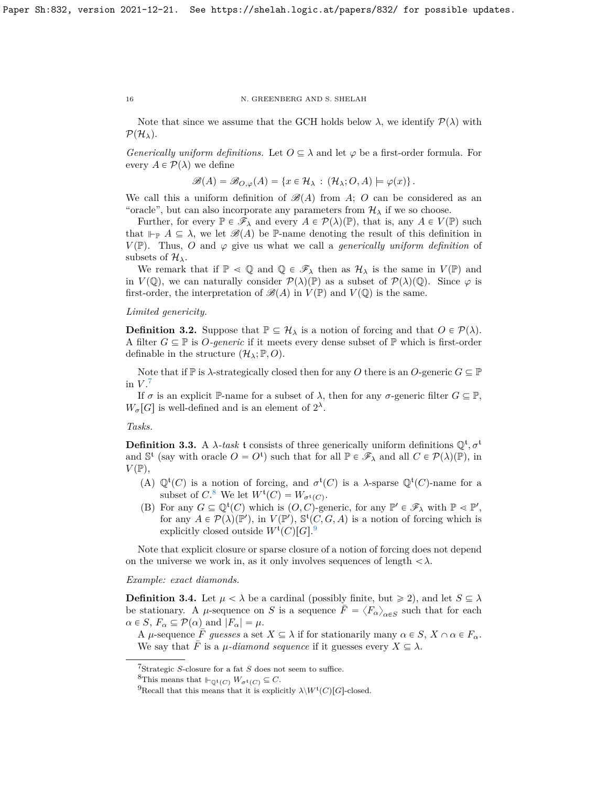Note that since we assume that the GCH holds below  $\lambda$ , we identify  $\mathcal{P}(\lambda)$  with  $\mathcal{P}(\mathcal{H}_{\lambda}).$ 

*Generically uniform definitions.* Let  $O \subseteq \lambda$  and let  $\varphi$  be a first-order formula. For every  $A \in \mathcal{P}(\lambda)$  we define

$$
\mathscr{B}(A) = \mathscr{B}_{O,\varphi}(A) = \{x \in \mathcal{H}_{\lambda} : (\mathcal{H}_{\lambda}; O, A) \models \varphi(x)\}.
$$

We call this a uniform definition of  $\mathcal{B}(A)$  from *A*; *O* can be considered as an "oracle", but can also incorporate any parameters from  $\mathcal{H}_{\lambda}$  if we so choose.

Further, for every  $\mathbb{P} \in \mathscr{F}_{\lambda}$  and every  $A \in \mathcal{P}(\lambda)(\mathbb{P})$ , that is, any  $A \in V(\mathbb{P})$  such that  $\Vdash_{\mathbb{P}} A \subseteq \lambda$ , we let  $\mathscr{B}(A)$  be P-name denoting the result of this definition in  $V(\mathbb{P})$ . Thus, *O* and  $\varphi$  give us what we call a *generically uniform definition* of subsets of H*λ*.

We remark that if  $\mathbb{P} \leq \mathbb{Q}$  and  $\mathbb{Q} \in \mathscr{F}_\lambda$  then as  $\mathcal{H}_\lambda$  is the same in  $V(\mathbb{P})$  and in  $V(\mathbb{Q})$ , we can naturally consider  $\mathcal{P}(\lambda)(\mathbb{P})$  as a subset of  $\mathcal{P}(\lambda)(\mathbb{Q})$ . Since  $\varphi$  is first-order, the interpretation of  $\mathscr{B}(A)$  in  $V(\mathbb{P})$  and  $V(\mathbb{Q})$  is the same.

## *Limited genericity.*

**Definition 3.2.** Suppose that  $\mathbb{P} \subseteq \mathcal{H}_{\lambda}$  is a notion of forcing and that  $O \in \mathcal{P}(\lambda)$ . A filter  $G \subseteq \mathbb{P}$  is *O-generic* if it meets every dense subset of  $\mathbb{P}$  which is first-order definable in the structure  $(\mathcal{H}_{\lambda}; \mathbb{P}, O)$ .

Note that if  $\mathbb{P}$  is  $\lambda$ -strategically closed then for any O there is an O-generic  $G \subseteq \mathbb{P}$ in  $V.^7$  $V.^7$ 

If *σ* is an explicit P-name for a subset of  $\lambda$ , then for any *σ*-generic filter  $G \subseteq \mathbb{P}$ ,  $W_{\sigma}[G]$  is well-defined and is an element of  $2^{\lambda}$ .

## <span id="page-15-0"></span>*Tasks.*

**Definition 3.3.** A *λ*-task t consists of three generically uniform definitions  $\mathbb{Q}^{\mathfrak{t}}$ ,  $\sigma^{\mathfrak{t}}$ and  $\mathbb{S}^{\mathfrak{t}}$  (say with oracle  $O = O^{\mathfrak{t}}$ ) such that for all  $\mathbb{P} \in \mathscr{F}_{\lambda}$  and all  $C \in \mathcal{P}(\lambda)(\mathbb{P})$ , in  $V(\mathbb{P}),$ 

- (A)  $\mathbb{Q}^{\mathfrak{t}}(C)$  is a notion of forcing, and  $\sigma^{\mathfrak{t}}(C)$  is a *λ*-sparse  $\mathbb{Q}^{\mathfrak{t}}(C)$ -name for a subset of  $C$ .<sup>[8](#page-15-2)</sup> We let  $W^{\mathfrak{t}}(C) = W_{\sigma^{\mathfrak{t}}(C)}$ .
- (B) For any  $G \subseteq \mathbb{Q}^{\mathfrak{t}}(C)$  which is  $(O, C)$ -generic, for any  $\mathbb{P}' \in \mathscr{F}_{\lambda}$  with  $\mathbb{P} \leq \mathbb{P}'$ , for any  $A \in \mathcal{P}(\lambda)(\mathbb{P}'),$  in  $V(\mathbb{P}'), \mathbb{S}^{\mathfrak{t}}(C, G, A)$  is a notion of forcing which is explicitly closed outside  $W^{t}(C)[G].<sup>9</sup>$  $W^{t}(C)[G].<sup>9</sup>$  $W^{t}(C)[G].<sup>9</sup>$

Note that explicit closure or sparse closure of a notion of forcing does not depend on the universe we work in, as it only involves sequences of length  $\langle \lambda \rangle$ .

## *Example: exact diamonds.*

**Definition 3.4.** Let  $\mu < \lambda$  be a cardinal (possibly finite, but  $\geq 2$ ), and let  $S \subseteq \lambda$ be stationary. A *µ*-sequence on *S* is a sequence  $\overline{F} = \langle F_\alpha \rangle_{\alpha \in S}$  such that for each  $\alpha \in S$ ,  $F_{\alpha} \subseteq \mathcal{P}(\alpha)$  and  $|F_{\alpha}| = \mu$ .

A *µ*-sequence  $\overline{F}$  *guesses* a set  $X \subseteq \lambda$  if for stationarily many  $\alpha \in S$ ,  $X \cap \alpha \in F_\alpha$ . We say that *F* is a *µ*-diamond sequence if it guesses every  $X \subseteq \lambda$ .

<span id="page-15-1"></span><sup>7</sup>Strategic *S*-closure for a fat *S* does not seem to suffice.

<span id="page-15-2"></span><sup>&</sup>lt;sup>8</sup>This means that  $\vdash_{\mathbb{Q}^{\mathfrak{t}}(C)} W_{\sigma^{\mathfrak{t}}(C)} \subseteq C$ .

<span id="page-15-3"></span> ${}^{9}$ Recall that this means that it is explicitly  $\lambda \backslash W^{t}(C)[G]$ -closed.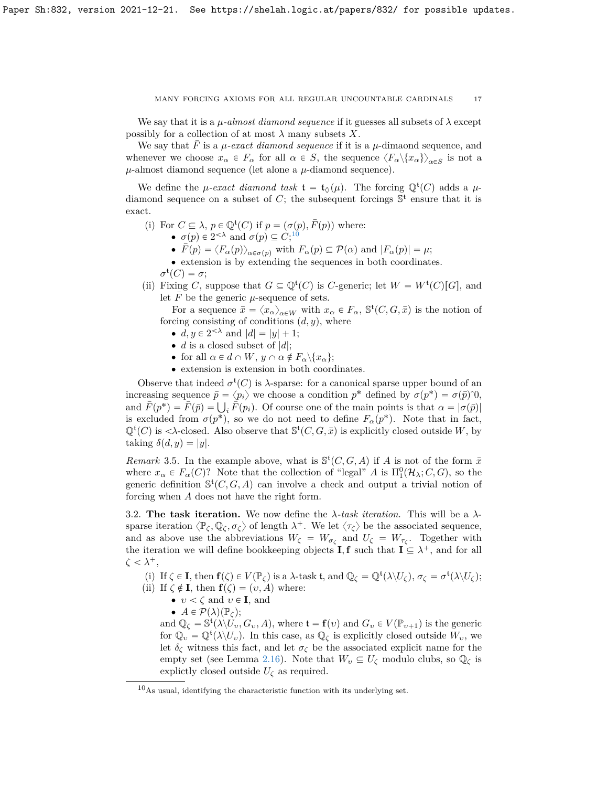We say that it is a  $\mu$ -almost diamond sequence if it guesses all subsets of  $\lambda$  except possibly for a collection of at most  $\lambda$  many subsets X.

We say that *F* is a  $\mu$ -exact diamond sequence if it is a  $\mu$ -dimaond sequence, and whenever we choose  $x_{\alpha} \in F_{\alpha}$  for all  $\alpha \in S$ , the sequence  $\langle F_{\alpha} \rangle \langle x_{\alpha} \rangle_{\alpha \in S}$  is not a  $\mu$ -almost diamond sequence (let alone a  $\mu$ -diamond sequence).

We define the *µ*-exact diamond task  $t = t_0(\mu)$ . The forcing  $\mathbb{Q}^t(C)$  adds a  $\mu$ diamond sequence on a subset of *C*; the subsequent forcings  $S<sup>t</sup>$  ensure that it is exact.

- (i) For  $C \subseteq \lambda$ ,  $p \in \mathbb{Q}^{\mathfrak{t}}(C)$  if  $p = (\sigma(p), \overline{F}(p))$  where:
	- $\sigma(p) \in 2^{< \lambda}$  and  $\sigma(p) \subseteq C;^{10}$  $\sigma(p) \subseteq C;^{10}$  $\sigma(p) \subseteq C;^{10}$
	- $\bullet$   $F(p) = \langle F_\alpha(p) \rangle_{\alpha \in \sigma(p)}$  with  $F_\alpha(p) \subseteq \mathcal{P}(\alpha)$  and  $|F_\alpha(p)| = \mu;$
	- ' extension is by extending the sequences in both coordinates.

 $\sigma^{\mathfrak{t}}(C) = \sigma;$ 

(ii) Fixing *C*, suppose that  $G \subseteq \mathbb{Q}^{\mathfrak{t}}(C)$  is *C*-generic; let  $W = W^{\mathfrak{t}}(C)[G]$ , and let  $F$  be the generic  $\mu$ -sequence of sets.

For a sequence  $\bar{x} = \langle x_\alpha \rangle_{\alpha \in W}$  with  $x_\alpha \in F_\alpha$ ,  $\mathbb{S}^{\mathfrak{t}}(C, G, \bar{x})$  is the notion of forcing consisting of conditions  $(d, y)$ , where

- $d, y \in 2^{< \lambda}$  and  $|d| = |y| + 1;$
- $\bullet$  *d* is a closed subset of  $|d|$ ;
- for all  $\alpha \in d \cap W$ ,  $y \cap \alpha \notin F_\alpha \setminus \{x_\alpha\};$
- ' extension is extension in both coordinates.

Observe that indeed  $\sigma^{\mathfrak{t}}(C)$  is  $\lambda$ -sparse: for a canonical sparse upper bound of an increasing sequence  $\bar{p} = \langle p_i \rangle$  we choose a condition  $p^*$  defined by  $\sigma(p^*) = \sigma(\bar{p})^0$ , increasing sequence  $p = \langle p_i \rangle$  we choose a condition  $p^*$  defined by  $\sigma(p^*) = \sigma(p)$ , and  $\bar{F}(p^*) = \bar{F}(\bar{p}) = \bigcup_i \bar{F}(p_i)$ . Of course one of the main points is that  $\alpha = |\sigma(\bar{p})|$ . is excluded from  $\sigma(p^*)$ , so we do not need to define  $F_\alpha(p^*)$ . Note that in fact,  $\mathbb{Q}^{\mathfrak{t}}(C)$  is  $\lt\lambda$ -closed. Also observe that  $\mathbb{S}^{\mathfrak{t}}(C, G, \bar{x})$  is explicitly closed outside *W*, by taking  $\delta(d, y) = |y|$ .

*Remark* 3.5. In the example above, what is  $\mathbb{S}^{t}(C, G, A)$  if *A* is not of the form  $\bar{x}$ where  $x_{\alpha} \in F_{\alpha}(C)$ ? Note that the collection of "legal" *A* is  $\Pi_1^0(\mathcal{H}_{\lambda}; C, G)$ , so the generic definition  $\mathbb{S}^{t}(C, G, A)$  can involve a check and output a trivial notion of forcing when *A* does not have the right form.

3.2. **The task iteration.** We now define the *λ-task iteration*. This will be a *λ*sparse iteration  $\langle \mathbb{P}_{\zeta}, \mathbb{Q}_{\zeta}, \sigma_{\zeta} \rangle$  of length  $\lambda^+$ . We let  $\langle \tau_{\zeta} \rangle$  be the associated sequence, and as above use the abbreviations  $W_{\zeta} = W_{\sigma_{\zeta}}$  and  $U_{\zeta} = W_{\tau_{\zeta}}$ . Together with the iteration we will define bookkeeping objects **I**, **f** such that  $I \subseteq \lambda^+$ , and for all  $\zeta < \lambda^+,$ 

- (i) If  $\zeta \in I$ , then  $f(\zeta) \in V(\mathbb{P}_{\zeta})$  is a  $\lambda$ -task t, and  $\mathbb{Q}_{\zeta} = \mathbb{Q}^{t}(\lambda \setminus U_{\zeta}), \sigma_{\zeta} = \sigma^{t}(\lambda \setminus U_{\zeta});$
- (ii) If  $\zeta \notin \mathbf{I}$ , then  $\mathbf{f}(\zeta) = (v, A)$  where:
	- $v < \zeta$  and  $v \in I$ , and
		- $A \in \mathcal{P}(\lambda)(\mathbb{P}_{\zeta})$ ;

and  $\mathbb{Q}_{\zeta} = \mathbb{S}^{t}(\lambda \setminus U_{v}, G_{v}, A)$ , where  $t = \mathbf{f}(v)$  and  $G_{v} \in V(\mathbb{P}_{v+1})$  is the generic for  $\mathbb{Q}_v = \mathbb{Q}^{\mathfrak{t}}(\lambda \backslash U_v)$ . In this case, as  $\mathbb{Q}_\zeta$  is explicitly closed outside  $W_v$ , we let  $\delta_{\zeta}$  witness this fact, and let  $\sigma_{\zeta}$  be the associated explicit name for the empty set (see Lemma [2.16\)](#page-6-2). Note that  $W_v \subseteq U_\zeta$  modulo clubs, so  $\mathbb{Q}_\zeta$  is explictly closed outside  $U_{\zeta}$  as required.

<span id="page-16-0"></span> $10$ As usual, identifying the characteristic function with its underlying set.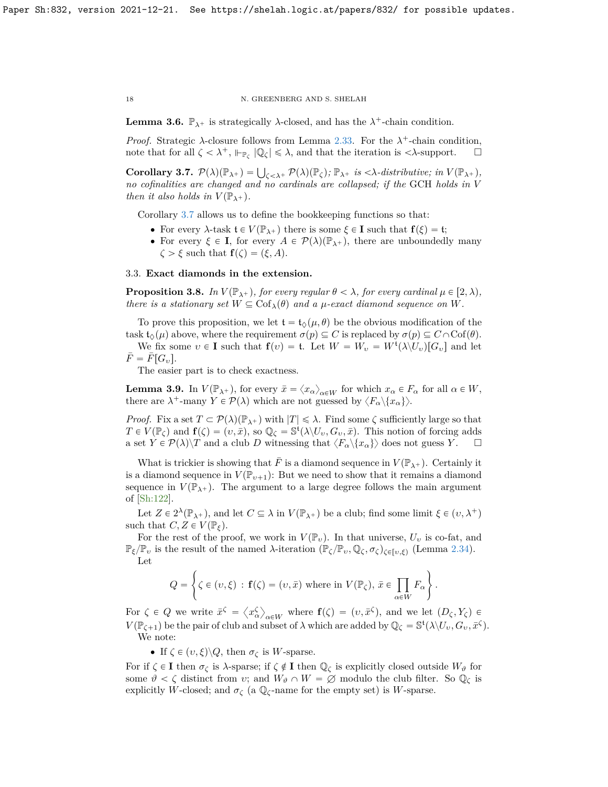**Lemma 3.6.**  $\mathbb{P}_{\lambda^+}$  is strategically *λ*-closed, and has the  $\lambda^+$ -chain condition.

*Proof.* Strategic *λ*-closure follows from Lemma [2.33.](#page-13-0) For the  $\lambda^+$ -chain condition, note that for all  $\zeta < \lambda^+$ ,  $\Vdash_{\mathbb{P}_\zeta} |\mathbb{Q}_\zeta| \leq \lambda$ , and that the iteration is  $\langle \lambda$ -support.  $\Box$ 

<span id="page-17-1"></span>**Corollary 3.7.**  $\mathcal{P}(\lambda)(\mathbb{P}_{\lambda^+}) = \bigcup_{\zeta < \lambda^+} \mathcal{P}(\lambda)(\mathbb{P}_{\zeta})$ ;  $\mathbb{P}_{\lambda^+}$  *is*  $\langle \lambda$ *-distributive; in*  $V(\mathbb{P}_{\lambda^+})$ , *no cofinalities are changed and no cardinals are collapsed; if the* GCH *holds in V then it also holds in*  $V(\mathbb{P}_{\lambda^+})$ *.* 

Corollary [3.7](#page-17-1) allows us to define the bookkeeping functions so that:

- For every  $\lambda$ -task  $\mathbf{t} \in V(\mathbb{P}_{\lambda^+})$  there is some  $\xi \in \mathbf{I}$  such that  $\mathbf{f}(\xi) = \mathbf{t}$ ;
- For every  $\xi \in I$ , for every  $A \in \mathcal{P}(\lambda)(\mathbb{P}_{\lambda^+})$ , there are unboundedly many  $\zeta > \xi$  such that  $f(\zeta) = (\xi, A)$ .

## <span id="page-17-0"></span>3.3. **Exact diamonds in the extension.**

**Proposition 3.8.** *In*  $V(\mathbb{P}_{\lambda^+})$ *, for every regular*  $\theta < \lambda$ *, for every cardinal*  $\mu \in [2, \lambda)$ *, there is a stationary set*  $W \subseteq \text{Cof}_{\lambda}(\theta)$  *and a*  $\mu$ -exact diamond sequence on W.

To prove this proposition, we let  $\mathfrak{t} = \mathfrak{t}_{\Diamond}(\mu, \theta)$  be the obvious modification of the task  $\mathfrak{t}_{\Diamond}(\mu)$  above, where the requirement  $\sigma(p) \subseteq C$  is replaced by  $\sigma(p) \subseteq C \cap \mathrm{Cof}(\theta)$ . We fix some  $v \in \mathbf{I}$  such that  $\mathbf{f}(v) = \mathbf{t}$ . Let  $W = W_v = W^{\mathbf{t}}(\lambda \setminus U_v)[G_v]$  and let

we fix some 
$$
v \in \mathbf{I}
$$
;  
 $\overline{F} = \overline{F}[G_v]$ .

The easier part is to check exactness.

**Lemma 3.9.** In  $V(\mathbb{P}_{\lambda^+})$ , for every  $\bar{x} = \langle x_\alpha \rangle_{\alpha \in W}$  for which  $x_\alpha \in F_\alpha$  for all  $\alpha \in W$ , there are  $\lambda^+$ -many  $Y \in \mathcal{P}(\lambda)$  which are not guessed by  $\langle F_\alpha \rangle \{x_\alpha\} \rangle$ .

*Proof.* Fix a set  $T \subset \mathcal{P}(\lambda)(\mathbb{P}_{\lambda^+})$  with  $|T| \leq \lambda$ . Find some  $\zeta$  sufficiently large so that  $T \in V(\mathbb{P}_{\zeta})$  and  $\mathbf{f}(\zeta) = (v, \bar{x})$ , so  $\mathbb{Q}_{\zeta} = \mathbb{S}^{\mathfrak{t}}(\lambda \setminus U_v, G_v, \bar{x})$ . This notion of forcing adds a set  $Y \in \mathcal{P}(\lambda) \setminus T$  and a club *D* witnessing that  $\langle F_\alpha \rangle \langle x_\alpha \rangle$  does not guess *Y*.  $\Box$ 

What is trickier is showing that  $\bar{F}$  is a diamond sequence in  $V(\mathbb{P}_{\lambda^+})$ . Certainly it is a diamond sequence in  $V(\mathbb{P}_{v+1})$ : But we need to show that it remains a diamond sequence in  $V(\mathbb{P}_{\lambda^+})$ . The argument to a large degree follows the main argument of [\[Sh:122\]](#page-29-11).

Let  $Z \in 2^{\lambda}(\mathbb{P}_{\lambda^+})$ , and let  $C \subseteq \lambda$  in  $V(\mathbb{P}_{\lambda^+})$  be a club; find some limit  $\xi \in (v, \lambda^+)$ such that  $C, Z \in V(\mathbb{P}_{\xi})$ .

For the rest of the proof, we work in  $V(\mathbb{P}_v)$ . In that universe,  $U_v$  is co-fat, and  $\mathbb{P}_{\xi}/\mathbb{P}_{\nu}$  is the result of the named *λ*-iteration  $(\mathbb{P}_{\zeta}/\mathbb{P}_{\nu}, \mathbb{Q}_{\zeta}, \sigma_{\zeta})_{\zeta \in [\nu,\xi)}$  (Lemma [2.34\)](#page-14-1). Let

$$
Q = \left\{ \zeta \in (v, \xi) : \mathbf{f}(\zeta) = (v, \bar{x}) \text{ where in } V(\mathbb{P}_{\zeta}), \, \bar{x} \in \prod_{\alpha \in W} F_{\alpha} \right\}.
$$

For  $\zeta \in Q$  we write  $\bar{x}^{\zeta} =$ *x ζ α*  $\alpha \in W$  where **f**( $\zeta$ ) = ( $v, \bar{x}^{\zeta}$ ), and we let  $(D_{\zeta}, Y_{\zeta}) \in$  $V(\mathbb{P}_{\zeta+1})$  be the pair of club and subset of  $\lambda$  which are added by  $\mathbb{Q}_{\zeta} = \mathbb{S}^{t}(\lambda \setminus U_{v}, G_{v}, \bar{x}^{\zeta}).$ We note:

• If  $\zeta \in (v, \xi) \backslash Q$ , then  $\sigma_{\zeta}$  is *W*-sparse.

For if  $\zeta \in I$  then  $\sigma_{\zeta}$  is  $\lambda$ -sparse; if  $\zeta \notin I$  then  $\mathbb{Q}_{\zeta}$  is explicitly closed outside  $W_{\vartheta}$  for some  $\vartheta < \zeta$  distinct from *v*; and  $W_{\vartheta} \cap W = \varnothing$  modulo the club filter. So  $\mathbb{Q}_{\zeta}$  is explicitly *W*-closed; and  $\sigma_{\zeta}$  (a  $\mathbb{Q}_{\zeta}$ -name for the empty set) is *W*-sparse.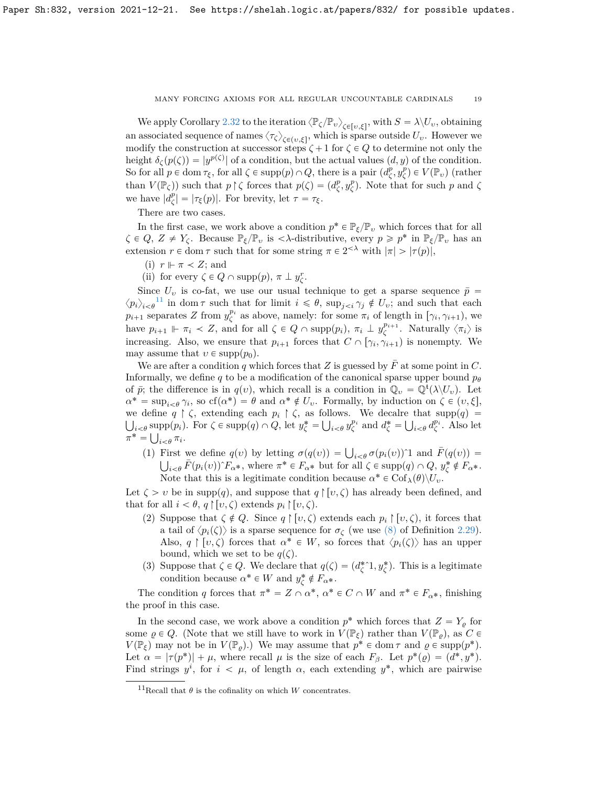We apply Corollary [2.32](#page-12-0) to the iteration  $\langle \mathbb{P}_{\zeta}/\mathbb{P}_{v} \rangle_{\zeta \in [v,\xi]}$ , with  $S = \lambda \setminus U_v$ , obtaining an associated sequence of names  $\langle \tau_\zeta \rangle_{\zeta \in (v,\xi]},$  which is sparse outside  $U_v$ . However we modify the construction at successor steps  $\zeta + 1$  for  $\zeta \in Q$  to determine not only the height  $\delta_{\zeta}(p(\zeta)) = |y^{p(\zeta)}|$  of a condition, but the actual values  $(d, y)$  of the condition. So for all  $p \in \text{dom } \tau_{\xi}$ , for all  $\zeta \in \text{supp}(p) \cap Q$ , there is a pair  $(d_{\zeta}^{p}, y_{\zeta}^{p}) \in V(\mathbb{P}_{v})$  (rather than  $V(\mathbb{P}_{\zeta})$  such that  $p \upharpoonright \zeta$  forces that  $p(\zeta) = (d_{\zeta}^p, y_{\zeta}^p)$ . Note that for such *p* and  $\zeta$ we have  $|d^p_\zeta| = |\tau_\xi(p)|$ . For brevity, let  $\tau = \tau_\xi$ .

There are two cases.

In the first case, we work above a condition  $p^* \in \mathbb{P}_{\xi}/\mathbb{P}_{\nu}$  which forces that for all  $\zeta \in Q$ ,  $Z \neq Y_{\zeta}$ . Because  $\mathbb{P}_{\xi}/\mathbb{P}_{\upsilon}$  is  $\langle \lambda$ -distributive, every  $p \geq p^*$  in  $\mathbb{P}_{\xi}/\mathbb{P}_{\upsilon}$  has an extension  $r \in \text{dom } \tau$  such that for some string  $\pi \in 2^{<\lambda}$  with  $|\pi| > |\tau(p)|$ ,

- (i)  $r \Vdash \pi \prec Z$ ; and
- (ii) for every  $\zeta \in Q \cap \text{supp}(p)$ ,  $\pi \perp y_{\zeta}^r$ .

Since  $U_{\nu}$  is co-fat, we use our usual technique to get a sparse sequence  $\bar{p}$  =  $\langle p_i \rangle_{i \leq \theta}$ <sup>[11](#page-18-0)</sup> in dom *τ* such that for limit  $i \leq \theta$ , sup<sub>*j* $\leq i$ </sub>  $\gamma_j \notin U_v$ ; and such that each *p*<sub>*i*+1</sub> separates *Z* from  $y^{p_i}$  as above, namely: for some  $\pi_i$  of length in  $[\gamma_i, \gamma_{i+1})$ , we have  $p_{i+1} \Vdash \pi_i \prec Z$ , and for all  $\zeta \in Q \cap \text{supp}(p_i)$ ,  $\pi_i \perp y_{\zeta}^{p_{i+1}}$ . Naturally  $\langle \pi_i \rangle$  is increasing. Also, we ensure that  $p_{i+1}$  forces that  $C \cap [\gamma_i, \gamma_{i+1}]$  is nonempty. We may assume that  $v \in \text{supp}(p_0)$ .

We are after a condition *q* which forces that *Z* is guessed by  $\overline{F}$  at some point in *C*. Informally, we define *q* to be a modification of the canonical sparse upper bound  $p_{\theta}$ of  $\bar{p}$ ; the difference is in  $q(v)$ , which recall is a condition in  $\mathbb{Q}_v = \mathbb{Q}^{\mathfrak{t}}(\lambda \backslash U_v)$ . Let  $\alpha^* = \sup_{i \leq \theta} \gamma_i$ , so  $cf(\alpha^*) = \theta$  and  $\alpha^* \notin U_v$ . Formally, by induction on  $\zeta \in (v, \xi]$ , we define  $q \restriction \zeta$ , extending each  $p_i \restriction \zeta$ , as follows. We decalre that  $\text{supp}(q) =$  $_{i<\theta}$  supp $(p_i)$ . For  $\zeta \in \text{supp}(q) \cap Q$ , let  $y_{\zeta}^* = \bigcup_{i<\theta} y_{\zeta}^{p_i}$  and  $d_{\zeta}^* = \bigcup_{i<\theta} d_{\zeta}^{p_i}$ . Also let  $\pi^* = \bigcup_{i < \theta} \pi_i.$ 

(1) First we define *<sup>q</sup>*p*υ*<sup>q</sup> by letting *<sup>σ</sup>*p*q*p*υ*qq " <sup>Ť</sup> *i*ă*θ σ*p*pi*p*υ*qqˆ1 and *F*¯p*q*p*υ*qq " Ť  $\overline{F}(p_i(v))^{\wedge} F_{\alpha^*}$ , where  $\pi^* \in F_{\alpha^*}$  but for all  $\zeta \in \text{supp}(q) \cap Q$ ,  $y_{\zeta}^* \notin F_{\alpha^*}$ . Note that this is a legitimate condition because  $\alpha^* \in \text{Cof}_{\lambda}(\theta) \backslash U_{\nu}$ .

Let  $\zeta > v$  be in supp $(q)$ , and suppose that  $q \upharpoonright [v, \zeta)$  has already been defined, and that for all  $i < \theta, q \upharpoonright [v, \zeta)$  extends  $p_i \upharpoonright [v, \zeta)$ .

- (2) Suppose that  $\zeta \notin Q$ . Since  $q \restriction [v, \zeta)$  extends each  $p_i \restriction [v, \zeta)$ , it forces that a tail of  $\langle p_i(\zeta) \rangle$  is a sparse sequence for  $\sigma_{\zeta}$  (we use [\(8\)](#page-12-6) of Definition [2.29\)](#page-11-2). Also,  $q \restriction [v, \zeta]$  forces that  $\alpha^* \in W$ , so forces that  $\langle p_i(\zeta) \rangle$  has an upper bound, which we set to be  $q(\zeta)$ .
- (3) Suppose that  $\zeta \in Q$ . We declare that  $q(\zeta) = (d_{\zeta}^{*1}, y_{\zeta}^{*})$ . This is a legitimate condition because  $\alpha^* \in W$  and  $y_{\zeta}^* \notin F_{\alpha^*}.$

The condition *q* forces that  $\pi^* = Z \cap \alpha^*$ ,  $\alpha^* \in C \cap W$  and  $\pi^* \in F_{\alpha^*}$ , finishing the proof in this case.

In the second case, we work above a condition  $p^*$  which forces that  $Z = Y_{\varrho}$  for some  $\rho \in Q$ . (Note that we still have to work in  $V(\mathbb{P}_{\xi})$  rather than  $V(\mathbb{P}_{\rho})$ , as  $C \in$ *V*( $\mathbb{P}_{\xi}$ ) may not be in *V*( $\mathbb{P}_{\varrho}$ ).) We may assume that  $p^* \in \text{dom } \tau$  and  $\varrho \in \text{supp}(p^*)$ . Let  $\alpha = |\tau(p^*)| + \mu$ , where recall  $\mu$  is the size of each  $F_\beta$ . Let  $p^*(\varrho) = (d^*, y^*)$ . Find strings  $y^i$ , for  $i < \mu$ , of length  $\alpha$ , each extending  $y^*$ , which are pairwise

<span id="page-18-0"></span><sup>&</sup>lt;sup>11</sup>Recall that  $\theta$  is the cofinality on which *W* concentrates.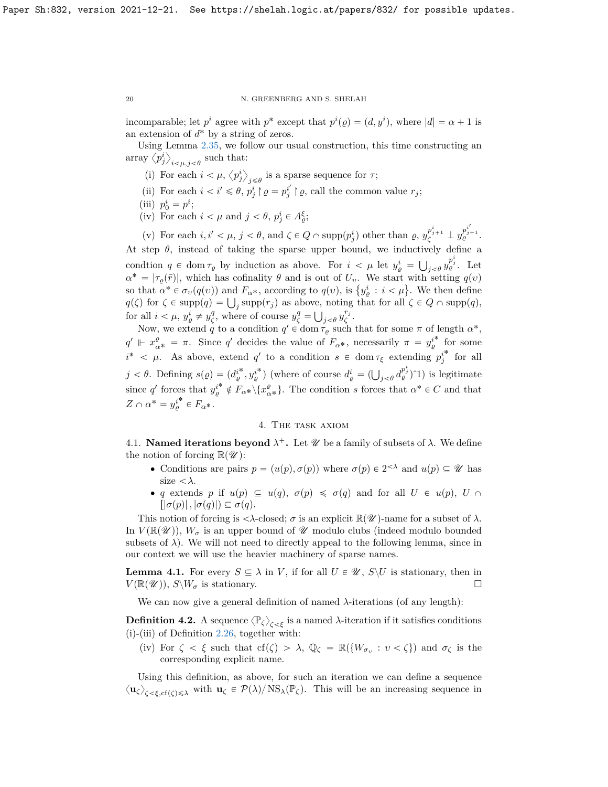incomparable; let  $p^i$  agree with  $p^*$  except that  $p^i(\rho) = (d, y^i)$ , where  $|d| = \alpha + 1$  is an extension of  $d^*$  by a string of zeros.

Using Lemma [2.35,](#page-14-2) we follow our usual construction, this time constructing an Using Lemma 2.35, we fou<br>
array  $\langle p_j^i \rangle_{i \le \mu, j \le \theta}$  such that:

- (i) For each  $i < \mu$ ,  $\langle p_j^i \rangle_{j \le \theta}$  is a sparse sequence for  $\tau$ ;
- (ii) For each  $i < i' \leq \theta$ ,  $p_j^i \upharpoonright \varrho = p_j^{i'} \upharpoonright \varrho$ , call the common value  $r_j$ ;
- (iii)  $p_0^i = p^i$ ;
- (iv) For each  $i < \mu$  and  $j < \theta$ ,  $p_j^i \in A_{\varrho}^{\xi}$ ;

(v) For each  $i, i' < \mu, j < \theta$ , and  $\zeta \in Q \cap \text{supp}(p_j^i)$  other than  $\varrho, y_{\zeta}^{p_{j+1}^i} \perp y_{\varrho}^{p_{j+1}^{i'}}$ . At step  $\theta$ , instead of taking the sparse upper bound, we inductively define a condtion  $q \in \text{dom } \tau_{\varrho}$  by induction as above. For  $i < \mu$  let  $y_{\varrho}^i = \bigcup_{j < \theta} y_{\varrho}^{p_j^i}$ . Let  $\alpha^* = |\tau_{\varrho}(\bar{r})|$ , which has cofinality  $\theta$  and is out of  $U_v$ . We start with setting  $q(v)$  so that  $\alpha^* \in \sigma_v(q(v))$  and  $F_{\alpha^*}$ , according to  $q(v)$ , is  $\{y_{\rho}^i : i < \mu\}$ . We then define so that  $\alpha^* \in \sigma_v(q(v))$  and  $F_{\alpha^*}$ , according to  $q(v)$ , is  $\{y_\rho^i : i < \mu\}$ . We then define so that  $\alpha^* \in \sigma_v(q(v))$  and  $F_{\alpha^*}$ , according to  $q(v)$ , is  $\{y^i_{\rho} : i < \mu\}$ . We then define  $q(\zeta)$  for  $\zeta \in \text{supp}(q) = \bigcup_j \text{supp}(r_j)$  as above, noting that for all  $\zeta \in Q \cap \text{supp}(q)$ , for all  $i < \mu$ ,  $y_{\varrho}^i \neq y_{\zeta}^q$ , where of course  $y_{\zeta}^q = \bigcup_{j < \theta} y_{\zeta}^{r_j}$ .

Now, we extend *q* to a condition  $q' \in \text{dom } \tau_{\varrho}$  such that for some  $\pi$  of length  $\alpha^*$ ,  $q' \Vdash x_{\alpha^*}^{\varrho} = \pi$ . Since  $q'$  decides the value of  $F_{\alpha^*}$ , necessarily  $\pi = y_{\varrho}^{i^*}$  for some  $i^*$   $\lt \mu$ . As above, extend *q*' to a condition  $s \in \text{dom } \tau_{\xi}$  extending  $p_j^{i^*}$  for all  $j < \theta$ . Defining  $s(\varrho) = (d_{\varrho}^{i*}, y_{\varrho}^{i*})$  (where of course  $d_{\varrho}^{i} = (\bigcup_{j < \theta} d_{\varrho}^{p_{j}^{i}})^{\gamma}$ ) is legitimate since *q'* forces that  $y_e^{i*} \notin F_{\alpha^*} \setminus \{x_{\alpha^*}^{\rho}\}\$ . The condition *s* forces that  $\alpha^* \in C$  and that  $Z \cap \alpha^* = y_{\varrho}^{i^*} \in F_{\alpha^*}.$ 

## 4. The task axiom

<span id="page-19-0"></span>4.1. **Named iterations beyond**  $\lambda^+$ . Let  $\mathcal{U}$  be a family of subsets of  $\lambda$ . We define the notion of forcing  $\mathbb{R}(\mathscr{U})$ :

- Conditions are pairs  $p = (u(p), \sigma(p))$  where  $\sigma(p) \in 2^{< \lambda}$  and  $u(p) \subseteq \mathcal{U}$  has size  $\langle \lambda$ .
- *q* extends *p* if  $u(p) \subseteq u(q)$ ,  $\sigma(p) \leq \sigma(q)$  and for all  $U \in u(p)$ ,  $U \cap$  $[|\sigma(p)|, |\sigma(q)|) \subseteq \sigma(q)$ .

This notion of forcing is  $\langle \lambda \rangle$ -closed;  $\sigma$  is an explicit  $\mathbb{R}(\mathscr{U})$ -name for a subset of  $\lambda$ . In  $V(\mathbb{R}(\mathcal{U}))$ ,  $W_{\sigma}$  is an upper bound of  $\mathcal{U}$  modulo clubs (indeed modulo bounded subsets of  $\lambda$ ). We will not need to directly appeal to the following lemma, since in our context we will use the heavier machinery of sparse names.

**Lemma 4.1.** For every  $S \subseteq \lambda$  in *V*, if for all  $U \in \mathcal{U}$ ,  $S \setminus U$  is stationary, then in  $V(\mathbb{R}(\mathcal{U})), S\backslash W_{\sigma}$  is stationary.

We can now give a general definition of named *λ*-iterations (of any length):

**Definition 4.2.** A sequence  $\langle \mathbb{P}_{\zeta} \rangle_{\zeta \leq \xi}$  is a named *λ*-iteration if it satisfies conditions (i)-(iii) of Definition [2.26,](#page-10-0) together with:

(iv) For  $\zeta < \xi$  such that cf( $\zeta$ ) >  $\lambda$ ,  $\mathbb{Q}_{\zeta} = \mathbb{R}(\{W_{\sigma_v} : v < \zeta\})$  and  $\sigma_{\zeta}$  is the corresponding explicit name.

Using this definition, as above, for such an iteration we can define a sequence  $\langle \mathbf{u}_\zeta \rangle_{\zeta < \xi, \text{cf}(\zeta) \leq \lambda}$  with  $\mathbf{u}_\zeta \in \mathcal{P}(\lambda)/\text{NS}_\lambda(\mathbb{P}_\zeta)$ . This will be an increasing sequence in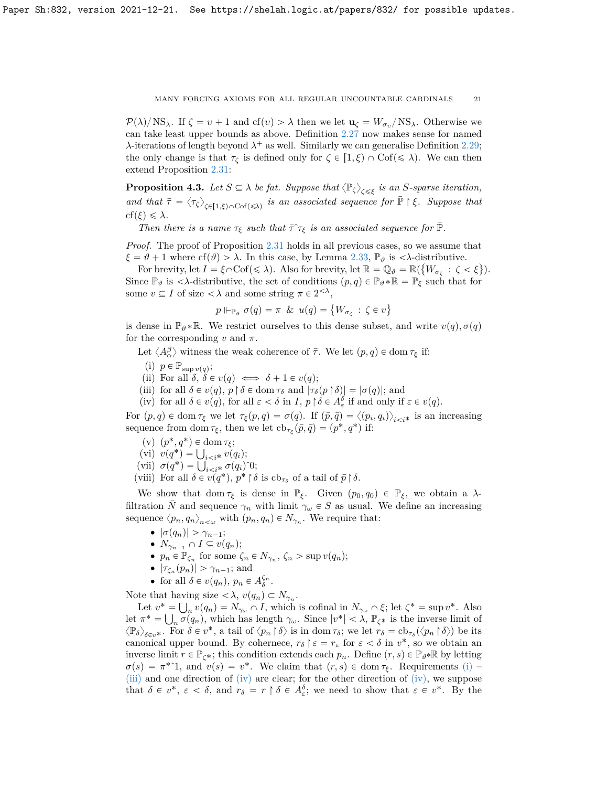$\mathcal{P}(\lambda)/NS_{\lambda}$ . If  $\zeta = v + 1$  and cf $(v) > \lambda$  then we let  $\mathbf{u}_{\zeta} = W_{\sigma_v}/NS_{\lambda}$ . Otherwise we can take least upper bounds as above. Definition [2.27](#page-11-10) now makes sense for named *λ*-iterations of length beyond  $λ$ <sup>+</sup> as well. Similarly we can generalise Definition [2.29;](#page-11-2) the only change is that  $\tau_{\zeta}$  is defined only for  $\zeta \in [1,\xi) \cap \text{Cof}(\leq \lambda)$ . We can then extend Proposition [2.31:](#page-12-2)

<span id="page-20-0"></span>**Proposition 4.3.** Let  $S \subseteq \lambda$  be fat. Suppose that  $\langle \mathbb{P}_{\zeta} \rangle_{\zeta \leq \xi}$  is an *S*-sparse iteration, *and that*  $\bar{\tau} = \langle \tau_{\zeta} \rangle_{\zeta \in [1,\xi) \cap \text{Cof}(\leqslant)}$  *is an associated sequence for*  $\bar{\mathbb{P}} \upharpoonright \xi$ *. Suppose that*  $cf(\xi) \leq \lambda$ *.* 

*Then there is a name*  $\tau_{\xi}$  *such that*  $\bar{\tau}^{\gamma}\tau_{\xi}$  *is an associated sequence for*  $\mathbb{P}$ *.* 

*Proof.* The proof of Proposition [2.31](#page-12-2) holds in all previous cases, so we assume that  $\xi = \vartheta + 1$  where cf $(\vartheta) > \lambda$ . In this case, by Lemma [2.33,](#page-13-0)  $\mathbb{P}_{\vartheta}$  is  $\langle \lambda$ -distributive.

For brevity, let  $I = \xi \cap \text{Cof}(\leq \lambda)$ . Also for brevity, let  $\mathbb{R} = \mathbb{Q}_{\vartheta} = \mathbb{R}(\lbrace W_{\sigma_{\zeta}} : \zeta < \xi \rbrace)$ . Since  $\mathbb{P}_{\vartheta}$  is  $\langle \lambda \cdot \hat{\lambda} \rangle$ -distributive, the set of conditions  $(p, q) \in \mathbb{P}_{\vartheta} * \mathbb{R} = \mathbb{P}_{\xi}$  such that for some  $v \subseteq I$  of size  $\langle \lambda \rangle$  and some string  $\pi \in 2^{\langle \lambda \rangle}$ ,

*p*  $\Vdash_{\mathbb{P}_{\vartheta}} \sigma(q) = \pi \& u(q) = \{W_{\sigma_{\zeta}} : \zeta \in v\}$ 

is dense in  $\mathbb{P}_{\theta} * \mathbb{R}$ . We restrict ourselves to this dense subset, and write  $v(q)$ ,  $\sigma(q)$ for the corresponding  $v$  and  $\pi$ .

<span id="page-20-1"></span>Let  $\langle A_{\alpha}^{\beta} \rangle$  witness the weak coherence of  $\bar{\tau}$ . We let  $(p, q) \in \text{dom } \tau_{\xi}$  if:

- (i)  $p \in \mathbb{P}_{\text{sup } v(q)}$ ;
- (ii) For all  $\delta, \delta \in v(q) \iff \delta + 1 \in v(q);$
- <span id="page-20-2"></span>(iii) for all  $\delta \in v(q)$ ,  $p \upharpoonright \delta \in \text{dom } \tau_{\delta}$  and  $|\tau_{\delta}(p \upharpoonright \delta)| = |\sigma(q)|$ ; and
- <span id="page-20-3"></span>(iv) for all  $\delta \in v(q)$ , for all  $\varepsilon < \delta$  in *I*,  $p \upharpoonright \delta \in A_{\varepsilon}^{\delta}$  if and only if  $\varepsilon \in v(q)$ .

For  $(p, q) \in \text{dom } \tau_{\xi}$  we let  $\tau_{\xi}(p, q) = \sigma(q)$ . If  $(\bar{p}, \bar{q}) = \langle (p_i, q_i) \rangle_{i \leq i^*}$  is an increasing sequence from dom  $\tau_{\xi}$ , then we let  $\text{cb}_{\tau_{\xi}}(\bar{p}, \bar{q}) = (p^*, q^*)$  if:

- $(v)$   $(p^*, q^*) \in \text{dom } \tau_{\xi};$
- (v)  $(p^*, q^*) \in \text{dom } \tau_{\xi}$ ;<br>
(vi)  $v(q^*) = \bigcup_{i < i^*} v(q_i)$ ;
- (vii)  $v(q^*) = \bigcup_{i < i^*} v(q_i);$ <br>
(vii)  $\sigma(q^*) = \bigcup_{i < i^*} \sigma(q_i)^0;$
- (viii) For all  $\delta \in v(q^*)$ ,  $p^* \upharpoonright \delta$  is  $\text{cb}_{\tau_{\delta}}$  of a tail of  $\bar{p} \upharpoonright \delta$ .

We show that dom  $\tau_{\xi}$  is dense in  $\mathbb{P}_{\xi}$ . Given  $(p_0, q_0) \in \mathbb{P}_{\xi}$ , we obtain a  $\lambda$ filtration *N* and sequence  $\gamma_n$  with limit  $\gamma_\omega \in S$  as usual. We define an increasing sequence  $\langle p_n, q_n \rangle_{n \leq \omega}$  with  $(p_n, q_n) \in N_{\gamma_n}$ . We require that:

- $|\sigma(q_n)| > \gamma_{n-1};$
- $N_{\gamma_{n-1}} \cap I \subseteq v(q_n);$
- $\bullet$   $p_n \in \mathbb{P}_{\zeta_n}$  for some  $\zeta_n \in N_{\gamma_n}, \zeta_n > \sup v(q_n);$
- $|\tau_{\zeta_n}(p_n)| > \gamma_{n-1}$ ; and
- for all  $\delta \in v(q_n), p_n \in A_{\delta}^{\zeta_n}$ .

Note that having size  $\langle \lambda, v(q_n) \subset N_{\gamma_n}$ .

Let  $v^* = \bigcup_n v(q_n) = N_{\gamma_\omega} \cap I$ , which is cofinal in  $N_{\gamma_\omega} \cap \xi$ ; let  $\zeta^* = \sup v^*$ . Also let  $\pi^* = \bigcup_n \sigma(q_n)$ , which has length  $\gamma_\omega$ . Since  $|v^*| < \lambda$ ,  $\mathbb{P}_{\zeta^*}$  is the inverse limit of  $\langle \mathbb{P}_{\delta} \rangle_{\delta \in v^*}$ . For  $\delta \in v^*$ , a tail of  $\langle p_n \upharpoonright \delta \rangle$  is in dom  $\tau_{\delta}$ ; we let  $r_{\delta} = \text{ch}_{\tau_{\delta}}(\langle p_n \upharpoonright \delta \rangle)$  be its canonical upper bound. By cohernece,  $r_{\delta} \upharpoonright \varepsilon = r_{\varepsilon}$  for  $\varepsilon < \delta$  in  $v^*$ , so we obtain an inverse limit  $r \in \mathbb{P}_{\zeta^*}$ ; this condition extends each  $p_n$ . Define  $(r, s) \in \mathbb{P}_{\theta^*}$  by letting  $\sigma(s) = \pi^{*}$ <sup>2</sup>, and  $v(s) = v^{*}$ . We claim that  $(r, s) \in \text{dom } \tau_{\xi}$ . Requirements [\(i\)](#page-20-1) – [\(iii\)](#page-20-2) and one direction of [\(iv\)](#page-20-3) are clear; for the other direction of [\(iv\),](#page-20-3) we suppose that  $\delta \in v^*$ ,  $\varepsilon < \delta$ , and  $r_{\delta} = r \restriction \delta \in A_{\varepsilon}^{\delta}$ ; we need to show that  $\varepsilon \in v^*$ . By the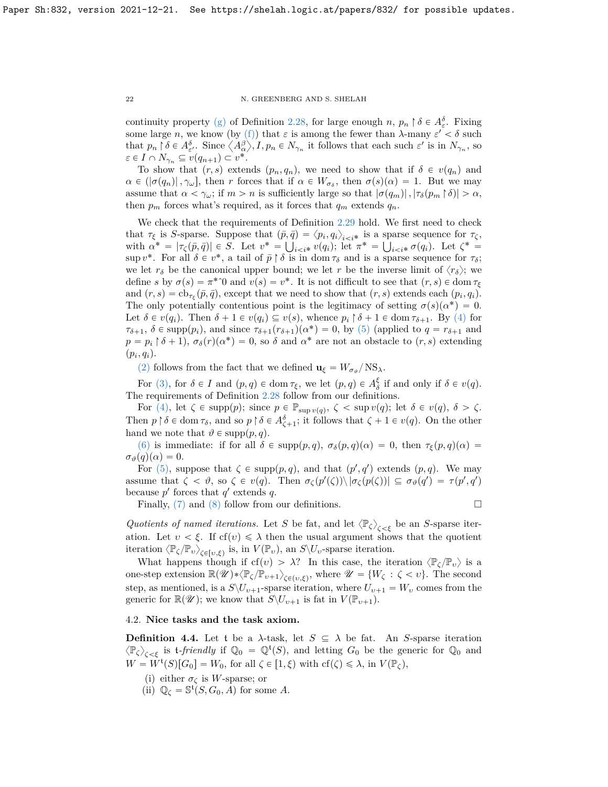continuity property [\(g\)](#page-11-9) of Definition [2.28,](#page-11-6) for large enough  $n, p_n \upharpoonright \delta \in A_{\varepsilon}^{\delta}$ . Fixing some large *n*, we know (by  $(f)$ ) that  $\varepsilon$  is among the fewer than  $\lambda$ -many  $\varepsilon' < \delta$  such some large *n*, we know (by (f)) that  $\varepsilon$  is among the fewer than  $\lambda$ -many  $\varepsilon' < \delta$  such that  $p_n \upharpoonright \delta \in A_{\varepsilon'}^{\delta}$ . Since  $\langle A_{\alpha}^{\beta} \rangle$ ,  $I, p_n \in N_{\gamma_n}$  it follows that each such  $\varepsilon'$  is in  $N_{\gamma_n}$ , so  $\varepsilon \in I \cap N_{\gamma_n} \subseteq v(q_{n+1}) \subset v^*.$ 

To show that  $(r, s)$  extends  $(p_n, q_n)$ , we need to show that if  $\delta \in v(q_n)$  and  $\alpha \in (\sigma(q_n), \gamma_\omega]$ , then *r* forces that if  $\alpha \in W_{\sigma_\delta}$ , then  $\sigma(s)(\alpha) = 1$ . But we may assume that  $\alpha < \gamma_\omega$ ; if  $m > n$  is sufficiently large so that  $|\sigma(q_m)|, |\tau_\delta(p_m \nvert \delta)| > \alpha$ , then  $p_m$  forces what's required, as it forces that  $q_m$  extends  $q_n$ .

We check that the requirements of Definition [2.29](#page-11-2) hold. We first need to check that  $\tau_{\xi}$  is *S*-sparse. Suppose that  $(\bar{p}, \bar{q}) = \langle p_i, q_i \rangle_{i \leq i^*}$  is a sparse sequence for  $\tau_{\zeta}$ , with  $\alpha^* = |\tau_{\zeta}(\bar{p}, \bar{q})| \in S$ . Let  $v^* = \bigcup_{i \leq i^*} v(q_i)$ ; let  $\pi^* = \bigcup_{i \leq i^*} \sigma(q_i)$ . Let  $\zeta^* =$ sup *v*<sup>\*</sup>. For all  $\delta \in v^*$ , a tail of  $\bar{p} \restriction \delta$  is in dom  $\tau_{\delta}$  and is a sparse sequence for  $\tau_{\delta}$ ; we let  $r_{\delta}$  be the canonical upper bound; we let *r* be the inverse limit of  $\langle r_{\delta} \rangle$ ; we define *s* by  $\sigma(s) = \pi^*$ <sup>o</sup> and  $v(s) = v^*$ . It is not difficult to see that  $(r, s) \in \text{dom } \tau_{\xi}$ and  $(r, s) = cb_{\tau_{\xi}}(\bar{p}, \bar{q})$ , except that we need to show that  $(r, s)$  extends each  $(p_i, q_i)$ . The only potentially contentious point is the legitimacy of setting  $\sigma(s)(\alpha^*)=0$ . Let  $\delta \in v(q_i)$ . Then  $\delta + 1 \in v(q_i) \subseteq v(s)$ , whence  $p_i \upharpoonright \delta + 1 \in \text{dom } \tau_{\delta+1}$ . By [\(4\)](#page-11-4) for  $\tau_{\delta+1}$ ,  $\delta \in \text{supp}(p_i)$ , and since  $\tau_{\delta+1}(r_{\delta+1})(\alpha^*)=0$ , by [\(5\)](#page-12-3) (applied to  $q=r_{\delta+1}$  and  $p = p_i \upharpoonright \delta + 1$ ,  $\sigma_{\delta}(r)(\alpha^*) = 0$ , so  $\delta$  and  $\alpha^*$  are not an obstacle to  $(r, s)$  extending  $(p_i, q_i)$ .

[\(2\)](#page-11-1) follows from the fact that we defined  $\mathbf{u}_{\xi} = W_{\sigma_{\vartheta}} / NS_{\lambda}$ .

For [\(3\),](#page-11-3) for  $\delta \in I$  and  $(p, q) \in \text{dom } \tau_{\xi}$ , we let  $(p, q) \in A_{\delta}^{\xi}$  if and only if  $\delta \in v(q)$ . The requirements of Definition [2.28](#page-11-6) follow from our definitions.

For  $(4)$ , let  $\zeta \in \text{supp}(p)$ ; since  $p \in \mathbb{P}_{\text{sup }v(q)}$ ,  $\zeta < \text{sup }v(q)$ ; let  $\delta \in v(q)$ ,  $\delta > \zeta$ . Then  $p \restriction \delta \in \text{dom } \tau_{\delta}$ , and so  $p \restriction \delta \in A_{\zeta+1}^{\delta}$ ; it follows that  $\zeta + 1 \in v(q)$ . On the other hand we note that  $\vartheta \in \text{supp}(p, q)$ .

[\(6\)](#page-12-4) is immediate: if for all  $\delta \in \text{supp}(p, q)$ ,  $\sigma_{\delta}(p, q)(\alpha) = 0$ , then  $\tau_{\epsilon}(p, q)(\alpha) = 0$  $\sigma_{\vartheta}(q)(\alpha) = 0.$ 

For [\(5\),](#page-12-3) suppose that  $\zeta \in \text{supp}(p, q)$ , and that  $(p', q')$  extends  $(p, q)$ . We may assume that  $\zeta < \vartheta$ , so  $\zeta \in v(q)$ . Then  $\sigma_{\zeta}(p'(\zeta)) \setminus |\sigma_{\zeta}(p(\zeta))| \subseteq \sigma_{\vartheta}(q') = \tau(p', q')$ because  $p'$  forces that  $q'$  extends  $q$ .

Finally, [\(7\)](#page-12-5) and [\(8\)](#page-12-6) follow from our definitions.

$$
\Box
$$

*Quotients of named iterations.* Let *S* be fat, and let  $\langle \mathbb{P}_{\zeta} \rangle_{\zeta < \xi}$  be an *S*-sparse iteration. Let  $v < \xi$ . If cf $(v) \leq \lambda$  then the usual argument shows that the quotient iteration  $\langle \mathbb{P}_{\zeta}/\mathbb{P}_{v} \rangle_{\zeta \in [v,\xi)}$  is, in  $V(\mathbb{P}_{v})$ , an  $S \setminus U_{v}$ -sparse iteration.

What happens though if cf(*v*) >  $\lambda$ ? In this case, the iteration  $\langle \mathbb{P}_{\zeta}/\mathbb{P}_{v} \rangle$  is a one-step extension  $\mathbb{R}(\mathscr{U}) * \langle \mathbb{P}_{\zeta}/\mathbb{P}_{\nu+1} \rangle_{\zeta \in (\upsilon,\xi)},$  where  $\mathscr{U} = \{W_{\zeta} : \zeta < \upsilon\}.$  The second step, as mentioned, is a  $S\Upsilon_{v+1}$ -sparse iteration, where  $U_{v+1} = W_v$  comes from the generic for  $\mathbb{R}(\mathscr{U})$ ; we know that  $S\backslash U_{v+1}$  is fat in  $V(\mathbb{P}_{v+1})$ .

## 4.2. **Nice tasks and the task axiom.**

**Definition 4.4.** Let t be a *λ*-task, let  $S \subseteq \lambda$  be fat. An *S*-sparse iteration  $\langle \mathbb{P}_{\zeta} \rangle_{\zeta < \xi}$  is *t-friendly* if  $\mathbb{Q}_0 = \mathbb{Q}^{\mathfrak{t}}(S)$ , and letting  $G_0$  be the generic for  $\mathbb{Q}_0$  and  $W = W^{\dagger}(S)[G_0] = W_0$ , for all  $\zeta \in [1, \xi)$  with  $cf(\zeta) \leq \lambda$ , in  $V(\mathbb{P}_{\zeta})$ ,

- (i) either  $\sigma_{\zeta}$  is *W*-sparse; or
- (ii)  $\mathbb{Q}_{\zeta} = \mathbb{S}^{\mathfrak{t}}(S, G_0, A)$  for some *A*.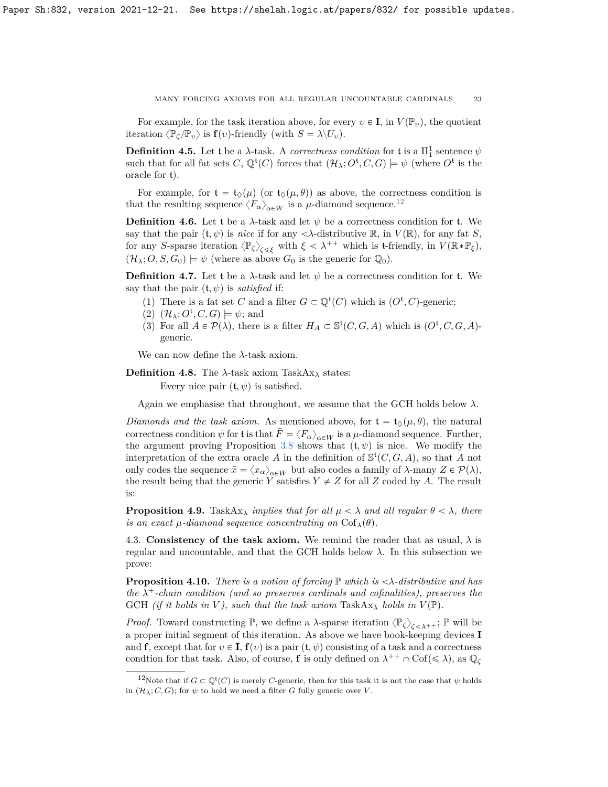For example, for the task iteration above, for every  $v \in I$ , in  $V(\mathbb{P}_v)$ , the quotient iteration  $\langle \mathbb{P}_{\zeta}/\mathbb{P}_{\nu} \rangle$  is  $\mathbf{f}(v)$ -friendly (with  $S = \lambda \setminus U_v$ ).

<span id="page-22-2"></span>**Definition 4.5.** Let t be a *λ*-task. A *correctness condition* for t is a  $\Pi_1^1$  sentence  $\psi$ such that for all fat sets *C*,  $\mathbb{Q}^{\mathfrak{t}}(C)$  forces that  $(\mathcal{H}_{\lambda}; O^{\mathfrak{t}}, C, G) \models \psi$  (where  $O^{\mathfrak{t}}$  is the oracle for t).

For example, for  $\mathfrak{t} = \mathfrak{t}_{\Diamond}(\mu)$  (or  $\mathfrak{t}_{\Diamond}(\mu, \theta)$ ) as above, the correctness condition is that the resulting sequence  $\langle F_\alpha \rangle_{\alpha \in W}$  is a *µ*-diamond sequence.<sup>[12](#page-22-4)</sup>

<span id="page-22-3"></span>**Definition 4.6.** Let t be a  $\lambda$ -task and let  $\psi$  be a correctness condition for t. We say that the pair  $(\mathfrak{t}, \psi)$  is *nice* if for any  $\langle \lambda \rangle$ -distributive R, in  $V(\mathbb{R})$ , for any fat *S*, for any *S*-sparse iteration  $\langle \mathbb{P}_{\zeta} \rangle_{\zeta \leq \xi}$  with  $\xi < \lambda^{++}$  which is t-friendly, in  $V(\mathbb{R} * \mathbb{P}_{\xi})$ ,  $(\mathcal{H}_{\lambda}; O, S, G_0) \models \psi$  (where as above  $G_0$  is the generic for  $\mathbb{Q}_0$ ).

**Definition 4.7.** Let t be a  $\lambda$ -task and let  $\psi$  be a correctness condition for t. We say that the pair  $(t, \psi)$  is *satisfied* if:

- (1) There is a fat set *C* and a filter  $G \subset \mathbb{Q}^{\mathfrak{t}}(C)$  which is  $(O^{\mathfrak{t}}, C)$ -generic;
- $(2)$   $(\mathcal{H}_{\lambda}; O^{\mathfrak{t}}, C, G) \models \psi$ ; and
- (3) For all  $A \in \mathcal{P}(\lambda)$ , there is a filter  $H_A \subset \mathbb{S}^{\mathfrak{t}}(C, G, A)$  which is  $(O^{\mathfrak{t}}, C, G, A)$ generic.

We can now define the *λ*-task axiom.

<span id="page-22-1"></span>**Definition 4.8.** The  $\lambda$ -task axiom TaskAx<sub> $\lambda$ </sub> states:

Every nice pair  $(\mathfrak{t}, \psi)$  is satisfied.

Again we emphasise that throughout, we assume that the GCH holds below  $\lambda$ .

*Diamonds and the task axiom.* As mentioned above, for  $\mathbf{t} = \mathbf{t}_{\diamond}(\mu, \theta)$ , the natural correctness condition  $\psi$  for t is that  $\bar{F} = \langle F_\alpha \rangle_{\alpha \in W}$  is a  $\mu$ -diamond sequence. Further, the argument proving Proposition [3.8](#page-17-0) shows that  $(t, \psi)$  is nice. We modify the interpretation of the extra oracle *A* in the definition of  $\mathbb{S}^{t}(C, G, A)$ , so that *A* not only codes the sequence  $\bar{x} = \langle x_{\alpha} \rangle_{\alpha \in W}$  but also codes a family of  $\lambda$ -many  $Z \in \mathcal{P}(\lambda)$ , the result being that the generic *Y* satisfies  $Y \neq Z$  for all *Z* coded by *A*. The result is:

<span id="page-22-0"></span>**Proposition 4.9.** TaskAx<sub> $\lambda$ </sub> *implies that for all*  $\mu < \lambda$  *and all regular*  $\theta < \lambda$ *, there is an exact*  $\mu$ -diamond sequence concentrating on Cof<sub> $\lambda$ </sub> $(\theta)$ .

4.3. **Consistency of the task axiom.** We remind the reader that as usual,  $\lambda$  is regular and uncountable, and that the GCH holds below  $\lambda$ . In this subsection we prove:

**Proposition 4.10.** *There is a notion of forcing*  $\mathbb P$  *which is*  $\langle \lambda \cdot \text{distributive} \rangle$  and has *the*  $\lambda^+$ -chain condition (and so preserves cardinals and cofinalities), preserves the GCH *(if it holds in V), such that the task axiom TaskAx<sub>* $\lambda$ *</sub> <i>holds in V*( $\mathbb{P}$ ).

*Proof.* Toward constructing  $\mathbb{P}$ , we define a *λ*-sparse iteration  $\langle \mathbb{P}_{\zeta} \rangle_{\zeta \langle \zeta \rangle + +}$ ;  $\mathbb{P}$  will be a proper initial segment of this iteration. As above we have book-keeping devices **I** and **f**, except that for  $v \in I$ , **f**(*v*) is a pair (**t**,  $\psi$ ) consisting of a task and a correctness condtion for that task. Also, of course, **f** is only defined on  $\lambda^{++} \cap \text{Cof}(\leq \lambda)$ , as  $\mathbb{Q}_\zeta$ 

<span id="page-22-4"></span><sup>&</sup>lt;sup>12</sup>Note that if  $G \subset \mathbb{Q}^{\mathfrak{t}}(C)$  is merely *C*-generic, then for this task it is not the case that  $\psi$  holds in  $(\mathcal{H}_{\lambda}; C, G)$ ; for  $\psi$  to hold we need a filter *G* fully generic over *V*.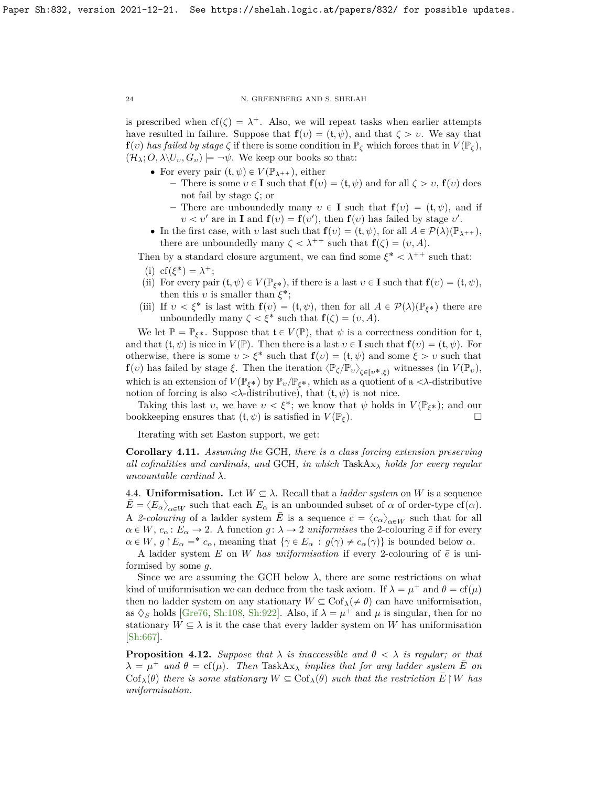is prescribed when  $cf(\zeta) = \lambda^+$ . Also, we will repeat tasks when earlier attempts have resulted in failure. Suppose that  $f(v) = (t, \psi)$ , and that  $\zeta > v$ . We say that **f**(*v*) has failed by stage  $\zeta$  if there is some condition in  $\mathbb{P}_{\zeta}$  which forces that in  $V(\mathbb{P}_{\zeta})$ ,  $(\mathcal{H}_{\lambda}; O, \lambda \backslash U_{v}, G_{v}) \models \neg \psi$ . We keep our books so that:

- For every pair  $(t, \psi) \in V(\mathbb{P}_{\lambda^{++}})$ , either
	- **–** There is some  $v \in \mathbf{I}$  such that  $\mathbf{f}(v) = (\mathbf{t}, \psi)$  and for all  $\zeta > v$ ,  $\mathbf{f}(v)$  does not fail by stage *ζ*; or
	- **–** There are unboundedly many  $v \in \mathbf{I}$  such that  $\mathbf{f}(v) = (\mathbf{t}, \psi)$ , and if  $v < v'$  are in **I** and  $f(v) = f(v')$ , then  $f(v)$  has failed by stage *v'*.
- In the first case, with *v* last such that  $f(v) = (t, \psi)$ , for all  $A \in \mathcal{P}(\lambda)(\mathbb{P}_{\lambda^{++}})$ , there are unboundedly many  $\zeta < \lambda^{++}$  such that  $f(\zeta) = (v, A)$ .

Then by a standard closure argument, we can find some  $\xi^* < \lambda^{++}$  such that:

- (i)  $cf(\xi^*) = \lambda^+;$
- (ii) For every pair  $(\mathfrak{t}, \psi) \in V(\mathbb{P}_{\xi^*})$ , if there is a last  $v \in \mathbf{I}$  such that  $\mathbf{f}(v) = (\mathfrak{t}, \psi)$ , then this  $v$  is smaller than  $\xi^*$ ;
- (iii) If  $v < \xi^*$  is last with  $f(v) = (t, \psi)$ , then for all  $A \in \mathcal{P}(\lambda)(\mathbb{P}_{\xi^*})$  there are unboundedly many  $\zeta < \xi^*$  such that  $f(\zeta) = (v, A)$ .

We let  $\mathbb{P} = \mathbb{P}_{\xi^*}$ . Suppose that  $\mathfrak{t} \in V(\mathbb{P})$ , that  $\psi$  is a correctness condition for  $\mathfrak{t}$ , and that  $(\mathfrak{t}, \psi)$  is nice in *V* ( $\mathbb{P}$ ). Then there is a last  $v \in \mathbf{I}$  such that  $\mathbf{f}(v) = (\mathfrak{t}, \psi)$ . For otherwise, there is some  $v > \xi^*$  such that  $f(v) = (t, \psi)$  and some  $\xi > v$  such that **f**(*v*) has failed by stage *ξ*. Then the iteration  $\langle \mathbb{P}_{\zeta}/\mathbb{P}_{v} \rangle_{\zeta \in [v^*, \xi)}$  witnesses (in  $V(\mathbb{P}_{v})$ , which is an extension of  $V(\mathbb{P}_{\xi^*})$  by  $\mathbb{P}_v/\mathbb{P}_{\xi^*}$ , which as a quotient of a  $\langle \lambda \rangle$ -distributive notion of forcing is also  $\langle \lambda$ -distributive), that  $(t, \psi)$  is not nice.

Taking this last *v*, we have  $v < \xi^*$ ; we know that  $\psi$  holds in  $V(\mathbb{P}_{\xi^*})$ ; and our bookkeeping ensures that  $(\mathfrak{t}, \psi)$  is satisfied in  $V(\mathbb{P}_{\xi})$ .

Iterating with set Easton support, we get:

**Corollary 4.11.** *Assuming the* GCH*, there is a class forcing extension preserving all cofinalities and cardinals, and* GCH*, in which* TaskAx*<sup>λ</sup> holds for every regular uncountable cardinal λ.*

4.4. **Uniformisation.** Let  $W \subseteq \lambda$ . Recall that a *ladder system* on W is a sequence  $E = \langle E_{\alpha} \rangle_{\alpha \in W}$  such that each  $E_{\alpha}$  is an unbounded subset of  $\alpha$  of order-type cf( $\alpha$ ). A *2-colouring* of a ladder system  $\overline{E}$  is a sequence  $\overline{c} = \langle c_{\alpha} \rangle_{\alpha \in W}$  such that for all  $\alpha \in W$ ,  $c_{\alpha} : E_{\alpha} \to 2$ . A function  $g : \lambda \to 2$  *uniformises* the 2-colouring  $\bar{c}$  if for every  $\alpha \in W$ ,  $g \upharpoonright E_\alpha =^* c_\alpha$ , meaning that  $\{\gamma \in E_\alpha : g(\gamma) \neq c_\alpha(\gamma)\}\$ is bounded below  $\alpha$ .

A ladder system  $\overline{E}$  on *W* has uniformisation if every 2-colouring of  $\overline{e}$  is uniformised by some *g*.

Since we are assuming the GCH below  $\lambda$ , there are some restrictions on what kind of uniformisation we can deduce from the task axiom. If  $\lambda = \mu^+$  and  $\theta = cf(\mu)$ then no ladder system on any stationary  $W \subseteq \text{Cof}_{\lambda}(\neq \theta)$  can have uniformisation, as  $\Diamond$ <sub>S</sub> holds [\[Gre76,](#page-29-12) [Sh:108,](#page-29-10) [Sh:922\]](#page-29-13). Also, if  $\lambda = \mu^+$  and  $\mu$  is singular, then for no stationary  $W \subseteq \lambda$  is it the case that every ladder system on *W* has uniformisation [\[Sh:667\]](#page-29-9).

<span id="page-23-0"></span>**Proposition 4.12.** *Suppose that*  $\lambda$  *is inaccessible and*  $\theta \leq \lambda$  *is regular; or that*  $\lambda = \mu^+$  and  $\theta = cf(\mu)$ . Then TaskAx<sub> $\lambda$ </sub> *implies that for any ladder system*  $\overline{E}$  *on*  $Cof_{\lambda}(\theta)$  there is some stationary  $W \subseteq Cof_{\lambda}(\theta)$  such that the restriction  $E \restriction W$  has *uniformisation.*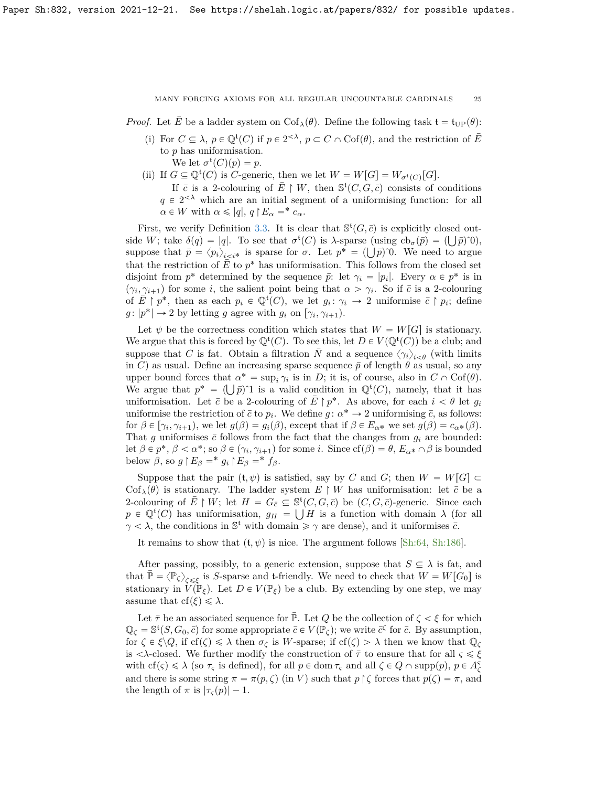*Proof.* Let  $\overline{E}$  be a ladder system on Cof<sub> $\lambda$ </sub> $(\theta)$ . Define the following task  $t = t_{UP}(\theta)$ :

- (i) For  $C \subseteq \lambda$ ,  $p \in \mathbb{Q}^{\mathfrak{t}}(C)$  if  $p \in 2^{<\lambda}$ ,  $p \subset C \cap \text{Cof}(\theta)$ , and the restriction of  $\overline{E}$ to *p* has uniformisation.
	- We let  $\sigma^{\mathfrak{t}}(C)(p) = p$ .
- (ii) If  $G \subseteq \mathbb{Q}^{\mathfrak{t}}(C)$  is *C*-generic, then we let  $W = W[G] = W_{\sigma^{\mathfrak{t}}(C)}[G]$ .
	- If  $\bar{c}$  is a 2-colouring of  $\bar{E} \restriction W$ , then  $\mathbb{S}^{\mathfrak{t}}(C, G, \bar{c})$  consists of conditions  $q \in 2<sup>{\lt}\lambda</sup>$  which are an initial segment of a uniformising function: for all  $\alpha \in W$  with  $\alpha \leqslant |q|, q \restriction E_\alpha =^* c_\alpha$ .

First, we verify Definition [3.3.](#page-15-0) It is clear that  $\mathbb{S}^{t}(G,\overline{c})$  is explicitly closed out-First, we verify Definition 3.3. It is clear that  $\mathcal{S}^{\mathfrak{t}}(G, c)$  is explicitly closed outside *W*; take  $\delta(q) = |q|$ . To see that  $\sigma^{\mathfrak{t}}(C)$  is λ-sparse (using cb<sub> $\sigma(\bar{p}) = (\bigcup \bar{p})^{\hat{}}(0)$ ,</sub> side *W*; take  $\delta(q) = |q|$ . To see that  $\sigma^*(C)$  is  $\lambda$ -sparse (using  $cb_{\sigma}(p) = (\bigcup p)$ <sup>n</sup>), suppose that  $\bar{p} = \langle p_i \rangle_{i \leq i^*}$  is sparse for  $\sigma$ . Let  $p^* = (\bigcup \bar{p})$ <sup>n</sup>. We need to argue that the restriction of  $\overline{E}$  to  $p^*$  has uniformisation. This follows from the closed set disjoint from  $p^*$  determined by the sequence  $\bar{p}$ : let  $\gamma_i = |p_i|$ . Every  $\alpha \in p^*$  is in  $(\gamma_i, \gamma_{i+1})$  for some *i*, the salient point being that  $\alpha > \gamma_i$ . So if  $\bar{c}$  is a 2-colouring of  $\overline{E} \restriction p^*$ , then as each  $p_i \in \mathbb{Q}^{\mathfrak{t}}(C)$ , we let  $g_i: \gamma_i \to 2$  uniformise  $\overline{c} \restriction p_i$ ; define  $g: |p^*| \to 2$  by letting *g* agree with  $g_i$  on  $[\gamma_i, \gamma_{i+1})$ .

Let  $\psi$  be the correctness condition which states that  $W = W[G]$  is stationary. We argue that this is forced by  $\mathbb{Q}^{\mathfrak{t}}(C)$ . To see this, let  $D \in V(\mathbb{Q}^{\mathfrak{t}}(C))$  be a club; and suppose that *C* is fat. Obtain a filtration  $\bar{N}$  and a sequence  $\langle \gamma_i \rangle_{i \lt \theta}$  (with limits in *C*) as usual. Define an increasing sparse sequence  $\bar{p}$  of length  $\theta$  as usual, so any upper bound forces that  $\alpha^* = \sup_i \gamma_i$  is in *D*; it is, of course, also in  $C \cap \text{Cof}(\theta)$ . upper bound forces that  $\alpha^* = \sup_i \gamma_i$  is in *D*; it is, of course, also in  $C \cap \text{Cot}(\theta)$ .<br>We argue that  $p^* = (\bigcup \bar{p})^2$  is a valid condition in  $\mathbb{Q}^t(C)$ , namely, that it has uniformisation. Let  $\bar{c}$  be a 2-colouring of  $\bar{E} \restriction p^*$ . As above, for each  $i < \theta$  let  $g_i$ uniformise the restriction of  $\bar{c}$  to  $p_i$ . We define  $g: \alpha^* \to 2$  uniformising  $\bar{c}$ , as follows: for  $\beta \in [\gamma_i, \gamma_{i+1}),$  we let  $g(\beta) = g_i(\beta)$ , except that if  $\beta \in E_{\alpha^*}$  we set  $g(\beta) = c_{\alpha^*}(\beta)$ . That *g* uniformises  $\bar{c}$  follows from the fact that the changes from  $g_i$  are bounded: let  $\beta \in p^*, \beta < \alpha^*$ ; so  $\beta \in (\gamma_i, \gamma_{i+1})$  for some *i*. Since  $cf(\beta) = \theta$ ,  $E_{\alpha^*} \cap \beta$  is bounded below  $\beta$ , so  $g \upharpoonright E_\beta =^* g_i \upharpoonright E_\beta =^* f_\beta$ .

Suppose that the pair  $(t, \psi)$  is satisfied, say by *C* and *G*; then  $W = W[G] \subset$  $Cof_{\lambda}(\theta)$  is stationary. The ladder system  $E \restriction W$  has uniformisation: let  $\bar{c}$  be a 2-colouring of  $\overline{E} \restriction W$ ; let  $H = G_{\overline{c}} \subseteq \mathbb{S}^{\mathfrak{t}}(C, G, \overline{c})$  be  $(C, G, \overline{c})$ -generic. Since each  $p \in \mathbb{Q}^{\mathfrak{t}}(C)$  has uniformisation,  $g_H = \bigcup H$  is a function with domain  $\lambda$  (for all  $\gamma < \lambda$ , the conditions in S<sup>t</sup> with domain  $\geq \gamma$  are dense), and it uniformises  $\bar{c}$ .

It remains to show that  $(\mathfrak{t}, \psi)$  is nice. The argument follows [\[Sh:64,](#page-29-7) [Sh:186\]](#page-29-14).

After passing, possibly, to a generic extension, suppose that  $S \subseteq \lambda$  is fat, and that  $\bar{\mathbb{P}} = \langle \mathbb{P}_{\zeta} \rangle_{\zeta \leq \xi}$  is *S*-sparse and t-friendly. We need to check that  $W = W[G_0]$  is stationary in  $V(\mathbb{P}_{\xi})$ . Let  $D \in V(\mathbb{P}_{\xi})$  be a club. By extending by one step, we may assume that  $cf(\xi) \leq \lambda$ .

Let  $\bar{\tau}$  be an associated sequence for  $\bar{\mathbb{P}}$ . Let *Q* be the collection of  $\zeta < \xi$  for which  $\mathbb{Q}_{\zeta} = \mathbb{S}^{\mathfrak{t}}(S, G_0, \bar{c})$  for some appropriate  $\bar{c} \in V(\mathbb{P}_{\zeta})$ ; we write  $\bar{c}^{\zeta}$  for  $\bar{c}$ . By assumption, for  $\zeta \in \xi \backslash Q$ , if  $cf(\zeta) \leq \lambda$  then  $\sigma_{\zeta}$  is W-sparse; if  $cf(\zeta) > \lambda$  then we know that  $\mathbb{Q}_{\zeta}$ is  $\langle \lambda$ -closed. We further modify the construction of  $\bar{\tau}$  to ensure that for all  $\zeta \leq \xi$ with  $cf(\varsigma) \leq \lambda$  (so  $\tau_{\varsigma}$  is defined), for all  $p \in \text{dom } \tau_{\varsigma}$  and all  $\zeta \in Q \cap \text{supp}(p)$ ,  $p \in A_{\zeta}^{\varsigma}$ and there is some string  $\pi = \pi(p, \zeta)$  (in *V*) such that  $p \upharpoonright \zeta$  forces that  $p(\zeta) = \pi$ , and the length of  $\pi$  is  $|\tau_{\varsigma}(p)| - 1$ .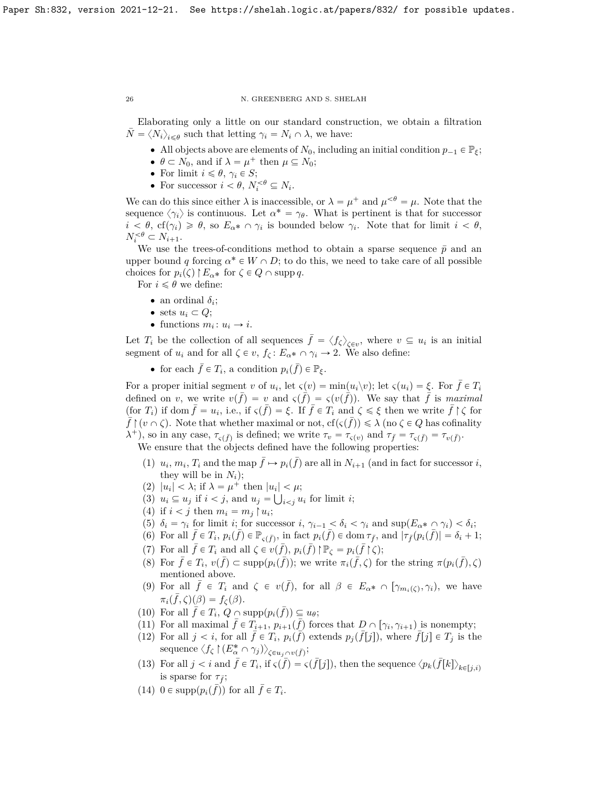Elaborating only a little on our standard construction, we obtain a filtration  $\bar{N} = \langle N_i \rangle_{i \leq \theta}$  such that letting  $\gamma_i = N_i \cap \lambda$ , we have:

- All objects above are elements of  $N_0$ , including an initial condition  $p_{-1} \in \mathbb{P}_\xi$ ;
- $\theta \subset N_0$ , and if  $\lambda = \mu^+$  then  $\mu \subseteq N_0$ ;
- For limit  $i \leq \theta$ ,  $\gamma_i \in S$ ;
- For successor  $i < \theta$ ,  $N_i^{<\theta} \subseteq N_i$ .

We can do this since either  $\lambda$  is inaccessible, or  $\lambda = \mu^+$  and  $\mu^{<\theta} = \mu$ . Note that the sequence  $\langle \gamma_i \rangle$  is continuous. Let  $\alpha^* = \gamma_{\theta}$ . What is pertinent is that for successor  $i < \theta$ , cf( $\gamma_i$ )  $\ge \theta$ , so  $E_{\alpha^*} \cap \gamma_i$  is bounded below  $\gamma_i$ . Note that for limit  $i < \theta$ ,  $N_i^{<\theta} \subset N_{i+1}.$ 

We use the trees-of-conditions method to obtain a sparse sequence  $\bar{p}$  and an upper bound *q* forcing  $\alpha^* \in W \cap D$ ; to do this, we need to take care of all possible choices for  $p_i(\zeta) \upharpoonright E_{\alpha^*}$  for  $\zeta \in Q \cap \text{supp } q$ .

For  $i \le \theta$  we define:

- $\bullet$  an ordinal  $\delta_i$ ;
- $\bullet$  sets  $u_i \subset Q$ ;
- functions  $m_i: u_i \to i$ .

Let  $T_i$  be the collection of all sequences  $\bar{f} = \langle f_{\zeta} \rangle_{\zeta \in v}$ , where  $v \subseteq u_i$  is an initial segment of  $u_i$  and for all  $\zeta \in v$ ,  $f_\zeta: E_{\alpha^*} \cap \gamma_i \to 2$ . We also define:

• for each  $\bar{f} \in T_i$ , a condition  $p_i(\bar{f}) \in \mathbb{P}_{\xi}$ .

For a proper initial segment *v* of  $u_i$ , let  $\varsigma(v) = \min(u_i \setminus v)$ ; let  $\varsigma(u_i) = \xi$ . For  $\bar{f} \in T_i$ defined on *v*, we write  $v(\bar{f}) = v$  and  $\varsigma(\bar{f}) = \varsigma(v(\bar{f}))$ . We say that  $\bar{f}$  is *maximal* (for  $T_i$ ) if dom  $\bar{f} = u_i$ , i.e., if  $\varsigma(\bar{f}) = \xi$ . If  $\bar{f} \in T_i$  and  $\zeta \leq \xi$  then we write  $\bar{f} \upharpoonright \zeta$  for  $\bar{f}$   $\uparrow$  ( $v \cap \zeta$ ). Note that whether maximal or not,  $cf(\zeta(\bar{f})) \leq \lambda$  (no  $\zeta \in Q$  has cofinality *λ*<sup>+</sup>), so in any case,  $\tau_{\varsigma(\bar{f})}$  is defined; we write  $\tau_v = \tau_{\varsigma(v)}$  and  $\tau_{\bar{f}} = \tau_{\varsigma(\bar{f})} = \tau_{v(\bar{f})}$ .

We ensure that the objects defined have the following properties:

- (1)  $u_i, m_i, T_i$  and the map  $\bar{f} \mapsto p_i(\bar{f})$  are all in  $N_{i+1}$  (and in fact for successor *i*, they will be in  $N_i$ ;
- (2)  $|u_i| < \lambda$ ; if  $\lambda = \mu^+$  then  $|u_i| < \mu$ ;
- (3)  $u_i \subseteq u_j$  if  $i < j$ , and  $u_j = \bigcup_{i < j} u_i$  for limit *i*;
- (4) if  $i < j$  then  $m_i = m_j \nmid u_i$ ;
- (5)  $\delta_i = \gamma_i$  for limit *i*; for successor *i*,  $\gamma_{i-1} < \delta_i < \gamma_i$  and  $\sup(E_{\alpha^*} \cap \gamma_i) < \delta_i$ ;
- (6) For all  $\bar{f} \in T_i$ ,  $p_i(\bar{f}) \in \mathbb{P}_{\varsigma(\bar{f})}$ , in fact  $p_i(\bar{f}) \in \text{dom } \tau_{\bar{f}}$ , and  $|\tau_{\bar{f}}(p_i(\bar{f}))| = \delta_i + 1$ ;
- <span id="page-25-2"></span>(7) For all  $\bar{f} \in T_i$  and all  $\zeta \in v(\bar{f}), p_i(\bar{f}) \upharpoonright \mathbb{P}_{\zeta} = p_i(\bar{f} \upharpoonright \zeta);$
- (8) For  $\bar{f} \in T_i$ ,  $v(\bar{f}) \subset \text{supp}(p_i(\bar{f}))$ ; we write  $\pi_i(\bar{f}, \zeta)$  for the string  $\pi(p_i(\bar{f}), \zeta)$ mentioned above.
- <span id="page-25-3"></span>(9) For all  $\bar{f} \in T_i$  and  $\zeta \in v(\bar{f})$ , for all  $\beta \in E_{\alpha^*} \cap [\gamma_{m_i(\zeta)}, \gamma_i)$ , we have  $\pi_i(\bar{f}, \zeta)(\beta) = f_{\zeta}(\beta).$
- <span id="page-25-0"></span>(10) For all  $\overline{f} \in T_i$ ,  $Q \cap \text{supp}(p_i(\overline{f})) \subseteq u_{\theta}$ ;
- (11) For all maximal  $\bar{f} \in T_{i+1}$ ,  $p_{i+1}(\bar{f})$  forces that  $D \cap [\gamma_i, \gamma_{i+1}]$  is nonempty;
- (12) For all  $j < i$ , for all  $\bar{f} \in T_i$ ,  $p_i(\bar{f})$  extends  $p_j(\bar{f}[j])$ , where  $\bar{f}[j] \in T_j$  is the  $\text{sequence } \langle f_{\zeta} \restriction (E_{\alpha}^* \cap \gamma_j) \rangle_{\zeta \in u_j \cap v(\bar{f})};$
- <span id="page-25-1"></span>(13) For all  $j < i$  and  $\bar{f} \in T_i$ , if  $\varsigma(\bar{f}) = \varsigma(\bar{f}[j])$ , then the sequence  $\langle p_k(\bar{f}[k]) \rangle_{k \in [j,i)}$ is sparse for  $\tau_{\bar{f}}$ ;
- $(14)$   $0 \in \text{supp}(p_i(\bar{f}))$  for all  $\bar{f} \in T_i$ .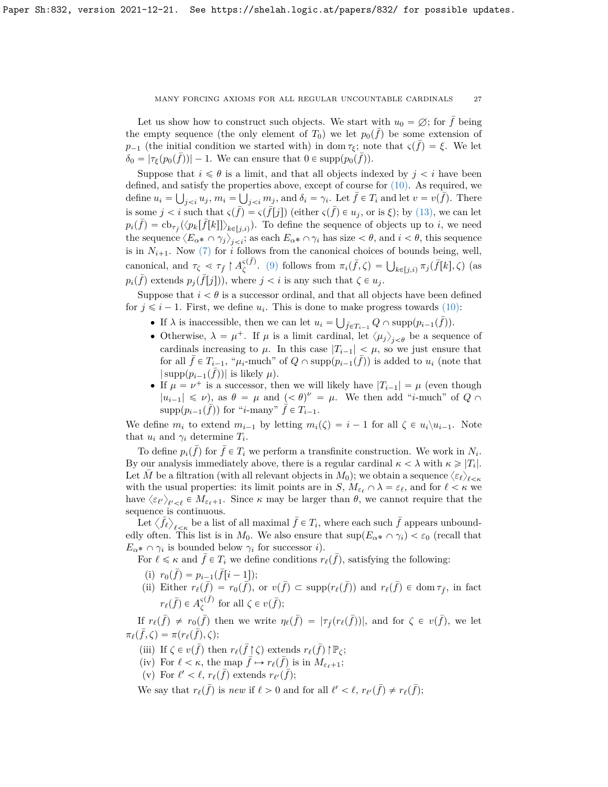Let us show how to construct such objects. We start with  $u_0 = \emptyset$ ; for f being the empty sequence (the only element of  $T_0$ ) we let  $p_0(\bar{f})$  be some extension of *p*<sub>-1</sub> (the initial condition we started with) in dom  $\tau_{\xi}$ ; note that  $\varsigma(\bar{f}) = \xi$ . We let  $\delta_0 = |\tau_{\xi}(p_0(\bar{f}))| - 1$ . We can ensure that  $0 \in \text{supp}(p_0(\bar{f}))$ .

Suppose that  $i \leq \theta$  is a limit, and that all objects indexed by  $j \leq i$  have been defined, and satisfy the properties above, except of course for  $(10)$ . As required, we define  $u_i = \bigcup_{j < i} u_j$ ,  $m_i = \bigcup_{j < i} m_j$ , and  $\delta_i = \gamma_i$ . Let  $\bar{f} \in T_i$  and let  $v = v(\bar{f})$ . There is some  $j < i$  such that  $\varsigma(\bar{f}) = \varsigma(\bar{f}[j])$  (either  $\varsigma(\bar{f}) \in u_j$ , or is  $\xi$ ); by [\(13\),](#page-25-1) we can let  $p_i(\bar{f}) = \text{cb}_{\tau_{\bar{f}}}(\langle p_k[\bar{f}[k]] \rangle_{k \in [j,i)})$ . To define the sequence of objects up to *i*, we need the sequence  $\langle E_{\alpha^*} \cap \gamma_j \rangle_{j \lt i}$ ; as each  $E_{\alpha^*} \cap \gamma_i$  has size  $\lt \theta$ , and  $i \lt \theta$ , this sequence is in  $N_{i+1}$ . Now [\(7\)](#page-25-2) for  $\tilde{i}$  follows from the canonical choices of bounds being, well, canonical, and  $\tau_{\zeta} \leq \tau_{\bar{f}} \upharpoonright A_{\zeta}^{\varsigma(\bar{f})}$ . [\(9\)](#page-25-3) follows from  $\pi_i(\bar{f}, \zeta) = \bigcup_{k \in [j,i)} \pi_j(\bar{f}[k], \zeta)$  (as  $p_i(\bar{f})$  extends  $p_j(\bar{f}[j])$ , where  $j < i$  is any such that  $\zeta \in u_j$ .

Suppose that  $i < \theta$  is a successor ordinal, and that all objects have been defined for  $j \leq i - 1$ . First, we define  $u_i$ . This is done to make progress towards  $(10)$ :

- If  $\lambda$  is inaccessible, then we can let  $u_i = \bigcup_{\bar{f} \in T_{i-1}} Q \cap \text{supp}(p_{i-1}(\bar{f}))$ .
- Otherwise,  $\lambda = \mu^+$ . If  $\mu$  is a limit cardinal, let  $\langle \mu_j \rangle_{j < \theta}$  be a sequence of cardinals increasing to  $\mu$ . In this case  $|T_{i-1}| < \mu$ , so we just ensure that for all  $\bar{f} \in T_{i-1}$ , " $\mu_i$ -much" of  $Q \cap \text{supp}(p_{i-1}(\bar{f}))$  is added to  $u_i$  (note that  $|\supp(p_{i-1}(\bar{f}))|$  is likely  $\mu$ ).
- If  $\mu = \nu^+$  is a successor, then we will likely have  $|T_{i-1}| = \mu$  (even though  $|u_{i-1}| \leq v$ , as  $\theta = \mu$  and  $( $\theta$ <sup>r</sup>)<sup>*v*</sup> =  $\mu$ . We then add "*i*-much" of  $Q \cap$$  $\text{supp}(p_{i-1}(\bar{f}))$  for "*i*-many"  $\bar{f} \in T_{i-1}$ .

We define  $m_i$  to extend  $m_{i-1}$  by letting  $m_i(\zeta) = i - 1$  for all  $\zeta \in u_i \setminus u_{i-1}$ . Note that  $u_i$  and  $\gamma_i$  determine  $T_i$ .

To define  $p_i(\bar{f})$  for  $\bar{f} \in T_i$  we perform a transfinite construction. We work in  $N_i$ . By our analysis immediately above, there is a regular cardinal  $\kappa < \lambda$  with  $\kappa \geq |T_i|$ . Let  $\bar{M}$  be a filtration (with all relevant objects in  $M_0$ ); we obtain a sequence  $\langle \varepsilon_\ell \rangle_{\ell \leq \kappa}$ with the usual properties: its limit points are in *S*,  $M_{\varepsilon_\ell} \cap \lambda = \varepsilon_\ell$ , and for  $\ell < \kappa$  we have  $\langle \varepsilon_{\ell'} \rangle_{\ell' < \ell} \in M_{\varepsilon_{\ell}+1}$ . Since  $\kappa$  may be larger than  $\theta$ , we cannot require that the sequence is continuous.

Let  $\langle \bar{f}_\ell \rangle_{\ell \leq \kappa}$  be a list of all maximal  $\bar{f} \in T_i$ , where each such  $\bar{f}$  appears unboundedly often. This list is in  $M_0$ . We also ensure that  $\sup(E_{\alpha^*} \cap \gamma_i) < \varepsilon_0$  (recall that  $E_{\alpha^*} \cap \gamma_i$  is bounded below  $\gamma_i$  for successor *i*).

For  $\ell \leq \kappa$  and  $\bar{f} \in T_i$  we define conditions  $r_{\ell}(\bar{f})$ , satisfying the following:

- (i)  $r_0(\bar{f}) = p_{i-1}(\bar{f}[i-1]);$
- (ii) Either  $r_{\ell}(\bar{f}) = r_0(\bar{f})$ , or  $v(\bar{f}) \subset \text{supp}(r_{\ell}(\bar{f}))$  and  $r_{\ell}(\bar{f}) \in \text{dom } \tau_{\bar{f}}$ , in fact  $r_{\ell}(\bar{f}) \in A_{\zeta}^{\varsigma(\bar{f})}$  for all  $\zeta \in v(\bar{f});$

If  $r_{\ell}(\bar{f}) \neq r_0(\bar{f})$  then we write  $\eta_{\ell}(\bar{f}) = |\tau_{\bar{f}}(r_{\ell}(\bar{f}))|$ , and for  $\zeta \in v(\bar{f})$ , we let  $\pi_{\ell}(\bar{f}, \zeta) = \pi(r_{\ell}(\bar{f}), \zeta);$ 

- <span id="page-26-0"></span>(iii) If  $\zeta \in v(\bar{f})$  then  $r_{\ell}(\bar{f} \restriction \zeta)$  extends  $r_{\ell}(\bar{f}) \restriction \mathbb{P}_{\zeta}$ ;
- (iv) For  $\ell < \kappa$ , the map  $\bar{f} \mapsto r_{\ell}(\bar{f})$  is in  $M_{\varepsilon_{\ell}+1}$ ;
- (v) For  $\ell' < \ell$ ,  $r_{\ell}(\bar{f})$  extends  $r_{\ell'}(\bar{f});$

We say that  $r_{\ell}(\bar{f})$  is *new* if  $\ell > 0$  and for all  $\ell' < \ell$ ,  $r_{\ell'}(\bar{f}) \neq r_{\ell}(\bar{f})$ ;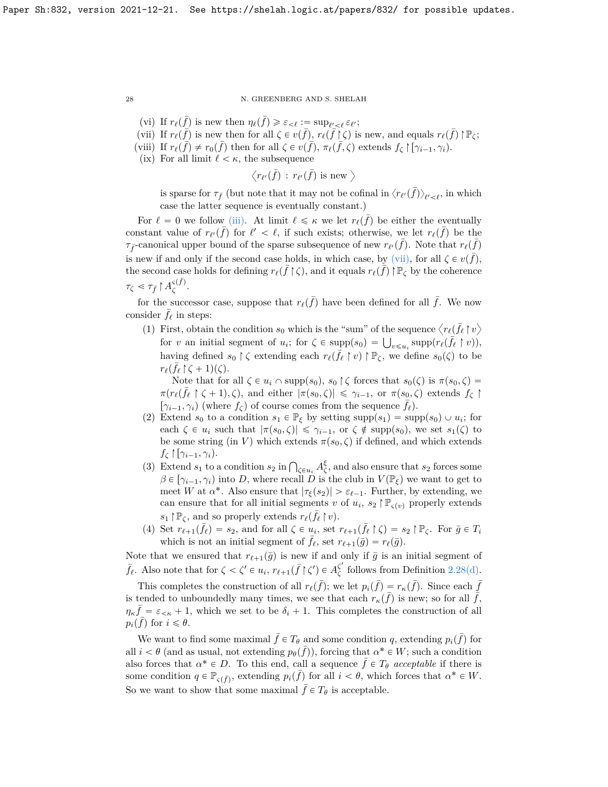- (vi) If  $r_{\ell}(\bar{f})$  is new then  $\eta_{\ell}(\bar{f}) \geq \varepsilon_{<\ell} := \sup_{\ell'_{<\ell}} \varepsilon_{\ell'};$
- <span id="page-27-0"></span>(vii) If  $r_{\ell}(\bar{f})$  is new then for all  $\zeta \in v(\bar{f}), r_{\ell}(\bar{f})\zeta$  is new, and equals  $r_{\ell}(\bar{f}) \upharpoonright \mathbb{P}_{\zeta}$ ;
- (viii) If  $r_{\ell}(\bar{f}) \neq r_0(\bar{f})$  then for all  $\zeta \in v(\bar{f}), \pi_{\ell}(\bar{f}, \zeta)$  extends  $f_{\zeta} \upharpoonright [\gamma_{i-1}, \gamma_i)$ .
- (ix) For all limit  $\ell < \kappa$ , the subsequence

 $r_{\ell'}(\bar{f})$  :  $r_{\ell'}(\bar{f})$  is new  $\rangle$ 

is sparse for  $\tau_{\bar{f}}$  (but note that it may not be cofinal in  $\langle r_{\ell'}(\bar{f}) \rangle_{\ell' < \ell}$ , in which case the latter sequence is eventually constant.)

For  $\ell = 0$  we follow [\(iii\).](#page-26-0) At limit  $\ell \leq \kappa$  we let  $r_{\ell}(\bar{f})$  be either the eventually constant value of  $r_{\ell'}(\bar{f})$  for  $\ell' < \ell$ , if such exists; otherwise, we let  $r_{\ell}(\bar{f})$  be the  $\tau_{\bar{f}}$ -canonical upper bound of the sparse subsequence of new  $r_{\ell'}(\bar{f})$ . Note that  $r_{\ell}(\bar{f})$ is new if and only if the second case holds, in which case, by [\(vii\),](#page-27-0) for all  $\zeta \in v(\bar{f})$ , the second case holds for defining  $r_{\ell}(\bar{f} \restriction \zeta)$ , and it equals  $r_{\ell}(\bar{f}) \restriction \mathbb{P}_{\zeta}$  by the coherence  $\tau_{\zeta} \lessdot \tau_{\bar{f}} \upharpoonright A_{\zeta}^{\varsigma(\bar{f})}$ .

for the successor case, suppose that  $r_{\ell}(\bar{f})$  have been defined for all  $\bar{f}$ . We now consider  $f_{\ell}$  in steps:

 $f(\vec{f})$  First, obtain the condition  $s_0$  which is the "sum" of the sequence  $\langle r_\ell(\vec{f}_\ell) \rangle$ " for *v* an initial segment of *u<sub>i</sub>*; for  $\zeta \in \text{supp}(s_0) = \bigcup_{v \leq u_i} \text{supp}(r_\ell(\bar{f}_\ell \upharpoonright v)),$ having defined  $s_0 \upharpoonright \zeta$  extending each  $r_\ell(\bar{f}_\ell \upharpoonright v) \upharpoonright \mathbb{P}_\zeta$ , we define  $s_0(\zeta)$  to be  $r_{\ell}(\bar{f}_{\ell} \restriction \zeta + 1)(\zeta).$ 

Note that for all  $\zeta \in u_i \cap \text{supp}(s_0)$ ,  $s_0 \upharpoonright \zeta$  forces that  $s_0(\zeta)$  is  $\pi(s_0, \zeta) =$  $\pi(r_{\ell}(\bar{f}_{\ell} \upharpoonright \zeta + 1), \zeta)$ , and either  $|\pi(s_0, \zeta)| \leq \gamma_{i-1}$ , or  $\pi(s_0, \zeta)$  extends  $f_{\zeta} \upharpoonright$  $\lceil \gamma_{i-1}, \gamma_i \rceil$  (where  $f_\zeta$ ) of course comes from the sequence  $f_\ell$ ).

- (2) Extend  $s_0$  to a condition  $s_1 \in \mathbb{P}_\xi$  by setting supp $(s_1) = \text{supp}(s_0) \cup u_i$ ; for each  $\zeta \in u_i$  such that  $|\pi(s_0, \zeta)| \leq \gamma_{i-1}$ , or  $\zeta \notin \text{supp}(s_0)$ , we set  $s_1(\zeta)$  to be some string (in *V*) which extends  $\pi(s_0, \zeta)$  if defined, and which extends  $f_{\mathcal{C}} \restriction \gamma_{i-1}, \gamma_i$ .
- (3) Extend  $s_1$  to a condition  $s_2$  in  $\bigcap_{\zeta \in u_i} A_{\zeta}^{\xi}$ , and also ensure that  $s_2$  forces some  $\beta \in [\gamma_{i-1}, \gamma_i]$  into *D*, where recall *D* is the club in  $V(\mathbb{P}_{\xi})$  we want to get to meet *W* at  $\alpha^*$ . Also ensure that  $|\tau_{\xi}(s_2)| > \varepsilon_{\ell-1}$ . Further, by extending, we can ensure that for all initial segments *v* of  $u_i$ ,  $s_2 \upharpoonright \mathbb{P}_{\varsigma(v)}$  properly extends  $s_1 \nvert \mathbb{P}_{\zeta}$ , and so properly extends  $r_{\ell}(\bar{f}_{\ell} \mid v)$ .
- (4) Set  $r_{\ell+1}(\bar{f}_{\ell}) = s_2$ , and for all  $\zeta \in u_i$ , set  $r_{\ell+1}(\bar{f}_{\ell} \restriction \zeta) = s_2 \restriction \mathbb{P}_{\zeta}$ . For  $\bar{g} \in T_i$ which is not an initial segment of  $\bar{f}_{\ell}$ , set  $r_{\ell+1}(\bar{g}) = r_{\ell}(\bar{g})$ .

Note that we ensured that  $r_{\ell+1}(\bar{g})$  is new if and only if  $\bar{g}$  is an initial segment of  $\bar{f}_{\ell}$ . Also note that for  $\zeta < \zeta' \in u_i$ ,  $r_{\ell+1}(\bar{f} \restriction \zeta') \in A_{\zeta}^{\zeta'}$ *ζ* follows from Definition [2.28](#page-11-6)[\(d\).](#page-11-5)

This completes the construction of all  $r_{\ell}(\bar{f})$ ; we let  $p_i(\bar{f}) = r_{\kappa}(\bar{f})$ . Since each  $\bar{f}$ is tended to unboundedly many times, we see that each  $r_{\kappa}(\bar{f})$  is new; so for all  $\bar{f}$ ,  $\eta_{\kappa} \bar{f} = \varepsilon_{\kappa} + 1$ , which we set to be  $\delta_i + 1$ . This completes the construction of all  $p_i(\bar{f})$  for  $i \leq \theta$ .

We want to find some maximal  $\bar{f} \in T_{\theta}$  and some condition q, extending  $p_i(\bar{f})$  for all  $i < \theta$  (and as usual, not extending  $p_{\theta}(\bar{f})$ ), forcing that  $\alpha^* \in W$ ; such a condition also forces that  $\alpha^* \in D$ . To this end, call a sequence  $\bar{f} \in T_{\theta}$  *acceptable* if there is some condition  $q \in \mathbb{P}_{\varsigma(\bar{f})}$ , extending  $p_i(\bar{f})$  for all  $i < \theta$ , which forces that  $\alpha^* \in W$ . So we want to show that some maximal  $\bar{f} \in T_{\theta}$  is acceptable.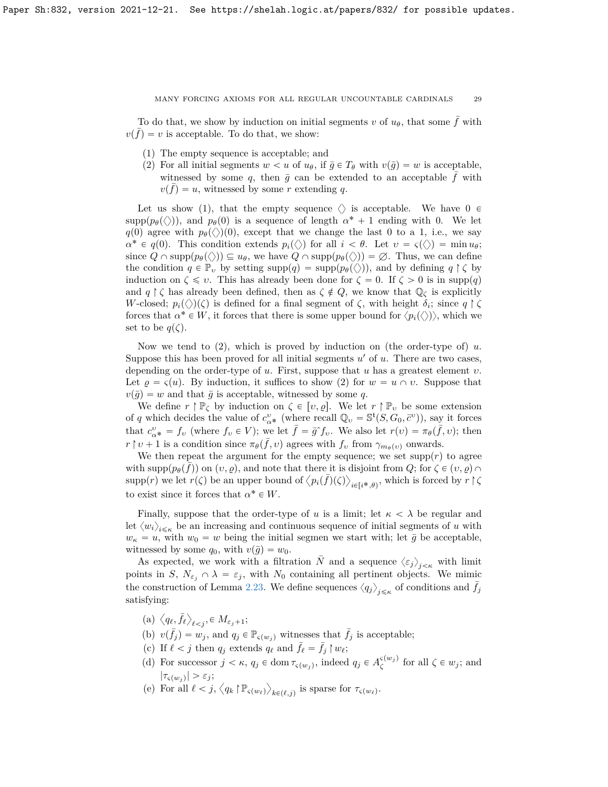To do that, we show by induction on initial segments *v* of  $u_{\theta}$ , that some f with  $v(\bar{f}) = v$  is acceptable. To do that, we show:

- (1) The empty sequence is acceptable; and
- (2) For all initial segments  $w < u$  of  $u_{\theta}$ , if  $\bar{g} \in T_{\theta}$  with  $v(\bar{g}) = w$  is acceptable, witnessed by some q, then  $\bar{q}$  can be extended to an acceptable  $\bar{f}$  with  $v(\bar{f}) = u$ , witnessed by some *r* extending *q*.

Let us show (1), that the empty sequence  $\langle \rangle$  is acceptable. We have  $0 \in$  $\text{supp}(p_{\theta}(\langle \rangle))$ , and  $p_{\theta}(0)$  is a sequence of length  $\alpha^* + 1$  ending with 0. We let  $q(0)$  agree with  $p_{\theta}(\langle \rangle)(0)$ , except that we change the last 0 to a 1, i.e., we say  $\alpha^* \in q(0)$ . This condition extends  $p_i(\langle \rangle)$  for all  $i < \theta$ . Let  $v = \varsigma(\langle \rangle) = \min u_{\theta}$ ; since  $Q \cap \text{supp}(p_{\theta}(\langle \rangle)) \subseteq u_{\theta}$ , we have  $Q \cap \text{supp}(p_{\theta}(\langle \rangle)) = \emptyset$ . Thus, we can define the condition  $q \in \mathbb{P}_v$  by setting supp $(q) = \text{supp}(p_\theta(\langle \rangle))$ , and by defining  $q \restriction \zeta$  by induction on  $\zeta \leq v$ . This has already been done for  $\zeta = 0$ . If  $\zeta > 0$  is in supp $(q)$ and  $q \restriction \zeta$  has already been defined, then as  $\zeta \notin Q$ , we know that  $\mathbb{Q}_{\zeta}$  is explicitly *W*-closed;  $p_i(\langle \rangle)(\zeta)$  is defined for a final segment of  $\zeta$ , with height  $\delta_i$ ; since  $q \restriction \zeta$ forces that  $\alpha^* \in W$ , it forces that there is some upper bound for  $\langle p_i(\langle \rangle) \rangle$ , which we set to be  $q(\zeta)$ .

Now we tend to  $(2)$ , which is proved by induction on (the order-type of) *u*. Suppose this has been proved for all initial segments  $u'$  of  $u$ . There are two cases, depending on the order-type of *u*. First, suppose that *u* has a greatest element *υ*. Let  $\rho = \varsigma(u)$ . By induction, it suffices to show (2) for  $w = u \cap v$ . Suppose that  $v(\bar{g}) = w$  and that  $\bar{g}$  is acceptable, witnessed by some *q*.

We define  $r \upharpoonright \mathbb{P}_{\zeta}$  by induction on  $\zeta \in [v, \varrho]$ . We let  $r \upharpoonright \mathbb{P}_{v}$  be some extension of *q* which decides the value of  $c_{\alpha^*}^v$  (where recall  $\mathbb{Q}_v = \mathbb{S}^{\mathfrak{t}}(S, G_0, \bar{c}^v)$ ), say it forces that  $c^v_{\alpha^*} = f_v$  (where  $f_v \in V$ ); we let  $\bar{f} = \bar{g} \hat{f}_v$ . We also let  $r(v) = \pi_\theta(\bar{f}, v)$ ; then  $r \upharpoonright v + 1$  is a condition since  $\pi_{\theta}(\bar{f}, v)$  agrees with  $f_v$  from  $\gamma_{m_{\theta}(v)}$  onwards.

We then repeat the argument for the empty sequence; we set  $\text{supp}(r)$  to agree with supp $(p_{\theta}(\bar{f}))$  on  $(v, \rho)$ , and note that there it is disjoint from *Q*; for  $\zeta \in (v, \rho) \cap$ with supp $(p_{\theta}(f))$  on  $(v, \rho)$ , and note that there it is disjoint from  $Q$ ; for  $\zeta \in (v, \rho) \cap$ <br>supp $(r)$  we let  $r(\zeta)$  be an upper bound of  $\langle p_i(\bar{f})(\zeta) \rangle_{i \in [i^*, \rho)}$ , which is forced by  $r \upharpoonright \zeta$ to exist since it forces that  $\alpha^* \in W$ .

Finally, suppose that the order-type of *u* is a limit; let  $\kappa < \lambda$  be regular and let  $\langle w_i \rangle_{i \leq \kappa}$  be an increasing and continuous sequence of initial segments of *u* with  $w_{\kappa} = u$ , with  $w_0 = w$  being the initial segmen we start with; let  $\bar{g}$  be acceptable, witnessed by some  $q_0$ , with  $v(\bar{g}) = w_0$ .

As expected, we work with a filtration  $\bar{N}$  and a sequence  $\langle \varepsilon_j \rangle_{j \leq \kappa}$  with limit points in *S*,  $N_{\varepsilon_j} \cap \lambda = \varepsilon_j$ , with  $N_0$  containing all pertinent objects. We mimic the construction of Lemma [2.23.](#page-8-1) We define sequences  $\langle q_j \rangle_{j \le \kappa}$  of conditions and  $\bar{f}_j$ satisfying:

- $\langle \hat{q}_{\ell}, \bar{f}_{\ell} \rangle_{\ell \leq j}, \in M_{\varepsilon_j+1};$
- (b)  $v(\bar{f}_j) = w_j$ , and  $q_j \in \mathbb{P}_{\varsigma(w_j)}$  witnesses that  $\bar{f}_j$  is acceptable;
- (c) If  $\ell < j$  then  $q_j$  extends  $q_\ell$  and  $f_\ell = f_j \upharpoonright w_\ell$ ;
- (d) For successor  $j < \kappa$ ,  $q_j \in \text{dom } \tau_{\varsigma(w_j)}$ , indeed  $q_j \in A_{\zeta}^{\varsigma(w_j)}$  for all  $\zeta \in w_j$ ; and  $|\tau_{\varsigma(w_j)}| > \varepsilon_j;$
- (e) For all  $\ell < j$ ,  $q_k \restriction \mathbb{P}_{\varsigma(w_\ell)}$  $k \in (\ell,j)$  is sparse for  $\tau_{\varsigma(w_{\ell})}$ .